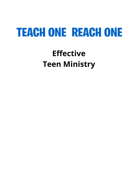# **TEACH ONE REACH ONE**

# **Effective Teen Ministry**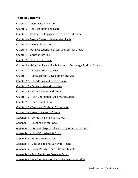# **Table of Contents**

- [Chapter](#page-3-0) 1 Teens: Fact and Fiction
- [Chapter](#page-8-0) 2 The Teen Brain and Faith
- Chapter 3 Finding and [Engaging](#page-20-0) Teens In Your Ministry
- Chapter 4 Moving Teens to [Independent](#page-27-0) Faith
- [Chapter](#page-31-0) 5 Teen Bible Lessons
- Chapter 6 Using Questions to [Encourage](#page-38-0) Spiritual Growth
- Chapter 7 [Christian](#page-48-0) Life Skills
- Chapter 8 Servant [Leadership](#page-51-0)
- Chapter 9 Using Service and Faith Sharing to [Encourage](#page-55-0) Spiritual Growth
- Chapter 10 Effective Teen [Activities](#page-62-0)
- Chapter 11 Gift Discovery, [Development](#page-66-0) and Use
- Chapter 12 [Friendships](#page-71-0) and Peer Pressure
- Chapter 13 Dating, Love and [Marriage](#page-79-0)
- [Chapter](#page-92-0) 14 Alcohol, Drugs, and Teens
- Chapter 15 Teen [Depression,](#page-97-0) Anxiety and Suicide
- [Chapter](#page-102-0) 16 Teens and Culture
- Chapter 17 Teens and Christian [Community](#page-108-0)
- [Chapter](#page-114-0) 18 Helping Parents of Teens
- Appendix 1 [Conducting](#page-118-0) a Ministry Survey
- [Appendix](#page-125-0) 2 Creating Ministry Goals
- Appendix 3 Common Logical Fallacies in Spiritual [Discussions](#page-126-0)
- [Appendix](#page-130-0) 4 List of Christian Life Skills
- [Appendix](#page-132-0) 5 Service Project Ideas
- [Appendix](#page-134-0) 6 Gifts and Talents Survey for Teens
- [Appendix](#page-135-0) 7 List of Possible Teen Gifts and Talents
- Appendix 8 Teen [Mentoring](#page-136-0) Program Basics
- Appendix 9 Teaching Teens Godly Conflict [Resolution](#page-137-0) Skills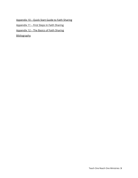[Appendix](#page-138-0) 10 – Quick Start Guide to Faith Sharing

[Appendix](#page-139-0) 11 – First Steps In Faith Sharing

[Appendix](#page-140-0) 12 – The Basics of Faith Sharing

[Bibliography](#page-143-0)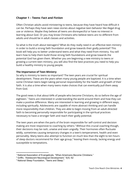# <span id="page-3-0"></span>**Chapter 1 – Teens: Fact and Fiction**

Often Christian adults avoid ministering to teens, because they have heard how difficult it can be. Perhaps they have seen news stories about negative teen behavior like illegal drug use or violence. Maybe they believe all teens are disrespectful or have no interest in learning about God. Or you may know Christians who believe teens are no different from adults and should be in adult classes and activities.

So what is the truth about teenagers? What do they really need in an effective teen ministry in order to build a strong faith foundation and grow towards their godly potential? This book will help you to better understand teens and what they need from ministry. You will learn how to help them build those strong faith foundations and grow towards the potential God has given them. Whether you are beginning a new ministry to teens or growing a current teen ministry, you will also find the best practices you need to help you build a healthy ministry to young people.

#### **The Importance of Teen Ministry**

So why is ministry to teens so important? The teen years are crucial for spiritual development. These are the years when many young people are baptized. It is a time when some Christian teens begin taking personal responsibility for the health and growth of their faith. It is also a time when many teens make choices that can eventually pull them away from God.

The good news is that about 64% of people who become Christians, do so before the age of eighteen.<sup>1</sup> Teens are interested in understanding the world around them and how they can make a positive difference. Many are interested in learning and growing in different ways, including spiritually. Adolescents are capable of more abstract thinking and can handle more responsibility than children. They are able to begin moving from an adult-directed faith to becoming personally responsible for participating in the spiritual practices necessary to have a stronger faith and reach their godly potential.

The teen years are when the parts of the brain responsible for self-control and decision making are most responsive to coaching by others.<sup>2</sup> Without this crucial coaching though, their decisions may be rash, unwise and even ungodly. Their hormones often fluctuate wildly, sometimes causing temporary changes in a teen's temperament, health and even personality. Many teens also attempt to function on much less than the eight to ten hours of sleep doctors recommend for their age group, $3$  leaving them moody, lacking energy and susceptible to temptations.

<sup>&</sup>lt;sup>1</sup> National Association of Evangelicals, "When Americans Become Christians."

<sup>2</sup> Griffin, "Adolescent Neurological Development," 5(4): 62

<sup>3</sup> National Sleep Foundation, "Teens and Sleep."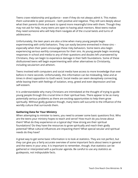Teens crave relationship and guidance – even if they do not always admit it. This makes them vulnerable to peer pressure – both positive and negative. They still care deeply about what their parents think and want to spend more meaningful time with them. Though they may not ask for help, many teens are open to having adult mentors. Most teens realize they need someone who will help them navigate all of the crucial twists and turns of adolescence.

Unfortunately, the teen years are also a time when many young people begin experimenting with sinful behaviors. They can easily become enmeshed in these sins – especially when their peers encourage these risky behaviors. Some teens also begin experiencing serious earthly consequences for their sins. As young people begin receiving responses in school and media to any of their questions and doubts left unanswered by Christians, they can begin to experience damage in their faith foundations. Some of these disillusioned teens will begin experimenting with other alternatives to Christianity, including secularism and atheism.

Teens involved with computers and social media have access to more knowledge than ever before in mere seconds. Unfortunately, this information can be misleading, false and at times in direct opposition to God's word. Social media can seem deceptively connecting, while leaving them with feelings of isolation, envy, greed and even depression and low self-esteem.

It is understandable why many Christians are intimidated at the thought of trying to guide young people through this crucial time in their spiritual lives. There appear to be as many potentially serious problems as there are exciting opportunities to help them grow spiritually. Without godly guidance though, many teens will succumb to the influence of the worldly culture that surrounds them.

#### **Gathering Data for Your Ministry**

When attempting to minister to teens, you need to answer some basic questions first. Who are the teens your ministry hopes to teach and serve? How much do you know about them? What do they experience on a typical day? How strong are their spiritual foundations? Do they have the resources to grow spiritually and reach their godly potential? What cultural influences are impacting them? What special secular and spiritual needs do they have?

A great way to get some basic information is to look at statistics. They are not perfect, but they can give you a fairly accurate overview of some important facts about teens in general and the teens in your area. It is important to remember, though, that statistics can be gathered or interpreted with a particular agenda. Be careful to use any statistics as guideposts, not indisputable facts.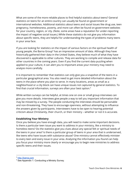What are some of the more reliable places to find helpful statistics about teens? General statistics on teens for an entire country can usually be found on government or international websites. Additional statistics about teens and social issues like drug use, teen pregnancy, homelessness, poverty, and more can often be found on government websites for your country, region, or city. (Note, some areas have a reputation for under-reporting the impact of negative social issues.) While these statistics do not give you information about specific teens, they are helpful for understanding the types of problems many teens in your area face.

If you are looking for statistics on the impact of various factors on the spiritual health of young people, the Barna Group $^4$  has an impressive amount of data. Although they have historically gathered their data in the United States, they believe much of what they have discovered is applicable to other cultures. They are working to compile and release data for other countries in the coming years. Even if you find the current data puzzling when applied to your culture, it can alert you to important areas your ministry may need to analyze more carefully.

It is important to remember that statistics can only give you a snapshot of the teens in a particular geographical area. You also need to get more detailed information about the teens in the place where you plan to serve. In many locations, areas as small as a neighborhood or a city block can have unique issues not captured by general statistics. To find that crucial information, surveys are often your best option. 5

While written surveys can be helpful, at times one on one or small group interviews can give you more details. Interviews give people a way to tell you important information that may be missed by a survey. The people conducting the interviews should be personable and non-threatening. They have to encourage openness, without attempting to influence the answers given by participants. Interviewers have to be open to hearing potential criticism about Christianity, their church, or their ministry – whether or not it is accurate.

#### **Establishing Your Ministry**

Once you believe you have enough data, you will need to make some important decisions. Is there a particular teen issue you want to address in your ministry, like a ministry to homeless teens? Do the statistics give you clues about any special felt or spiritual needs of the teens in your area? Is there a particular group of teens in your area that is underserved, like teens who have issues with substance abuse? One ministry cannot effectively minister to every teen and every issue in your area. Analyzing the information you found can help you focus your ministry more clearly or encourage you to begin new ministries to address specific teens and their issues.

<sup>4</sup> <http://barna.com>

<sup>&</sup>lt;sup>5</sup> See Appendix 1: Conducting a Ministry Survey.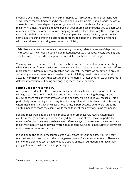If you are beginning a new teen ministry or hoping to increase the number of teens you serve, where can you find teens who may be open to learning more about God? The actual answer is going to vary depending upon your location and the chosen focus of your ministry. At times, the teens already served by your church can introduce you to peers who may be interested. In other situations, hanging out where teens love to gather – playing a sport informally in their neighborhood, for example – can create ministry opportunities. Some ministries find creating a safe space for teens to spend their free time or get help with their felt needs can bring new teens to a ministry.

**Felt Needs** are needs experienced consciously that may relate to a sense of deprivation in those areas. Felt needs often include material goods (such as food, water, clothing, and shelter), as well as needs for support services (like healthcare or tutoring).

You may have to experiment a bit to find the best outreach method for your area. Using what you learned from statistics and interviews can help make these initial outreach efforts more effective. Often ministry outreach is not successful because we are trying to provide something our local teens do not need or do not think they need, instead of what will actually help them in ways that capture their attention. In a later chapter, we will give more detailed information on finding and engaging teens in your ministry.

### **Setting Goals for Your Ministry**

After you have identified the teens your ministry will initially serve, it is important to set some goals.<sup>6</sup> These goals should be specific and measurable. Having these goals and reviewing them regularly with everyone in the ministry will help keep you focused. This is particularly important if your ministry is addressing felt and spiritual needs simultaneously. Often these ministries become secular over time, in part because volunteers forget the spiritual needs of those they serve, while trying to meet their overwhelming felt needs.

Specific, measurable goals also help reduce conflict amongst volunteers. Often these conflicts emerge because people have very different ideas of what makes a particular ministry effective. They may also have very different ways of determining the success of a ministry or ministry event. Having written goals means everyone is measuring effectiveness and success in the same manner.

In addition to the specific measurable goals you create for your ministry, your ministry team will want to keep in mind the more general goals of any ministry to teens. These are some of the elements teens need to build a strong spiritual foundation and reach their godly potential. So what are these general goals?

<sup>&</sup>lt;sup>6</sup> See Appendix 2: Creating Ministry Goals.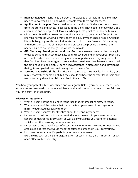- **● Bible Knowledge.** Teens need a personal knowledge of what is in the Bible. They need to know who God is and what He wants from them and for them.
- **● Application Principles.** Teens need to understand what God wants them to learn from the stories and scripture passages in the Bible. They need to know what God's commands and principles will look like when put into practice in their daily lives.
- **● Christian Life Skills.** Knowing what God wants them to do is very different from knowing how to do what God wants them to do. Many teens need help in Christian life skills like godly conflict resolution, stewardship of their finances, faith sharing and more. Christian life skills training and practice can provide them with the needed skills to do the things God wants them to do.
- **● Gift Discovery, Development and Use.** God has given every teen at least one gift to use to serve Him. Often these gifts go undiscovered and undeveloped. Teens are often not ready to serve when God gives them opportunities. They may not realize that God has given them a gift to serve in that situation or they have not developed the gift enough to be helpful. Teens need assistance in discovering and developing their gifts and guided practice in using them to serve God.
- **● Servant Leadership Skills.** All Christians are leaders. They may lead a ministry or a ministry activity at some point, but they should all have the servant leadership skills to comfortably share their faith and lead others to Christ.

You have your potential teens identified and your goals. Before you continue, there is one more area we need to discuss about adolescents that will impact your teens, their faith and your ministry – the teen brain.

#### **Discussion Questions**

- 1. What are some of the challenges teens face that can impact ministry to teens?
- 2. What are some of the factors that make the teen years an optimum age for a ministry dedicated especially to them?
- 3. What are some sources for statistics about the teens in your area?
- 4. List some of the information you can find about the teens in your area. Include general demographic information as well as any statistics you found on potential social issues the teens in your area may face.
- 5. List at least three special areas of focus a ministry or ministry event for teens in your area could address that would meet the felt teens of teens in your community.
- 6. List three potential specific goals for your ministry to teens.
- 7. Explain why each of the general goals given for teen ministry is an important aspect of an effective teen ministry.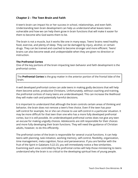# <span id="page-8-0"></span>**Chapter 2 – The Teen Brain and Faith**

A teen's brain can impact his or her success in school, relationships, and even faith. Understanding teen brain development can help us understand what leaves teens vulnerable and how we can help them grow in brain functions that will make it easier for them to become who God wants them to be.

The brain is not a muscle, but it works like one in many ways. Teens' brains need healthy food, exercise, and plenty of sleep. They can be damaged by injury, alcohol, or certain drugs. They can be trained and coached to become stronger and more efficient. Teens' brains can also become weak and undependable when they are given no direction or instruction.

#### **The Prefrontal Cortex**

One of the key portions of the brain impacting teen behavior and faith development is the prefrontal cortex.

The **Prefrontal Cortex** is the gray matter in the anterior portion of the frontal lobe of the brain.

A well developed prefrontal cortex can aide teens in making godly decisions that will help them become active, productive Christians. Unfortunately, without coaching and training, the prefrontal cortices of many teens are underdeveloped. This can increase the likelihood they will make rash and potentially harmful decisions.

It is important to understand that although the brain controls certain areas of thinking and behavior, the brain does not remove a teen's free choice. Even if the teen has poor self-control for example, he or she can choose to use self-control in a particular situation. It may be more difficult for that teen than one who has a more fully developed prefrontal cortex, but it is still possible. An underdeveloped prefrontal cortex does not give any teen an excuse for making ungodly choices. Adolescents are still responsible for their choices and more fully developing their brain functions. They will need the guidance of Christian adults, however, to do this efficiently.

The prefrontal cortex of the brain is responsible for several crucial functions. It can help teens with planning, task initiation, working memory, self-control, flexibility, organization, time management, meta cognition, focus and perseverance. If you are familiar with the fruit of the Spirit in Galatians 5:22-23, you will immediately notice a few similarities. Examining each area controlled by the prefrontal cortex will help those ministering to teens understand why the brain is so critical to the developing spiritual lives of young people.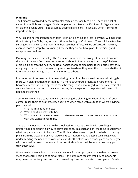#### **Planning**

The first area controlled by the prefrontal cortex is the ability to plan. There are a lot of verses in the Bible encouraging God's people to plan. Proverbs 15:22 and 21:5 give advice on planning, while Luke 14:28 assumes people make plans – especially when it comes to important things.

Why is planning important to teen faith? Without planning, it is less likely they will make the time to study the Bible, pray or spend time reflecting on God's word. They will have trouble serving others and sharing their faith, because their efforts will be unfocused. They may even be more susceptible to sinning, because they do not have plans for avoiding and escaping temptations.

Planning teaches intentionality. The Christians who have the strongest faith and produce the most fruit are often the most intentional about it. Intentionality is also helpful when avoiding sin or creating healthy spiritual habits. Planning also helps teens decide how they are going to move from the way things are now to where they want them to be – whether it is in personal spiritual growth or ministering to others.

It is important to remember that teens being raised in a chaotic environment will struggle more with planning than teens raised in a more structured, organized environment. To become effective at planning, teens must be taught and encouraged to practice certain skill sets. As they are coached in the various tasks, those aspects of the prefrontal cortex will begin to strengthen.

Your ministry can help coach teens in developing the planning function of the prefrontal cortex. Teach them to ask three key questions when faced with a situation where having a plan may help:

- 1. What is this situation now?
- 2. What does God want it to be?
- 3. What are all of the steps I need to take to move from the current situation to the way God wants things to be?

These basic steps work as well with school assignments as they do with breaking an ungodly habit or planning a way to serve someone. In a secular plan, the focus is usually on what the planner wants to happen. Your Bible students need to get in the habit of making plans from the viewpoint of what God wants to happen. Young people can struggle with understanding the need to follow God's plans for their lives when those plans do not agree with personal desires or popular culture. Yet God's wisdom will be what makes any plan truly successful.

When teaching teens how to create action steps for their plan, encourage them to create steps that require completing small tasks. If the steps are too general, key components may be missed or forgotten and it can take a long time before a step is completed. Smaller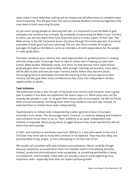steps make it more likely that nothing will be missed and will allow teens to complete steps more frequently. This will give them the natural positive feedback and encouragement they may need to finish executing the plan.

As you coach young people on planning skill sets, it is important to use the Bible to give examples and reinforce key concepts. By constantly incorporating the Bible in your ministry to teens, you will also teach them how important God is to every aspect of their lives. The Bible stories in the Old Testament books of Joshua through Chronicles give lots of practical examples of both good and poor planning. You can also find a number of scripture passages throughout the Bible to serve as reminders of God's expectations for His people to make godly plans.

The teens served by your ministry also need opportunities for guided practice in creating and executing a plan. Encourage them to take an active role in helping you plan teen events, Bible studies, fellowship meals, and more. As they become more experienced, gradually give them more responsibility. With enough coaching and practice, some teens will be able to plan and execute major ministry events before they become adults. Encouraging teens to participate and lead the planning of the various aspects of your ministry will also give them more confidence as they move into independent ministry opportunities as adults.

#### **Task Initiation**

The prefrontal cortex is also the part of the brain that controls task initiation. Even a great plan is useless if one does not implement the action steps in it. When Jesus sent out the seventy-two people in Luke 10, he gave them certain tasks to accomplish. He did not follow them around constantly reminding them what they needed to do each day. Instead, he expected them to initiate those tasks independently.

Teaching teens to initiate tasks independently is often ignored in favor of constant reminders from adults. This encourages teens, however, to continue delaying task initiation until someone forces them to do so. Then, suddenly as an adult, independent task initiation is expected. Many young adults struggle because they never learned this skill set when they were younger.

In faith, task initiation is extremely important. Without it, a teen who wants to become a Christian may never ask to study with someone or be baptized. They may also delay any personal Bible study, prayer, or even attempting to rid their lives of sin.

We usually call a problem with task initiation procrastination. Watch carefully though, because sometimes procrastination does not manifest itself in time wasting activities. Instead, productive procrastination looks acceptable, as something worthwhile is being accomplished. Unfortunately, these tasks are actually a way to avoid beginning more important tasks – especially ones that can impact spiritual growth.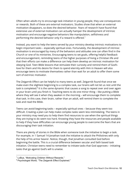Often when adults try to encourage task initiation in young people, they use consequences or rewards. Both of these are external motivators. Studies show that when an external motivation disappears, so does the desired behavior. Years of research have found that extensive use of external motivation can actually hamper the development of intrinsic motivation and encourage negative behaviors like manipulation, selfishness and performing the desired behavior only if a reward is offered.<sup>7</sup>

Instead, you want to help the teens served by your ministry develop intrinsic motivations to begin important tasks – especially spiritual ones. Fortunately, the development of intrinsic motivation is encouraged by many of the behaviors and attitudes one can often find in the Church or one of its ministries. Encouraging teens to set goals, offering helpful feedback and encouragement, reminding teens of the higher purposes of living a Christian life and that their efforts can make a difference can help them develop an intrinsic motivation for obeying God. Teen Bible lessons that stimulate their curiosity and remind them of God's love for them and His desire for them to spend eternity with Him in Heaven will also encourage teens to motivate themselves rather than wait for an adult to offer them some sort of extrinsic motivator.

The Zeigarnik Effect can be helpful to many teens as well. Zeigarnik found that once we make even the slightest beginning to a complex task, our brains will not let us rest until the task is completed. $8$  It is the same dynamic that causes a song to repeat over and over again in your brain until you finish it. Teaching teens to do one minor thing – like putting a Bible where they will see it when they awaken in the morning – will encourage them to complete that task. In this case, their brain, rather than an adult, will remind them to complete the task and read the Bible.

Teens can avoid beginning tasks – especially spiritual ones – because they seem too difficult. Creating a plan can help make complex tasks seem less intimidating. The teens in your ministry may need you to help them find resources to use when the spiritual things they are trying to do seem too hard. Knowing they have the resources and people available to help if they have difficulties can encourage young people to overcome the fears that are discouraging their task initiation.

There are plenty of stories in the Bible when someone took the initiative to begin a task. For example, in 1 Samuel 14 Jonathan took the initiative to attack the Philistines with only the help of his armor bearer. Notice, though, that Jonathan consulted God before beginning the battle. This is a crucial difference between secular and faith based task initiation. Christian teens need to remember to initiate tasks that God approves – initiating tasks that go against God's will is unwise.

<sup>7</sup> LoBue, "Motivating Children Without Rewards."

<sup>&</sup>lt;sup>8</sup> Psychologist World, "The Zeigarnik Effect Explained."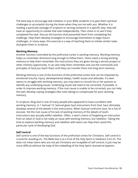The best way to encourage task initiation in your Bible students is to give them spiritual challenges to accomplish during the times when they are not with you. Whether it is reading a particular passage of scripture or serving someone in a specific way, they will have an opportunity to initiate that task independently. Then check in to see if they completed the task. Discuss the barriers that prevented them from completing the challenge. Help them develop strategies to encourage themselves to begin future challenges. In many ways, this exercise is a way of teaching them to initiate similar tasks God gives them in scripture.

#### **Working Memory**

Another function controlled by the prefrontal cortex is working memory. Working memory helps us remember directions long enough to follow them. Teens need a strong working memory to help them remember the instructions they are given during a service project or other ministry opportunity. It can also help them remember and use the commands and principles of God you teach them until they can transfer them into long term memory.

Working memory is one of the functions of the prefrontal cortex that can be impacted by emotional trauma, injury, developmental delays, health issues and attitudes. If a teen seems to struggle with working memory, you may want to consult his or her parents to identify any underlying issues. Underlying issues will need to be corrected, if possible, in order to improve working memory. If the root cause is unable to be corrected, you can help the teen develop coping strategies (like note taking) to compensate for poor working memory.

In scripture, King Saul is one of many people who appeared to have a problem with working memory. In 1 Samuel 15, Samuel gives Saul instructions from God. Saul ultimately disobeys several of the details in the instructions. When Samuel confronts Saul, he is full of excuses. Yet the root cause of his lack of working memory of the details of God's instructions was actually willful rebellion. Often, a teen's claims of forgetting an instruction from an adult or God is not really an issue with working memory, but rebellion. Taking the time to explore working memory and rebellion with teens can help them avoid this particular cycle of disobeying God.

#### **Self Control**

Self control is one of the key functions of the prefrontal cortex for Christians. Self control is crucial for avoiding sin. The Bible lists it as a fruit of the Holy Spirit in Galatians 5:22-23. This does not mean teens who are not yet Christians are incapable of self control, it just may be more difficult without the help of the indwelling of the Holy Spirit received at baptism.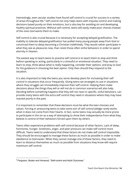Interestingly, even secular studies have found self control is crucial for success in a variety of areas throughout life.<sup>9</sup> Self control not only helps teens with impulse control and making decisions based purely on their emotions, but is also key for avoiding sin and developing healthy spiritual practices. Without self control, teens will easily make poor choices instead of the ones God wants them to make.

Self control is also crucial because it is necessary for accepting delayed gratification. The inability to tolerate delayed gratification has pulled many young people away from God or convinced them to delay becoming a Christian indefinitely. They would rather participate in what they see as pleasures now, than resist those often sinful behaviors in order to spend eternity in Heaven.

The easiest way to teach teens to practice self control is to teach them to stop and think before speaking or acting, particularly in a stressful or emotional situation. They need to learn to stop, think about what is really happening, consider their options, and pray to God for His guidance in choosing the best option. Only then should they respond to the situation.

It is also important to help the teens you serve develop plans for increasing their self control in situations that occur frequently. Giving teens set strategies to use in situations where they struggle can immediately improve their self control. Helping them make decisions about the things they will or will not do in common scenarios will also help. Deciding before something happens that they will not react in specific, sinful behaviors, can provide many teens with the extra self control they need in situations where they may have reacted poorly in the past.

It is important to remember that these decisions must be what the teen chooses and values. Forcing or pressuring teens to take some sort of self control pledge rarely works when it does not come from their hearts. In fact, some teens may actually be more prone to participate in the sin as a way of attempting to show their independence from what they believe is control of their behaviors forced upon them by others.

Teens often experience problems with self control because of other factors. Lack of sleep, hormones, hunger, loneliness, anger, and peer pressure can make self control more difficult. Teens need to understand that these factors do not make self control impossible. They should be encouraged to manage these factors as much as possible in order to make obedience to God easier. When they cannot manage one of these factors, they need to learn to distance themselves as much as possible from situations they know will require maximum self control.

<sup>&</sup>lt;sup>9</sup> Ferguson, Boden and Horwood, "Self-control and Adult Outcomes."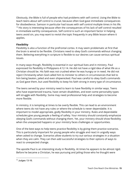Obviously, the Bible is full of people who had problems with self control. Using the Bible to teach teens about self control is crucial, because often God gave immediate consequences for disobedience. Samson in particular had issues with self control multiple times in his life.  $10$  His story is interesting because often the consequences of his lack of self control resulted in immediate earthly consequences. Self control is such an important factor in helping teens avoid sin, you may want to revisit the topic frequently in any Bible lesson where it applies.

# **Flexibility**

Flexibility is also a function of the prefrontal cortex. It may seem problematic at first that the brain is wired to be flexible. Christians need to obey God's commands without changing them. Believing everything in scripture is flexible to our desires can cause serious spiritual issues.

In many ways though, flexibility is essential in our spiritual lives and in ministry. Paul expressed his flexibility in Philippians 4:12-14. He did not have a rigid idea of what life as a Christian should be. His faith was not crushed when he was hungry or in need. He did not reject Christianity when God called him to minister to others in circumstances that led to him being beaten, jailed and even shipwrecked. Paul was careful to obey God's commands as God gave them, but used flexibility to keep his faith strong in every type of circumstance.

The teens served by your ministry need to learn to have flexibility in similar ways. Teens who have experienced trauma, have certain disabilities, and even some personality types will struggle with flexibility. Some may need professional help and strategies to become more flexible.

In ministry, it is tempting at times to be overly flexible. This can lead to an environment where teens do not have any rules or where the schedule is never dependable. It is important to model appropriate, godly flexibility in your ministry. Rules and dependable schedules give young people a feeling of safety. Your ministry should constantly emphasize obeying God's commands without changing them. Yet, your ministry should show flexibility when the unexpected happens or your ministry faces challenges or opportunities.

One of the best ways to help teens practice flexibility is by giving them practice scenarios. This is particularly important for young people who struggle and react in ungodly ways when asked to change. Scenarios allow students to try out various strategies in a situation when they are calm. They can then add successful strategies to their options of ways to react to unexpected change.

The apostle Paul is an interesting study in flexibility. At times he appears to be almost rigid. Before he became a Christian, he was pursuing and jailing those who he thought were

 $10$  Judges 13-16.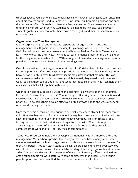disobeying God. Paul demonstrated crucial flexibility, however, when Jesus confronted him about his choices on the Road to Damascus. Days later, Paul became a Christian and spent the remainder of his life teaching others the Gospel message. There were several other times in his ministry when serving God meant Paul had to be flexible. Teaching your students godly flexibility can make their choices more godly and their personal ministries more effective.

#### **Organization and Time Management**

It is no surprise the prefrontal cortex is responsible for organizational and time management skills. Organization is necessary for planning, task initiation and even flexibility. Without strong time management skills, organization often fails. Teens need to learn how to organize their lives. They need to learn to manage their time so there is room for the things God wants them to do. Without organization and time management, spiritual practices and ministry are often lost in the resulting chaos.

One of the most important organizational skill sets for Christian teens to learn and practice is setting priorities. Often crucial spiritual practices are unintentionally given a low priority, because top priority is given to whatever seems most urgent at that moment. This can cause teens to make decisions that seem good, but actually begin to distract them from God. Teaching them to put God first – and what that looks like in their lives – can help them make choices that will keep their faith strong.

Organization also requires logic, wisdom and planning. Is it wiser to do this or that first? How would God want me to do this? What is a way to effectively serve in this situation and share our faith? Being organized ultimately helps students make choices based on God's priorities. It also helps them develop effective spiritual growth habits and ways of serving others and sharing their faith.

Once teens begin organizing their priorities and tasks, they need strong time management skills. How are they going to find the time to do everything they need to do? What will they sacrifice if there is not enough time to accomplish everything? This can create a loop, forcing teens to revisit their priorities and organizational skills. When this loop is not actively taught to teens, often the spiritual things are forgotten as they struggle to complete schoolwork and fulfill extracurricular commitments.

Teens need resources to help them develop organizational skills and improve their time management. Many schools practice forced organization and time management, where students are told exactly how to organize various things and every minute is scheduled for them. It is better if you can teach teens to think in an organized, time conscious way. You can introduce them to various calendars, Bible reading plans, prayer journals and more as aides. The personalities and circumstances of teens are often very different and various organizational tools will work better with some adolescents than others. Giving young people options can help them find the resources that work best for them.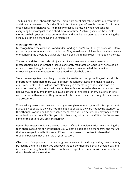The building of the Tabernacle and the Temple are great biblical examples of organization and time management. In fact, the Bible is full of examples of people obeying God in very organized and efficient ways. The ministry of Jesus is amazing when you consider everything he accomplished in a short amount of time. Analyzing some of these Bible stories can help your students better understand how being organized and managing their schedules can help them live the Christian life.

#### **Metacognition Skills**

Metacognition is the awareness and understanding of one's own thought processes. Many young people seem to act without thinking. They actually are thinking, but may be unaware of or ignoring the thoughts that would have helped them make wiser, more godly choices.

The command God gave Joshua in Joshua 1:8 is a great verse to teach teens about metacognition. God knew that if Joshua constantly meditated on God's Law, he would be aware of those thoughts when making important choices as he led the Israelites. Encouraging teens to meditate on God's word will also help them.

Since the average teen is unlikely to constantly meditate on scripture like Joshua did, it is important to teach them to be aware of their thought processes and make necessary adjustments. Often this is done more effectively in a mentoring relationship than in a classroom setting. Most teens will need to feel safe in order to be able to share what they believe may be thoughts that would cause others to think less of them. In a one-on-one conversation with a mentor, they are more likely to share the actual thoughts their brains are processing.

When asking teens what they are thinking at any given moment, you will often get a blank stare. It is not because they are not thinking, but because they are not paying attention to their thoughts or no one has ever asked them that question before. You may need to ask more leading questions like, "Do you think that is a good or bad idea? Why?" or "What are some of the options you are considering?"

Remember, metacognition is a growth process. If you immediately criticize everything the teen shares about his or her thoughts, you will not be able to help them grow and mature their metacognition skills. It is very difficult to help teens who refuse to share their thoughts because they are afraid of your reaction.

Obviously, it is important to make young people aware of the thoughts they have that may be leading them to sin. How you approach the topic of their problematic thought patterns is crucial. Teaching them God's truths with love, respect and patience will be more effective than a harsh, critical reaction.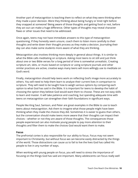Another part of metacognition is teaching them to reflect on what they were thinking when they made a poor decision. Were they thinking about being hungry or tired right before they snapped at someone? Being aware of those thoughts and getting food or rest, before they act out can make a huge difference. Other types of thoughts may reveal character flaws or other issues that need to be addressed.

Once again, teens may not have immediate answers to this type of metacognition questioning. If they honestly seem unsure, coach them to listen more carefully to their thoughts and write down their thought process as they make a decision. Journaling their day can also make some students more aware of what they are thinking.

Metacognition also involves thinking more deeply in general about things. It is similar to what the Bible calls meditating on scripture. Asking most teens to sit still and just think about one or two Bible verses for a long period of time is somewhat unrealistic. Creating scripture art, skits, or music based on scripture or using scripture journals and other similar practices are active, creative ways many teens will more willingly use to meditate on God's word.

Finally, metacognition should help teens work on reflecting God's image more accurately to others. You will need to help them learn to analyze their current lives in comparison to scripture. They will need to be taught how to weigh various options by comparing each option to what God has said in the Bible. It is important for teens to develop the habit of choosing the option they believe God would want them to choose. These are not easy skills to learn and master. It will take patience and coaching, but spending adequate time with teens on metacognition can strengthen their faith foundations in significant ways.

People like King Saul, Samson, and Peter are great examples in the Bible to use to teach teens about metacognition. Ask them to imagine what those people might have been thinking when they made the choices they did. Sometimes it is easier to guess than others, but the conversation should make teens more aware that their thoughts can impact their choices – whether or not they are aware of those thoughts. The consequences those people experienced can also motivate young people to pay more attention to their thoughts and filter them to make the choices God would want them to make.

#### **Focus**

The prefrontal cortex is also responsible for our ability to focus. Focus may not seem important to Christianity, but without focus we can become easily distracted by the things of the world. Those distractions can cause us to fail to live the lives God has called His people to live in any number of ways.

When working with young people on focus, you will need to stress the importance of focusing on the things God has said are important. Many adolescents can focus really well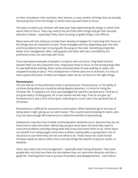on their schoolwork, their activities, their phones, or any number of things that are actually distracting them from the things on which God may want them to focus.

The teens to whom you minister will need your help determining the things on which God wants them to focus. They may need to list all of the other things that get their focused attention instead – especially if they claim focusing on godly things is too difficult.

Many teens will also need you to help them develop strategies for improving their focus on the things that are important to God. Those strategies will vary depending upon the task and the problems the teen is having with focusing on that task. Something simple like better time management skills, setting goals and other skill sets controlled by the prefrontal cortex can also help with focus.

If you want great examples of people in scripture who lost focus, King David and the Apostle Peter are two important ones. King David chose to focus on the wrong things after he saw Bathsheba bathing. Peter nearly drowned when he was walking on water and stopped focusing on Jesus. The consequences in these cases are so dramatic; it is easy to have a great discussion of what can happen when we do not focus on the right things.

#### **Perseverance**

The last skill set of the prefrontal cortex is perseverance. Perseverance, or the ability to continue doing what you should be doing despite obstacles, is critical for living the Christian life. In Galatians 6:9, Paul acknowledged the need for perseverance: "And let us not grow weary of doing good, for in due season we will reap, if we do not give up." Perseverance is also a fruit of the Spirit, indicating its crucial role in the spiritual lives of Christians.

Perseverance is difficult for everyone to some extent. When obstacles get in the way of doing what is right, giving up can seem easier. This is particularly tempting for teens, who may not have enough life experience to realize the benefits of persevering.

Adolescents may also have trouble continuing when obstacles occur, because they do not know how to overcome them. Mentoring can give some teens the tools they need to overcome problems and keep doing what they know God wants them to do. Other teens can benefit from being taught some basic problem solving skills or giving them a list of resources to use when they are not sure what to do. These resources could include Christian adults as well as other more concrete things like specific scriptures, books, or websites.

Teens also need a lot of encouragement – especially when facing obstacles. They need people who not only love them but also believe they can overcome obstacles and live a godly life. Teaching them how to process frustration and disappointment - even failure -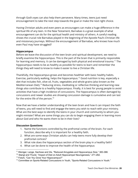through God's eyes can also help them persevere. Many times, teens just need encouragement to take the next step towards the goal or make the next right choice.

Having Christian adults and even peers as encouragers can make a huge difference in the spiritual life of any teen. In the New Testament, Barnabas is a great example of what encouragement can do for the spiritual health and ministry of others. A careful reading shows the crucial role Barnabas played in the beginning of the Apostle Paul's Christian life and missionary journeys. Without the encouragement of Barnabas, who knows how much even Paul may have struggled?

#### **Hippocampus**

Before we leave the discussion of the teen brain and spiritual development, we need to briefly examine the hippocampus. This is the part of the brain that is primarily responsible for learning and memory. It can be damaged by both physical and emotional trauma.<sup>11</sup> The hippocampus needs to be as healthy as possible for teens to learn and remember the things they will need to know to make it easier to live a Christian life.

Thankfully, the hippocampus grows and becomes healthier with basic healthy habits. Exercise, particularly walking, helps the hippocampus.<sup>12</sup> Good nutrition is key, especially a diet that includes fish, olive oil, fruits, vegetables and whole grains (also known as the Mediterranean Diet).<sup>13</sup> Reducing stress, meditating or reflective thinking and learning new things also contribute to a healthy hippocampus. Finally, it is best for young people to avoid activities that have a high incidence of concussions. The hippocampus is often damaged by concussions and newer studies are showing concussion damage is cumulative and can last for the entire life of the person. 14

Now that we have a better understanding of the teen brain and how it can impact the faith of teens, you will need to find and engage the teens you wish to reach with your ministry. What are the best ways to identify the teens in your church and community to whom you might minister? What are some things you can do to begin engaging them in learning more about God and who He wants them to be in their lives?

#### **Discussion Questions**

- 1. Name the functions controlled by the prefrontal cortex of the brain. For each function, describe why it is important for a healthy faith.
- 2. What are some ways Christian adults can help teens more fully develop their prefrontal cortices?
- 3. What role does the hippocampus section of the brain play in a healthy faith?
- 4. What can be done to improve the health of the hippocampus

<sup>&</sup>lt;sup>11</sup> Weniger, Lange, Sachsse and Irle, "Reduced Amygdala and Hippocampus Size," 383-388.

<sup>&</sup>lt;sup>12</sup> Stangl and Thuret, "Impact of Diet on Adult Hippocampal Neurogenesis," 271-282.

<sup>&</sup>lt;sup>13</sup> Fotuhi, "Can You Grow Your Hippocampus?"

<sup>&</sup>lt;sup>14</sup> Committee on Sports-Related Concussions in Youth, "Sports-Related Concussions in Youth."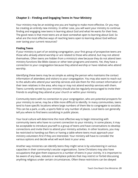# <span id="page-20-0"></span>**Chapter 3 – Finding and Engaging Teens In Your Ministry**

Your ministry may be an existing one you are hoping to make more effective. Or you may be creating an entirely new ministry. In either case, you will want your ministry to continue finding and engaging new teens in learning about God and what He wants for their lives. The good news is that most teens are at least somewhat open to learning about God. So what are the most effective ways of reaching teens open to learning about God without over taxing your current resources?

#### **Finding Teens**

If your ministry is part of an existing congregation, your first group of prospective teens are those who already attend worship or are related to those who attend, but may not attend themselves. Often teens are hidden from a ministry's view because they do not attend teen ministry functions like Bible classes or other teen programs and events. Yet, they have a connection to your congregation because they attend worship or have relatives who attend worship.

Identifying these teens may be as simple as asking the person who maintains the contact information of attendees and visitors to your congregation. You may also want to reach out to the adults who attend your worship services and ask them for the contact information of their teen relatives in the area, who may or may not attend worship services with them. Teens currently served by your ministry should also be regularly encouraged to invite their friends to anything they attend at your church or within your ministry.

Community teens with no connection to your congregation, who are potential prospects for your ministry to serve, may be a little more difficult to identify. In many communities, teens tend to have specific locations where large numbers of them like to congregate to socialize. This can be a park, a cafe, a sports field or any number of places. Local teens can generally tell you where to find teens socializing in public places.

Your local culture will determine the most effective way to begin interacting with community teens who have no current connection to your ministry. In some places, it may be acceptable to introduce yourself to a group of teens and have conversations to develop connections and invite them to attend your ministry activities. In other locations, you may be restricted to handing out fliers or having a table where teens must approach your ministry volunteers first if they are interested. Your ministry will have to consider the various options and decide what will work best in your area.

Another way ministries can identify teens they might serve is by volunteering in various capacities in their community's secular organizations. Some Christians may also have occupations that give them exposure to a number of teens in your vicinity. It is important to be aware of any laws, statutes or workplace policies that may restrict or forbid discussing anything religious under certain circumstances. Often these restrictions can be obeyed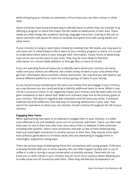while still giving your ministry an awareness of local teens you can then contact in other ways.

Some ministries have found the best way to identify teens to whom they can minister is by offering a program or event that meets the felt needs of adolescents in their area. These needs are often things like academic tutoring, language instruction, training in the arts or sports and even safe places for teens to socialize and spend time with caring adults and other teens.

If your ministry is trying to reach teens initially by meeting their felt needs, you may want to use some sort of advertising to inform teens of your ministry program or event. It is crucial to understand where teens in your area get their information. Classic forms of advertising may not be seen by the teens in your area. They may be more likely to find their information on a social media platform or through fliers or word of mouth.

If you are spending financial resources to identify teens whom your ministry can serve, make sure your choices are effective. Ask a wide variety of teens in your area where they get their information about activities, classes and events. You may find you will need to use several different platforms to reach the various groups of teens in your vicinity.

As you become busy ministering to the teens you initially find and engage in your ministry, you may discover you are rarely working to identify additional teens to serve. While it may not be a conscious choice, it can negatively impact your ministry and the teens who are not given invitations to learn about God. Make sure outreach stays one of the primary goals of your ministry. Talk about it regularly with volunteers and the teens you serve. If outreach methods become ineffective, find new ways of reaching adolescents in your area. Your search for new teens to whom you can minister should continue throughout the life of your ministry.

#### **Engaging New Teens**

When approaching new teens in an attempt to engage them in your ministry, it is often most effective to try and establish some sort of connection with them. Teens can often feel they have no one in their lives who truly cares about them or believes in their potential including their parents. Teens crave connection and with so few of them believing they have any meaningful connection to another person in their lives, they may be more open than previous generations to Christian adults who are attempting to engage them in meaningful, supportive, loving ways.

There are various ways of attempting those first connections with young people. If the teen is already familiar with you in some capacity, this can often happen quickly over a cup of coffee in a cafe or during a casual conversation at worship services. Teens who do not know you or other adults in your ministry may be much more cautious about allowing you to make some sort of connection with them. Often they will feel less threatened in an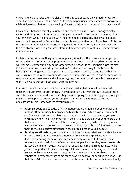environment that allows them to blend in with a group of teens they already know from school or their neighborhood. This gives them an opportunity to be somewhat anonymous, while still getting a better understanding of what participating in your ministry might entail.

Connections between ministry volunteers and teens can also be made during ministry events and programs. It is important to keep volunteers focused on the ultimate goal of your ministry. While helping teens with their felt needs is laudable, these young people need to be introduced to God and learn what He wants for them and from them. Ministries that are not intentional about transitioning teens from their programs for felt needs to their spiritual classes and programs, often find their ministries eventually become almost entirely secular.

Each teen may find something different appealing about the Bible classes, small group Bible studies, and other spiritual programs and activities your ministry offers. Some teens will feel more comfortable attending larger group functions in the beginning. Others may feel more comfortable spending time with a Christian mentor away from the church building or meeting place. It is important to get to know individual teens well by having various ministry volunteers work on developing relationships with each one of them. As the relationships between teens and volunteers grow, your ministry will be able to engage each teen in the ways that are most effective for him or her.

Educators have found that students are most engaged in their education when their teachers do some very specific things. The volunteers in your ministry can develop these same behaviors and attitudes whether they are attempting to initially engage a teen in your ministry, are hoping to engage young people in a Bible lesson, or hope to engage adolescents in some other aspect of your ministry.

- **● Having a positive attitude.** Often without realizing it, adults doubt whether the methods they are using to engage and teach teens will actually work. This lack of confidence is obvious to students who may also begin to doubt if what you are teaching them will be truly impactful in their lives. It is crucial your volunteers place their complete trust in God and His plans for your ministry. While they may make mistakes or need to improve in certain areas, they should be confident God can use them to make a positive difference in the spiritual lives of young people.
- **● Building relationships.** Jesus spent a lot of time building relationships while he was on earth. He spent an incredible amount of time with the Apostles and other disciples preparing them for their ministry after he returned to Heaven. These relationships allowed him to influence these people, because they knew how much he loved them and they learned to have respect for him and his teachings. While you are not perfect like Jesus, building relationships with the teens you serve will have a similar positive impact on your ability to teach and mentor them. It is also important to remember that some teens have no positive, supportive role models in their lives. Adults who volunteer in your ministry need to be aware that occasionally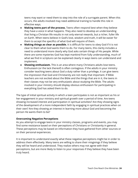teens may want or need them to step into the role of a surrogate parent. When this occurs, the adults involved may need additional training to handle this role in effective ways.

- **● Making teens part of the process.** Teens often respond best when they believe they have a voice in what happens. They also need to develop an understanding that living a Christian life results in not only eternal rewards, but a richer, fuller life on Earth. When teens believe in God's love, wisdom and truth, it will be easier for them to accept the specifics of what God will require of them.
- **● Making things as clear as possible.** It is difficult for teens to obey God if it is not clear to them what God wants them to do. For many teens, this clarity includes a need to understand more clearly why God asks certain things of His people. While there are some mysteries God has kept mankind from fully understanding, much of what we find in scripture can be explained clearly in ways teens can understand and implement.
- **● Showing enthusiasm.** This is an area where many Christians adults lose teens. Enthusiasm (or the lack thereof) is often contagious. If the adults in your ministry consider teaching teens about God a duty rather than a privilege, it can give teens the impression that God and Christianity are not really that important. If Bible teachers are not excited about the Bible and the things that are in it, the teens in their classes may not be very enthusiastic about studying the Bible. The adults involved in your ministry should display obvious enthusiasm for participating in everything God has asked them to do.

The type of initial spiritual activity in which a teen participates is not as important as his or her engagement in your ministry and spiritual growth over a period of time. Are teens showing increased interest and participation in spiritual activities? Are they showing signs of the development of a more independent faith by engaging in spiritual practices when on their own? Are they showing an interest in learning more about God and becoming the person He wants them to be?

#### **Overcoming Negative Perceptions**

As you attempt to engage teens in your ministry classes, programs and events, you may find some resistance based on their perceptions of Christians or Christianity in general. These perceptions may be based on information they have gathered from other sources or on their personal experiences.

It is important to understand exactly what these negative perceptions might be in order to address them effectively. Many teens are willing to share their misgivings if they believe they will be heard and understood. They realize others may not agree with their perceptions, but are more likely to listen to your responses if they believe they have been truly heard.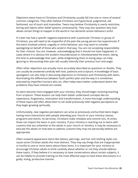Objections teens have to Christians and Christianity usually fall into one or more of several common categories. They often believe Christians are hypocritical, judgmental, old fashioned, out of touch and insensitive. Teens may believe Christianity is overly restrictive, boring and rejects other belief systems unnecessarily. They may also question why God allows certain things to happen in the world or has declared certain behaviors sinful.

If a teen has had a specific negative experience with a particular Christian or group of Christians, you will need to be respectful of the pain the young person has experienced. If the event involved unkind, ungodly or sinful behavior, you may want to consider apologizing on behalf of those who acted in that way. You are not accepting responsibility for their choices. You are, however, acknowledging that it should not have happened. In cases where it is obvious the student misunderstood or misinterpreted the event, taking the time to acknowledge their pain, while enlightening them in loving ways can help. Ignoring or discounting their pain will usually intensify their previous hurt and anger.

Often other objections are actually more accurately described as questions or doubts. They can usually be answered carefully with love, patience and scripture. A knowledge of basic apologetics can also help in discussing objections to Christians and Christianity with teens. Illuminating the differences between God's perfect plan and the way it is sometimes executed by imperfect humans who sin, often helps teens better understand where the problems they have noticed are rooted.

As teens become more engaged with your ministry, they should begin receiving teaching from scripture. These lessons can help them better understand concepts like sin, repentance, forgiveness, restoration and transformation. A more thorough understanding of these topics will often allow them to set aside previously held negative perceptions as they begin growing spiritually.

Unfortunately, new negative perceptions can arise as previously unchurched teens begin having more interactions with people attending your church or your ministry classes, programs and events. As we know, Christians make mistakes and commit sins. At times, these can impact the teens in your ministry. If your ministry is reaching out to teens with customs that are unfamiliar to the adults in your church or ministry, it may be necessary to educate the adults on how best to address customs they may not personally believe are appropriate.

Often outward appearance items like tattoos, piercings, and hair and clothing styles can cause some Christian adults the most distress. They may say things that are inappropriate or hurtful to one or more teens about these items. It is important for your ministry to encourage Christian adults to think carefully about whether or not they should address these topics. If they believe it is necessary to have conversations about certain subjects, it can be helpful to provide training on the most effective ways to have these discussions in a godly, loving, productive manner.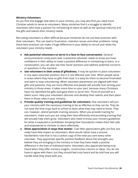#### **Ministry Volunteers**

As you find and engage new teens in your ministry, you may also find you need more Christian adults to serve as volunteers. Many ministries find it a struggle to identify volunteers who have a passion for ministering to teens as well as the spiritual maturity and the gifts and talents their ministry needs.

Recruiting volunteers is often difficult because ministries do not use best practices with their volunteers. This can lead to frustration, retention issues and other problems. Using these best practices can make a huge difference in your ability to recruit and retain the volunteers your ministry needs.

- **● Ask potential volunteers to serve in a face to face conversation.** General announcements rarely work well. A potential volunteer needs to know you have confidence in their ability to make a positive difference in ministering to teens. In a conversation, you can also see their facial reactions and address potential concerns or questions in the moment.
- **● Use volunteers in their areas of giftedness.** It may be quicker to place volunteers in any open volunteer position, but it is not effective over time. When people serve in areas where they have no gifts from God, it is easy for them to become frustrated and want to stop volunteering. When volunteer placements are aligned with their gifts and passions, they are more effective and people will actually love serving your ministry in those areas. It takes more time on your part, because many Christians have not identified the gifts God gave them to serve Him. Think of yourself as a talent scout. Help your volunteers discover and develop their talents and then place them in those roles in your ministry.
- **● Provide quality training and guidelines for volunteers.** Few volunteers will join your ministry with the necessary training to be as effective as they can be. They do not have the time to go back to school to learn what they may need to know. They can, however, attend periodic training sessions. When you provide training for volunteers, make sure you are using their time efficiently and providing training that will actually help them grow. Volunteers also need to know your ministry guidelines for what is expected or prohibited. Knowing their boundaries makes them feel safe and empowered to minister to teens effectively.
- **● Show appreciation in ways that matter.** Cute little appreciation gifts are fine, but really have little impact on volunteers. Most would rather have a sincere, handwritten note that is not a carbon copy of the note you sent every other volunteer. They appreciate specific positive feedback about the strengths you believe they are bringing to the ministry or how they have made a positive difference in the lives of individual teens. Volunteers also appreciate being truly heard when they offer ministry insights, constructive criticism or ideas. You do not have to agree with them, but they should feel truly heard and be told how you will handle what they share with you.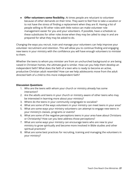**● Offer volunteers some flexibility.** At times people are reluctant to volunteer because of other demands on their time. They want to feel free to take a vacation or to not have the stress of finding a replacement when they are ill. Having a list of people willing to fill other roles with little notice can make volunteer role management easier for you and your volunteers. If possible, have a schedule so these substitutes for other roles know when they may be called to step in and are prepared for what they may be asked to do.

Changing the ways you recruit, train and manage your volunteers can help improve your volunteer recruitment and retention. This will allow you to continue finding and engaging new teens in your ministry with the confidence you will have enough volunteers to minister to them.

Whether the teens to whom you minister are from an unchurched background or are being raised in Christian homes, the ultimate goal is similar. How can you help them develop an independent faith? What does the faith of a teen who is ready to become an active, productive Christian adult resemble? How can we help adolescents move from the adult directed faith of a child to this more independent faith?

#### **Discussion Questions**

- 1. Who are the teens with whom your church or ministry already has some interaction?
- 2. Are the adults and teens in your church or ministry aware of other teens who may be interested in learning more about your ministry?
- 3. Where do the teens in your community congregate to socialize?
- 4. What are some of the ways volunteers in your ministry can meet teens in your area?
- 5. What are some ways your ministry volunteers can attempt to engage new teens in your ministry's classes, programs or events?
- 6. What are some of the negative perceptions teens in your area have about Christians or Christianity? How can you best address those perceptions?
- 7. What are some ways your ministry can encourage teens who are new to your ministry to grow spiritually and become more involved in Bible studies and other spiritual practices?
- 8. What are some best practices for recruiting, training and managing the volunteers in your ministry?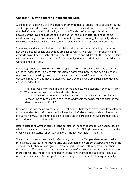# <span id="page-27-0"></span>**Chapter 4 – Moving Teens to Independent Faith**

A child's faith is often guided by a parent or other influential adults. These adults encourage spiritual practices like prayer and worship. They teach the child stories from the Bible and their beliefs about God, Christianity and more. The child often accepts this direction because of the love and respect he or she has for the adult. In later childhood, some children will begin to question aspects of what they have been taught – especially when it disagrees with what they are being taught at school or in other secular environments.

Some teens and even adults keep this childish faith, without ever reflecting on whether or not their personal beliefs and actions are aligned with it. This faith is often shallow and easily destroyed by the slightest challenge. Often, teens and adults with this immature faith will continue attending worship out of habit or obligation instead of their personal desire to worship and obey God.

For young people to grow to become strong, productive Christians, they need to develop an independent faith. At times this transition is hampered, because the basic questions teens want answered by their Church have gone unanswered. The wording of the questions may vary, but they are often expressed by teens who are struggling to develop an independent faith.

- 1. What does God want from me and for me and how will accepting it change my life?
- 2. What is my purpose on earth and in the Church?
- 3. What is Christian community and why do I need it when it seems so problematic?
- 4. How can I be truly challenged to be who God wants me to be, yet also encouraged when it seems too difficult?

Helping teens find the answers to these questions can help them move towards developing an independent faith. Most teens will still need adult Christians to provide additional help in a variety of ways for them to be able to complete the process of moving from an adult directed to an independent faith.

Before discussing ways of helping teens develop an independent faith, we need to decide what the indicators of an independent faith may be. The Bible gives us some clues, the first of which is the historical understanding of an independent faith in Judaism.

The account of Jesus traveling with Mary and Joseph to the Temple when he was twelve reflects the practices in the Mishna (The oral tradition of Jewish law that became part of the Talmud. The Mishna was not given to man by God, but was written primarily by rabbis.) that were in effect when Jesus was alive. At the age of twelve, religious instruction became more intense. The modern bar and bat mitzvahs have changed the age to thirteen, but reflect a similar spirit. At this age, the teen is thought to be capable of being personally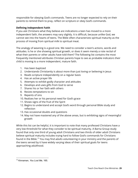responsible for obeying God's commands. Teens are no longer expected to rely on their parents to remind them to pray, reflect on scripture or obey God's commands.

# **Defining Independent Faith**

If you ask Christians what they believe are indications a teen has moved to a more independent faith, the answers may vary slightly. It is difficult, because unlike God, we cannot see into the hearts of teens. The Bible often characterizes spiritual maturity as the process of moving from spiritual milk to spiritual meat.

The analogy of weaning is a good one. We need to consider a teen's actions, words and attitudes. Is he or she showing spiritual growth, or does it seem merely a rote recital of what their parents or other adults have told them? The following list contains the most frequently mentioned attributes Christian parents hope to see as probable indicators their child is moving to a more independent, mature faith.

- 1. Has been baptized
- 2. Understands Christianity is about more than just loving or believing in Jesus
- 3. Reads scripture independently on a regular basis
- 4. Has an active prayer life
- 5. Attempts to exhibit godly character and attitudes
- 6. Develops and uses gifts from God to serve
- 7. Shares his or her faith with others
- 8. Resists temptations to sin
- 9. Repents of sins
- 10. Realizes her or his personal need for God's grace
- 11. Shows signs of the fruit of the Spirit
- 12. Begins to understand and accept God's word through personal Bible study and reflection
- 13. Has occasional doubts and questions
- 14. May not have mastered any of the above areas, but is exhibiting signs of meaningful growth

While this list can be helpful, it is important to note that many professed Christians have a very low threshold for what they consider to be spiritual maturity. A Barna Group study found that only one third of young adult Christians and two thirds of older adult Christians believe spiritual maturity includes trying hard to follow God's commands for Christians found in the Bible.<sup>15</sup> You may find adults volunteering in your ministry and the parents of the teens served by it have widely varying ideas of their spiritual goals for teens approaching adulthood.

<sup>15</sup> Kinnaman, *You Lost Me*, 165.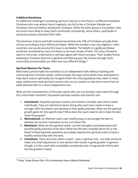#### **A Biblical Worldview**

An additional challenge in assessing spiritual maturity is that there is a difference between Christians who may attend church regularly, but fail to live a Christian lifestyle and Christians who are faithful, productive Christians. While the latter group is not perfect, they are much more likely to obey God's commands consistently, serve others, participate in spiritual practices and share their faith.

The American Culture and Faith institute found that only 10% of Christians actually think and act according to basic biblical principles. While the numbers may vary slightly in other countries, one would assume this issue is worldwide. The beliefs in a godly worldview would be considered by many Christians to be basic tenets of faith. Yet many Christians seem to not know, understand or perhaps agree with these concepts. Their studies found, believing in Christian doctrine in general and filtering your life choices through God's commands and principles are often two very different things. 16

#### **Spiritual Mentors for Teens**

Most teens cannot make the transition to an independent faith without teaching and mentoring from Christian adults. Unfortunately, the ways some adults have attempted to help teens mature spiritually has not given them the critical guidance they need. In many ways, adolescents need spiritual mentors who act as coaches to help them move from an adult directed faith to a more independent one.

What are the characteristics of Christian adults who can successfully coach teens through this critical faith transition? Successful spiritual coaches and mentors are:

- 1. **Intentional.** Impactful spiritual coaches and mentors consider each teen's needs individually. They are intentional about doing what each teen needs to have a stronger faith foundation and develop to their godly potential. What are the spiritual growth goals for this specific teen? What does the coach need to do to help the teen reach those goals?
- 2. **Motivational.** An effective coach uses healthy ways to encourage the teen to develop the intrinsic motivation to live a Christian life.
- 3. **Relational.** What are the spiritual needs, current strengths and weaknesses and possible godly potential of the teen? What has the teen revealed about his or her heart? Answering these questions accurately requires the spiritual coach to have a healthy relationship with the teen.
- 4. **Consistent.** There are times when a coach even a spiritual one can help someone make one small adjustment in one session that results in great growth. In general though, it is the coach who is available consistently over a long period of time who has the greatest impact.

 $16$  Foley. "Study Shows Only 10% of Americans Have a Biblical Worldview."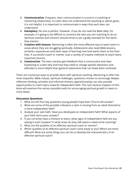- 5. **Communicative.** Frequent, clear communication is crucial in a coaching or mentoring relationship. If a teen does not understand the teaching or advice given, it is not helpful. It is important to communicate in ways that each teen can understand.
- 6. **Exemplary.** No one is perfect. However, if you do not read the Bible daily, for example, it is going to be difficult to convince the teen you are coaching to do so. Spiritual coaches and mentors should strive to set a godly example for the teens they mentor.
- 7. **Creative with lessons.** Mentoring is often the most effective way to teach teens in areas where they are struggling spiritually. Adolescents also need Bible lessons, activities, experiences and other ways of learning how God wants them to live their lives. A successful coach or mentor uses a variety of creative methods to teach teens important lessons.
- 8. **Constructive.** The best coaches give feedback that is constructive and clear. Explaining to a teen why and how they need to change specific behaviors and attitudes is more helpful than general statements that can leave them confused.

There are numerous ways to provide teens with spiritual coaching. Mentoring is often the most impactful. Bible classes, spiritual challenges, questions chosen to encourage deeper, reflective thinking, activities and informal ministry apprenticeships can also provide opportunities to coach teens towards independent faith. The next several chapters of this book will examine the various possible tools for encouraging spiritual growth in teens in more detail.

#### **Discussion Questions**

- 1. What are the four key questions young people hope their Church will answer?
- 2. What are some of the possible indicators a teen is moving from an adult directed to a more independent faith?
- 3. Analyze your own faith. Have you developed an independent faith? What aspects of your faith led to your answer?
- 4. If you currently have a ministry to teens, what signs of independent faith are you seeing in each student? In what areas do they still need to need some coaching?
- 5. What are the qualities of an effective spiritual coach or mentor?
- 6. Which qualities of an effective spiritual coach come easily to you? Which are more difficult? What are some things you can do to develop the characteristics of an effective spiritual coach?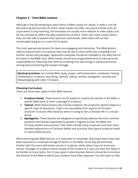# <span id="page-31-0"></span>**Chapter 5 – Teen Bible Lessons**

Although it may be tempting to place teens in Bible classes for adults, it really is not the best learning environment for them. Adult classes are often very lecture driven and can cause teens to stop listening. The examples are usually more relevant to older adults and do not necessarily reflect the daily experiences of teens. Teens also need a place where they can feel safe to explore their questions and doubts. Most teens will not feel comfortable doing so in a room full of adults.

The most appropriate lessons for teens are engaging and interactive. The Bible lessons need to expose them to scriptures that may be new to them while also reviewing more familiar stories and passages. Application examples should be relatable to the daily lives of the teens in the Bible class. Bible classes should encourage adolescents to take personal responsibility for maturing their faith by investing time and energy in spiritual practices, serving God and sharing the Gospel message.

**Spiritual practices** can include Bible study, prayer, self examination, confession, fasting, meditating on scripture, journaling, solitude, silence, service, evangelism, worship and fellowshipping with other Christians

#### **Choosing Curriculum**

There are three basic types of teen Bible lessons:

- 1. **Scripture based.** These lessons can be based on a particular person in the Bible, a specific Bible book or even a passage of scripture.
- 2. **Topical.** While these lessons also include scripture, the scriptures shared relate to a specific topic of discussion. Topics can vary widely from aspects of Christian character to issues often faced by teens in trying to live a Christian life in a secular world.
- 3. **Apologetics.** These lessons are designed to specifically address the most common questions and doubts expressed by people in regards to God, the Bible and Christian beliefs and practices. They often include many scriptures and have more detailed explanations of Christian beliefs and practices than typical scripture based or topical Bible lessons.

When planning teen Bible lessons, it is important to remember that many teens have only been exposed to a small percentage of what is in the Bible. Some may be extremely familiar with the more well known stories in scripture, while others may not know any stories. Passages of scripture found outside of the context of a story are even less likely to be familiar to many teens. Part of your goal in planning teen lessons should be to increase the amount of the Bible to which your students have been exposed. You also want to help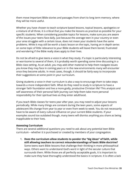them move important Bible stories and passages from short to long term memory, where they will be more useful.

Whether you have chosen to teach scripture based lessons, topical lessons, apologetics or a mixture of all three, it is critical that you make the lessons as practical as possible for your specific students. When considering possible topics for lessons, make sure you are aware of the issues your teens face daily. Just because the average teen in your country or even your area struggles with a certain issue, does not mean your students have the same problems. While it may still be worth a basic lesson on the topic, having an in depth series on some topic of little relevance to your Bible students will leave them bored, frustrated and wondering if the Bible really does apply to their lives.

Do not be afraid to give teens a voice in what they study. If a topic is particularly interesting or worrisome to several of them, it is probably worth spending some time discussing in a Bible class setting. As an adult, you may add other material to help them navigate issues you know they may face in coming years or in the new environments many will encounter once they become adults. In most cases, though, it should be fairly easy to incorporate their suggestions at some point in your curriculum.

Giving students a voice in their curriculum is also a way to encourage them to take steps towards a more independent faith. What do they need to study in scripture to have a stronger faith foundation and live a more godly, productive Christian life? This analysis and self awareness of their personal faith journey can help them take more personal responsibility for their spiritual lives as they enter adulthood.

If you teach Bible classes for teens year after year, you may need to adjust your lessons periodically. While many things are constant during the teen years, some aspects of adolescent life change from year to year or even from week to week. You do not necessarily have to be aware of every cultural influence on your current Bible students. If your examples sound too outdated though, many teens will dismiss anything you share as being inapplicable to their lives.

#### **Assessing Curriculum**

There are several additional questions you need to ask about any potential teen Bible curriculum – whether it is purchased or created by members of your congregation.

1. **Does the curriculum allow students to ponder the "big ideas" of faith, while still allowing teachers to correct misunderstandings of basic Bible doctrine?** Some teens want Bible lessons that challenge their thinking in more philosophical ways. Others want to understand God's word in light of the secular culture that surrounds them. While those are all perfectly acceptable goals, it is important to make sure they have thoroughly understood the basics in scripture. It is often a lack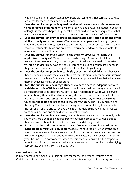of knowledge or a misunderstanding of basic biblical tenets that can cause spiritual problems for teens in their early adult years.

- 2. **Does the curriculum provide questions that will encourage students to move to higher levels of thinking?** We will cover asking and answering student questions at length in the next chapter. In general, there should be a variety of questions that encourage students to think beyond merely memorizing the facts of a Bible story.
- 3. **Does the curriculum provide practical, meaningful application examples of the biblical principles in their lessons?** Application examples should apply to your students and the lives they lead. Since the authors of a purchased curriculum do not know your students, this is one area where you may need to change examples to ones your students will understand.
- 4. **Does the curriculum teach students the steps or processes of living the application principles?** Many teens need to be taught Christian life skills in order to have any idea how to actually do the things God is asking them to do. Otherwise, your Bible students may have the best of intentions, but be unsuccessful because they have no idea how to do things like settle conflicts in godly ways.
- 5. **Does the curriculum provide meaningful, experiential activities?** Just because they are teens, does not mean your students want to sit quietly for an hour listening to a lecture on the Bible. There are lots of age appropriate activities that will engage them in active learning about scripture.
- 6. **Does the curriculum encourage students to participate in independent faith activities outside of Bible class?** Teens should be actively encouraged to engage in spiritual practices like scripture reading, prayer, reflection on God's word, serving others, sharing their faith and more during the time periods between Bible classes.
- 7. **If the curriculum addresses baptism, does it accurately reflect baptism as taught in the Bible and practiced in the early Church?** The Bible requires, and the early Church practiced, baptism at the age of accountability by immersion for the remission of sins and to receive the gift of the Holy Spirit. Any other practices were added by man and should not be taught to teens.
- 8. **Does the curriculum involve heavy use of videos?** Teens today are not only tech savvy, they are also media experts. Poor or outdated production values distract them and cause them to tune out what may be said during the video.
- 9. **If the curriculum addresses some aspect of secular culture, is it outdated or inapplicable to your Bible students?** Culture changes rapidly. Often by the time adults become aware of some secular trend or issue, teens have already moved on to something new. Trying to sound relevant, while actually being several months or years behind, does not work well when teaching teens. Teens will often respect you more for admitting you are not totally up to date and asking their help in identifying appropriate examples from their daily lives.

#### **Personal Testimonies**

In Bible classes and small group Bible studies for teens, the personal testimonies of Christian adults can be extremely valuable. A personal testimony is often a story someone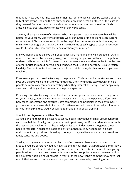tells about how God has impacted his or her life. Testimonies can also be stories about the folly of disobeying God and the earthly consequences the person suffered or the lessons they learned. Some testimonies are about occasions when the person realized God's amazing love, creativity, power or activity in our world today.

You may already be aware of Christians who have personal stories to share that will be helpful to your teens. Many times though, we are unaware of the past and even current experiences of Christians we know. It can be helpful to communicate with others in your ministry or congregation and ask them if they have the specific types of experiences you would like adults to share with the teens to whom you minister.

Many Christian adults believe their experiences are mundane and will bore teens. Others may feel uncomfortable speaking to a group of young people. You will need to help them understand how crucial it is for teens to hear numerous real world examples from the lives of other Christians about how God has impacted their lives and how they live a Christian life daily. The testimonies they can share will help reinforce key biblical concepts you are teaching.

If necessary, you can provide training to help reticent Christians write the stories from their lives you believe will be helpful to your students. Often writing the story down can help people be more coherent and interesting when they later tell the story. Some people may also need training and encouragement in public speaking.

Providing this extra training for adult volunteers may appear to be an unnecessary burden on your ministry. Personal testimonies, however, can make a huge positive difference in how teens understand and execute God's commands and principles in their own lives. If your resources are severely limited, ask Christian adults who are not normally volunteers for your ministry if they would be willing to provide this special training.

#### **Small Group Dynamics in Bible Classes**

As you plan and teach Bible lessons to teens, a basic knowledge of small group dynamics can prove helpful. Small group dynamics can impact how your Bible students interact with the teacher and each other. Unhealthy dynamics can hinder learning. In general, teens need to feel safe in order to be able to be truly authentic. They need to be in a class environment that provides this feeling of safety so they feel free to share their questions, ideas, concerns and doubts.

Small group dynamics are impacted by how often new members are introduced to the group. If you are constantly adding new students to your class, that particular Bible study is more for outreach than heart sharing. Even in outreach Bible studies, you will have young people willing to share their hearts with others in the group. Some teens, however, will not feel as comfortable being vulnerable in front of these new teens whom they may have just met. If that seems to create some issues, you can compensate by providing other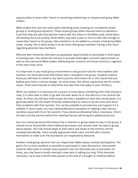opportunities to share their hearts in mentoring relationships or closed small group Bible studies.

Bible studies that have the same teens attending every meeting are considered closed groups in small group dynamics. These closed groups allow reluctant teens to develop a trust that they are safe sharing their hearts with the others in the Bible study. Some teens will develop this trust quickly, while others may take a year or more to feel safe enough to reveal their hearts to the group. New members can be added to a closed, small group Bible study. Usually, this is done slowly or at set times with group members having some input regarding potential new members.

Effective teen ministries often give young people opportunities to participate in both types of small groups. This allows the ministry to provide meaningful outreach opportunities as well as more personal Bible studies addressing the concerns and issues faced by a segment of the teens they serve.

It is important in any small group environment to set ground rules for how students and teachers can share personal information that is revealed in the group. Students need to know you will have to reveal to any teen's parents information he or she shares that you believe puts them in serious danger. (In some areas, this will be required by law for certain issues. Check local statutes to determine any laws that may apply to your ministry.)

When you believe it is necessary for a parent to know about something their child shared in class, it is often best to offer to go with the teen when he or she tells his or her parents the news. At times, you will also need to give the teen a deadline to have that conversation. It is generally better for the health of family relationships for teens to be the ones who share their problems with their parents. You can be available to provide love and support if it is needed. In some cases, you may need professional assistance in helping a teen discuss sensitive issues with his or her parents. If you decide professional help is necessary, inform the teen and the parents before the meeting that you will bring this additional person.

Any non-critical personal information that is shared in a group needs to stay in the group. It should not be shared with others without permission and should never be used to gossip about people. This rule should apply to both teens and adults in the ministry and be reviewed periodically. Teens usually appreciate these rules, and will often monitor themselves to make sure the boundaries are respected by everyone.

Another small group dynamic that can impact teen Bible classes involves participation. The goal is for as many students as possible to participate in class discussions. Extroverted students often want to answer every question and can dominate any conversation. At times, you may have to kindly interrupt a teen who is talking too long. If this becomes necessary, try to wait until the teen pauses at the end of a thought or sentence before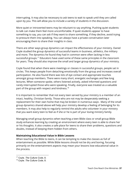interrupting. It may also be necessary to ask teens to wait to speak until they are called upon by you. This will allow you to include a variety of students in the discussion.

More quiet or introverted teens may be reluctant to say anything. Pushing quiet students to talk can make them feel more uncomfortable. If quiet students appear to have something to say, you can ask if they want to share something. If they decline, avoid trying to pressure them into speaking. You can always have a private conversation later encouraging them to share their insights in class.

There are other ways group dynamics can impact the effectiveness of your ministry. Daniel Coyle studied the group dynamics of successful teams in business, athletics, the military and more. The dynamics he found they had in common were often lacking in less successful groups. <sup>17</sup> Educators have used some of these same principles in the classroom for years. They should also improve the small and larger group dynamics of your ministry.

Coyle found that when there were meetings or classes in successful groups, people sat in circles. This keeps people from detaching emotionally from the group and increases overall participation. He also found there was lots of eye contact and appropriate touches amongst group members. There were many short, energetic exchanges and few long lectures. When someone spoke, others listened actively, asked informed questions and rarely interrupted those who were speaking. Finally, everyone was treated as a valuable part of the group with respect and kindness. 18

It is important to remember that not every teen served by your ministry is a member of an intact, healthy, Christian family. Those who are not may be desperately seeking a replacement for their own home that may be broken in numerous ways . Many of the small group dynamics shared above will help your ministry develop a feeling of belonging for its members. It may also help to regularly remind the adults who volunteer in your ministry that you want every teen to feel as if she or he is part of your loving ministry family.

Managing small group dynamics when teaching a teen Bible class or small group Bible study enhances learning by creating an environment where every teen is able to share her or his thoughts. It also creates a safe place for teens to share their problems, questions and doubts, instead of keeping them hidden from others.

#### **Maintaining Educational Value in Bible Lessons**

When teaching the Bible to teens, it can be tempting to make the classes as full of entertainment as possible. While Bible lessons should not be dry and boring, focusing primarily on the entertainment aspects may mean your lessons lose educational value in the process.

<sup>17</sup> Coyle. *The Culture Code*, 8.

<sup>18</sup> Coyle. *The Culture Code*, 8.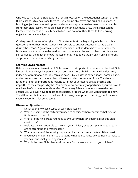One way to make sure Bible teachers remain focused on the educational content of their Bible lessons is to encourage them to use learning objectives and guiding questions. A learning objective states an important idea or concept the teacher wants students to learn from their Bible lesson. While Bible lessons often have quite a few things that can be learned from them, it is usually best to focus on no more than three to five learning objectives for any one lesson.

Guiding questions are often given to Bible students at the beginning of a lesson. It is a question the teacher hopes students will be able to answer because of what is taught during the lesson. A great way to assess whether or not students have understood the Bible lesson is to ask them the guiding question again at the end of class. If students are still confused, the teacher knows the lesson may need to be taught again using different scriptures, examples, or teaching methods.

#### **Learning Environments**

Before we leave our discussion of Bible lessons, it is important to remember the best Bible lessons do not always happen in a classroom in a church building. Your Bible class may indeed be a traditional one. You can also have Bible classes in coffee shops, homes, parks, and museums. You can have a class of twenty students or a class of one. The size and location are not as important as making sure that your lessons are as effective and impactful as they can possibly be. You never know how many opportunities you will have to teach each of your students about God. Treat every Bible lesson as if it were the only chance you will ever have to teach those particular teens what God wants them to know. The difference that perspective will create in how you approach teaching your lesson can change everything for some teens.

- 1. Describe the two basic types of teen Bible lessons.
- 2. What are some of the factors you need to consider when choosing what type of Bible lesson to teach?
- 3. What are the nine areas you need to evaluate when considering a specific Bible curriculum?
- 4. Evaluate the current Bible curriculum your ministry uses or is planning to use. What are its strengths and weaknesses?
- 5. What are some of the small group dynamics that can impact a teen Bible class?
- 6. If you have an existing ministry to teens, what adjustments do you need to make to your current small group dynamics?
- 7. What is the best Bible class environment for the teens to whom you minister?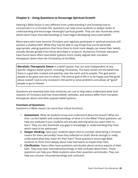# **Chapter 6 – Using Questions to Encourage Spiritual Growth**

Hearing a Bible lesson is very different from understanding it and knowing how to incorporate it in a Christian life. Questions can help move students to deeper levels of understanding and encourage meaningful spiritual growth. They can also illuminate areas where teens have misunderstandings or have begun developing inaccurate beliefs.

Many teens who have become Christians and regularly participate in spiritual practices still possess a shallow faith. While they may be able to say things that sound spiritually appropriate, asking questions that force them to think more deeply can reveal their beliefs actually deviate greatly from those described in scripture. Numerous Christian educators have found teens often have belief systems more closely aligned with moralistic therapeutic deism than the Christianity of the Bible.

**Moralistic Therapeutic Deism** is a belief system that can exist independent of any specific religious belief system, including Christianity. The basic tenets are the belief that there is a god who created and watches over the earth and its people. This god wants people to be good and nice to others. The central goal of life is to be happy and feel good about oneself. God is only involved in the world to solve problems and allows all "good" people to go to Heaven.

Questions are essential tools that ministries can use to help teens understand what God requires of Christians and how those beliefs, attitudes, and actions differ from moralistic therapeutic deism and other popular belief systems.

#### **Functions of Questions**

Questions in Bible classes can serve four critical functions:

- 1. **Assessment**. What do students know and understand about the lesson? What are their current beliefs and understandings of what is in the Bible? These questions can help you evaluate if your students are actually learning what you want them to learn. They can also illuminate any gaps in knowledge or understanding they have which need to be addressed.
- 2. **Deeper thinking.** Have your students taken time to consider what being a Christian means for them personally? Have they reflected on God's Words enough to really understand what they mean for their lives? These questions encourage Bible students to think more deeply about how God wants to impact their lives.
- 3. **Clarification.** Teens often have questions and doubts about various aspects of their faith. They may have misunderstood things or feel confused about them. These questions can help your Bible students voice their questions and doubts. They can help you uncover misunderstandings and confusion.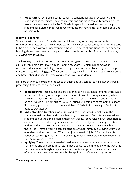4. **Preparation.** Teens are often faced with a constant barrage of secular lies and religious false teachings. These critical thinking questions can better prepare them to evaluate any teaching by God's Words. Preparation questions can also help students formulate biblical responses to questions others may ask them about God or their faith.

### **Bloom's Taxonomy**

When we ask questions in Bible classes for children, they often require students to remember the facts of a particular Bible story. In Bible classes for teens, the questions tend to be a bit deeper. Without understanding the various types of questions that can enhance learning though, we often miss helping students reach the depths of understanding they are capable of reaching.

The best way to begin a discussion of some of the types of questions that are important to ask in a teen Bible class is to examine Bloom's taxonomy. Benjamin Bloom was an American educational psychologist who developed several hierarchies designed to help educators create learning goals.<sup>19</sup> For our purposes, we will examine his cognitive hierarchy and how it should impact the types of questions we ask students.

Here are the various levels and the types of questions you can ask to help students begin processing Bible lessons on each level.

- **1. Remembering.** These questions are designed to help students remember the basic facts of a Bible story or passage. This is the most basic level of questioning. While knowing the facts of a Bible story is helpful, if processing Bible lessons is only done on this level, it will be difficult to live a Christian life. Examples of memory questions: "How many people were on the Ark with Noah?" "What did Jesus say to Saul on the Road to Damascus?"
- **2. Understanding.** Questions for understanding are designed to make sure the student actually understands the Bible story or passage. Often this involves asking students to put the Bible lesson in their own words. Teens raised in Christian homes can often use words like righteousness and faith correctly, while having no actual understanding of their meaning. Understanding questions can evaluate whether they actually have a working comprehension of what they may be saying. Examples of understanding questions: "What does John mean in 1 John 3:7 when he writes about practicing righteousness and being righteous?" "What did it mean when Jesus said he was a shepherd?"
- **3. Applying.** These questions are designed to encourage students to think about the commands and principles in scripture that God wants them to apply to the way they live their lives. Although many teen classes contain application sections, teens are often unaware they have been taught the application of a Bible story. Asking

<sup>&</sup>lt;sup>19</sup> Armstrong, "Bloom's Taxonomy."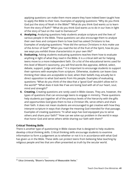applying questions can make them more aware they have indeed been taught how to apply the Bible to their lives. Examples of applying questions: "Why do you think God put the story of Noah in the Bible?" "What do you think God wants us to learn from the story of Ruth?" "What do you think God wants us to do in our lives in light of the story of Saul on the road to Damascus?"

- **4. Analyzing.** Analyzing questions help students analyze scripture and the lives of various people in the Bible. These questions can also encourage them to analyze their own lives and compare them to how God has asked Christians to live. Examples of analyzing questions: "How did the various Christians in Acts make use of the Armor of God?" "When you read the list of the fruit of the Spirit, how do you see ways you exhibit those characteristics in your own life?"
- **5. Evaluating.** Asking students evaluating questions teaches them how to evaluate anything in light of what they read in the Bible. It is a critical skill set for helping teens move to a more independent faith. On a list of the educational terms used for this level of Bloom's taxonomy, you will find words like appraise, defend, select, debate, support, judge and value. $^{20}$  It is important to encourage students to support their opinions with examples from scripture. Otherwise, students can leave class thinking their ideas are acceptable to God, when their beliefs may actually be in direct opposition to what God wants from His people. Examples of evaluating questions: "What do you think of the idea that a "good God" wouldn't allow evil in the world?" "What does it look like if we are loving God with all of our heart, soul, mind and strength?"
- **6. Creating.** Creating questions are rarely used in Bible classes. They are, however, the types of questions that can encourage teens to engage in ministry. These questions help students put together all of the previous levels of the hierarchy with the gifts and opportunities God gives them to live a Christian life, serve others and share their faith. It does not mean students are encouraged to get creative with how they interpret scripture in ways that change the meaning God intended for that passage. Examples of creating questions: "In what ways has God equipped you to serve others and share your faith?" "How can we solve xyz problem in the world in ways that honor God and serve others while sharing our faith with them?"

## **Critical Thinking Skills**

There is another type of questioning in Bible classes that is designed to help students develop critical thinking skills. Critical thinking skills encourage students to examine information to form a judgement as to whether or not it is in accordance with what God has given us in the Bible. These skills can protect teens from believing false teaching by religious people and lies that are often presented as truth by the secular world.

<sup>&</sup>lt;sup>20</sup> Utica University, "Bloom's Taxonomy of Measurable Verbs."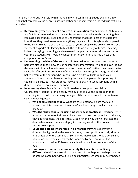There are numerous skill sets within the realm of critical thinking. Let us examine a few skills that can help young people discern whether or not something is indeed true by God's standards.

- **Determining whether or not a source of information can be trusted**. All humans are fallible. Someone does not have to be evil to accidentally teach something that goes against scripture. Teens need to understand that regardless of the person's intentions, they need to examine everything they are told or taught and compare it to the Bible. This is a crucial skill set to teach young people who are confronted by a variety of "experts" all claiming to teach the truth on a variety of topics. They may indeed be saying something valid – even evil people sometimes tell the truth – but your Bible students will not know whether or not something is true unless they compare it to God's truths.
- **Determining the bias of the source of information**. All humans have biases. A person's biases impact how she or he interprets information. Two people can look at the same set of data. If one is an atheist and the other a Christian, they can come to radically different interpretations of the same data. Knowing the background and belief system of the person who is espousing a "truth" will help remind your students of the possible biases impacting the belief that person is supporting. It could still be true, but your students may want to examine what someone with a different basis believes about the topic.
- **● Interpreting data.** Many "experts" will use data to support their claims. Unfortunately, statistics can be easily manipulated to give the impression that something is true. When examining data, your Bible students need to learn to ask several crucial questions:
	- **Who conducted the study?** What are their potential biases that could impact their interpretation of any data? Are they trying to sell an idea or a product?
	- **Was the study conducted using industry best practices?** Unfortunately, it is not uncommon to find researchers have not used best practices in the way they gathered data, the filters they used or in the way they interpreted the data. When researchers are sloppy in how they conduct their research, their results are suspect.
	- **Could the data be interpreted in a different way?** An expert with a different background in the same field may come up with a radically different interpretation of the same data. Sometimes there seems to be a consensus of opinion, but even experts can be impacted by peer pressure. It is important to consider if there are viable additional interpretations of the data.
	- **Has anyone conducted a similar study that resulted in radically different data?** There are a lot of reasons this can happen. Perhaps one set of data was obtained without using best practices. Or data may be impacted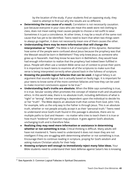by the location of the study. If your students find an opposing study, they need to attempt to find out why the results are so different.

- **● Determining the true cause of a result.** Correlation is not necessarily causation. Just because everyone in your class who ate meat this week wore red clothing to class, does not mean eating meat causes people to choose a red outfit to wear. Sometimes it is just a coincidence. At other times, it may be a result of the same root cause that has yet to be identified. Teens need to learn that when two things seem to always go together, it does not necessarily mean one of them causes the other.
- **● Understanding there may be more information that will change the interpretation or "truth".** The Bible is full of examples of this dynamic. Remember how some of the people were confused about Jesus because the prophecy was that the Messiah would be born in Bethlehem? They only knew Jesus as someone who grew up in Nazareth. Had they know he was born in Bethlehem, they would have had enough information to realize that the prophecy had indeed been fulfilled in Jesus. People will often use a random Bible verse out of context to prove their point. It is important to teach teens to examine all of the scriptures to make sure that verse is being interpreted correctly when placed back in the fullness of scripture.
- **● Knowing the possible logical fallacies that can be used.** A logical fallacy is an argument that sounds logical, but is actually based on faulty logic. It is important for your teens to know some of the more common fallacies and how they can be used to make incorrect conclusions appear to be true. $21$
- **● Understanding God's truths are absolute.** When the Bible says something is true, it is true. Secular society often promotes the concept of relative truth and situational ethics. In this world view, there is no absolute truth, including definitions of what is "right" or "wrong". Rather everything is dependent upon the individual to decide his or her "truth". The Bible depicts an absolute truth that comes from God. John 14:6, for example, tells us the only way to the Father is through Jesus. This is an absolute truth, whether or not people actually accept it as their "personal truth." Teens need to understand since God's truth found in this passage is absolute, there are no multiple paths to God and Heaven – no matter who tries to teach them it is true or how much "evidence" the person may produce. It goes against God's absolute, unchanging truth and is therefore false.
- **● Realizing they may need more information or assistance in determining whether or not something is true.** Critical thinking is difficult. Many adults still have not mastered it. Teens need to understand it does not mean they are not intelligent if they are struggling with determining whether or not something is true. Encourage them to continue reading in scripture, praying for God's wisdom and asking mature Christian adults for their help.
- **● Knowing scripture well enough to immediately reject many false ideas.** Your Bible students need to understand their best defense against Satan's lies is knowing

<sup>&</sup>lt;sup>21</sup> See Appendix 3: Common Logical Fallacies in Spiritual Discussions.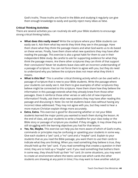God's truths. Those truths are found in the Bible and studying it regularly can give them enough knowledge to easily and quickly reject many ideas as false.

## **Critical Thinking Activities**

There are several activities you can routinely do with your Bible students to encourage strong critical thinking habits.

- **● What does this really mean?** Write the scripture where your Bible students can easily see it. Ask them what key words they think they see in the passage. Have them share what they think the passage means and what God wants us to do based on these verses. Finally, have them share what new questions they may have after reading the passage. This exercise is also a great habit for them to use in their independent Bible study. Be careful to ask for supporting evidence for what they think the passage means. Are there other scriptures they can think of that support their conclusions? Never let students leave class with an incorrect understanding of a passage of scripture. You can not force them to agree with you, but they do need to understand why you believe the scripture does not mean what they think it means.
- **● What is this like?** This is another critical thinking activity which can be used with a passage of scripture that is new to your Bible students. Write the passage where your students can easily see it. Ask them to give examples of other scriptures they believe might be connected to this scripture. Have them share how they believe the information in this passage extends what they already knew from those other passages. Does it reinforce those other verses or add a bit of new important information? Finally, ask them what new questions they may have after reading this passage and discussing it. Note: Do not let students leave class without having any incorrect ideas addressed. They may not agree with you, but they need to hear a more mature Christian explain things more accurately.
- **● Extra, Extra.** This exercise is good for discovering whether or not your Bible students learned the major points you wanted to teach them during the lesson. At the end of class, ask your students to write a headline for your class today or the Bible story or passage of scripture you studied. If they struggle, it may show they are still struggling with the learning objectives you had for that lesson.
- **● Yes, No, Maybe.** This exercise can help you be more aware of which of God's truths, commands or principles may be confusing or upsetting your students in some way. Give each student a "yes" card, a "no" card and a "maybe" card. Explain to your students that as you read the Bible passage, you want them to use their cards to indicate what they are thinking. When you read something they believe is true, they should hold up the "yes" card. If you read something that creates a question in their mind, they are to hold up a "maybe" card. If you read something that bothers them in some way, they should hold up their "no" card. (In some situations, you may want to create an environment where the teens cannot see which cards the other students are showing at any point in time.) You may want to have another adult jot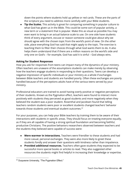down the points where students hold up yellow or red cards. These are the parts of the scripture you need to address more carefully with your Bible students.

**● Tip the Scales.** This activity is great for comparing something in popular culture to what God has given us in the Bible. This could be some sort of popular activity, a new term or a statement that is popular. Make this as visual as possible.You may even want to bring in an actual balance scale to use. On one side have students think of every argument, excuse or reason someone could give about why we should agree with the chosen topic from the world's point of view. On the other side, place everything God has said that might apply to the topic. The exercise is teaching them to filter their choices through what God wants them to do. It also helps them understand that if there are a million reasons on the world's side and only one on God's – for example, God has said it is sinful – God always wins.

## **Asking for Student Responses**

How you ask for responses from teens can impact many of the dynamics of your ministry. Often teachers are unaware of the assumptions students can make merely by observing how the teachers engage students in responding to their questions. Teens can develop a negative impression of specific individuals or your ministry as a whole if exchanges between Bible teachers and students are handled poorly. Often these exchanges are poorly handled because of the perceptions adults have of the various teens served by your ministry.

Professional educators are trained to avoid having overly positive or negative perceptions of their students. Known as the Pygmalion effect, teachers were found to interact more positively with students they perceived as good students and more negatively when they believed the student was a poor student. Rosenthal and Jacobsen found that telling teachers random students were poor or excellent students changed teachers' behavior towards those students and eventual student outcomes. 22

For your purposes, you can help your Bible teachers by training them to be aware of their interactions with students in specific areas. They should focus on treating everyone equally, as if they are all capable of having a strong spiritual foundation and becoming faithful, productive Christians. The positive behaviors researchers observed between teachers and the students they believed were capable of success were:

- **● Were warmer in interactions.** Teachers were friendlier to these students and had more casual, personal exchanges. They were also more likely to greet these students fondly and answer their questions with kindness rather than impatience.
- **● Provided additional resources.** Teachers often gave students they expected to be successful more special books or articles to read. They also suggested other resources the students might find helpful in increasing their knowledge or expertise.

<sup>&</sup>lt;sup>22</sup> Duquesne University, "The Pygmalion Effect."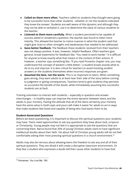- **● Called on them more often.** Teachers called on students they thought were going to be successful more than other students - whether or not the students indicated they knew the answer. Students are well aware of this dynamic and although they may not be able to verbalize it, use it to determine the value of various students to the teacher.
- **● Listened to them more carefully.** When a student perceived to be capable of success asked or answered a question, the teacher was found to listen more intently. This allowed the teacher to notice nuances in what the student said that might give clues to other strengths and weaknesses that needed to be addressed.
- **● Gave better feedback.** The feedback these students received from their teachers was not always positive. It was, however, helpful feedback. Often teachers give general, broad statements for feedback like, "You need to work harder." It is difficult for anyone to know exactly what that means in the context of their actions. If, however, a teacher says something like, "If you read Proverbs chapter one, you may understand the concept of wisdom a little better," a student knows exactly what to do to try and improve. It is also critical for teachers to avoid mocking student answers or the students themselves when incorrect responses are given.
- **● Assumed the best, not the worst.** This is so important to teens. When something goes wrong, they want adults to at least hear their side of the story before coming to judgment or giving consequences. Teachers tend to give students they perceive as successful the benefit of the doubt, while immediately assuming less successful students are at fault.

Training volunteers to interact with students – especially in question and answer interchanges – in healthy ways can improve the entire dynamic between teens and the adults in your ministry. Having the attitude that all of the teens served by your ministry have the same value in God's eyes and yours will make it easier for adults to act in ways that make students feel loved and capable of being who God wants them to be.

## **Student-Generated Questions**

Before we leave questioning, it is important to discuss the spiritual questions your students may have. Teens need opportunities to ask any questions they have about God, scripture or Christianity. Young people may not feel it is appropriate to ask the questions that are concerning them. Barna found that 35% of young Christian adults claim to have significant intellectual doubts about their faith. Yet about half of Christian young adults still do not feel comfortable asking their most pressing spiritual questions in a church environment. 23

Adults may also be nervous about allowing teens the freedom to ask any and all of their spiritual questions. They are afraid it will create a disruptive classroom environment. Or they fear a student who expresses a doubt will then cause other students to have that

<sup>23</sup> Kinnaman. *You Lost Me*, 190.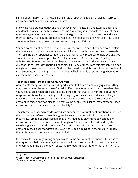same doubt. Finally, many Christians are afraid of appearing foolish by giving incorrect answers, or not having an immediate answer.

Many who have studied doubt and faith believe that it is actually unanswered questions and doubts that can cause teens to reject God. $^{24}$  Allowing young people to ask all of their questions gives your ministry an opportunity to give teens the answers God would want them to know. Their doubts are not contagious. Their questions are what all of your Bible students will eventually hear from someone during their lifetime.

Your answers do not have to be immediate. Ask for time to research your answer. Explain that you want to make sure your answer is biblical and it will take some time to research. Then use the Bible, apologetics materials and other reliable resources to help you give your students the best answers possible. Credit your sources. Avoid the issues (like logical fallacies) we discussed earlier in the chapter. $25$  Give your students the answers to their questions in the next class period if possible. If it is one of those rare things where God has not given us an answer, be honest. God's truths can withstand the questions and doubts of your students. Encouraging student questions will help their faith stay strong when others ask them those same questions.

## **Teaching Teens How to Find Godly Answers**

Adolescents today have been trained by educators to find answers to any questions they may have without the assistance of an adult. Kinnaman found this to be so prevalent that young adults are even more likely to consult the internet than their minister about their religious questions. Unfortunately, the training they receive at school does not always teach them how to assess the quality of the information they find in their search for answers. In fact, Kinnaman also found that young people consider the very existence of an answer on the internet as proof of its reliability. $26$ 

The internet can indeed provide immediate answers to any number of questions impacting the spiritual lives of teens. Search engines have various criteria for how they rank responses. Sometimes advertising money or manipulating algorithms can catapult an answer or website to the top of the options given. There is no real effort made by the search engines to assess the accuracy of a particular website or resource or to rank answers by their quality and veracity. Even if they begin doing so in the future, it is likely their criteria would be secular and not biblical.

It is critical to encourage young people to assess the accuracy of the answers they find to their questions before accepting them as truth. It can also be helpful to teach them how to find passages in the Bible that will allow them to determine whether or not the information

<sup>24</sup> Ibid., 192.

<sup>&</sup>lt;sup>25</sup> See Appendix 3: Common Logical Fallacies in Spiritual Discussions.

<sup>26</sup> Kinnaman. *You Lost Me*, 55.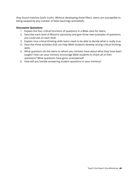they found matches God's truths. Without developing these filters, teens are susceptible to being swayed by any number of false teachings and beliefs.

- 1. Explain the four critical functions of questions in a Bible class for teens.
- 2. Describe each level of Bloom's taxonomy and give three new examples of questions you could ask on each level.
- 3. Explain nine critical thinking skills teens need to be able to decide what is really true.
- 4. Describe three activities that can help Bible students develop strong critical thinking skills.
- 5. What questions do the teens to whom you minister have about what they have been taught? How can your ministry encourage Bible students to share all of their questions? What questions have gone unanswered?
- 6. How will you handle answering student questions in your ministry?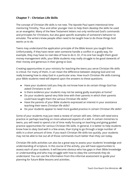## **Chapter 7 – Christian Life Skills**

The concept of Christian life skills is not new. The Apostle Paul spent intentional time mentoring Timothy, Titus and other younger men to help them develop the skills he used as an evangelist. Many of the New Testament letters not only reinforced God's commands and principles for Christians, but also gave specific examples of someone's behavior to emulate. The writers knew people often need to be taught how to do those things God wants us to do.

Teens may understand the application principle of the Bible lesson you taught them. Unfortunately, if they have never seen someone handle a conflict in a godly way, for example, they may have no real idea of how to do it. Or, if no one has taught them good money management skills, your Bible students may really struggle to be good stewards of their money and generous in their giving to God.

Creating opportunities in your ministry for teaching the teens you serve Christian life skills is critical. For many of them, it can mean the difference between obeying God and not really knowing how to obey God in a particular area. How much Christian life skills training your Bible students need will depend upon the answers to these questions:

- Have your students told you they do not know how to do certain things God has asked Christians to do?
- Is there evidence your students may not be seeing godly examples at home?
- Do your students spend very little time with their parents in which their parents could have taught them the various Christian life skills?
- Have the parents of your Bible students expressed an interest in your assistance teaching their teens Christian life skills?
- Do your students appear to need more guided practice in certain Christian life skills?

Some of your students may just need a review of certain skill sets. Others will need extra practice or perhaps teaching on more advanced aspects of a skill. In certain ministries to teens, you will need to spend a lot of time really focusing on teaching and giving guided practice opportunities for various Christian life skills. In general, it is better to help students know how to obey God well in a few areas, than trying to go through a large number of skills in a short amount of time. If you teach Christian life skills too quickly, your students may not be able to live out all of those commands much better than they can today.

Christian life skills activities can also be a great way to assess your students' knowledge and understanding of scripture. In the course of the activity, you will have opportunities to assess each of your students. It will become obvious who has gaps in their Bible knowledge or understanding and who may struggle with how to obey the commands they do understand. You can use the information from this informal assessment to guide your planning for future Bible lessons and activities.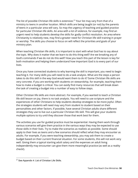The list of possible Christian life skills is extensive. $27$  Your list may vary from that of a ministry to teens in another location. Which skills are being taught (or not) by the parents of teens in a particular area will vary. So may the urgency of teaching and guided practice for particular Christian life skills. An area with a lot of violence, for example, may find an urgent need to help students develop the skills for godly conflict resolution. An area where Christianity is relatively new, may find a greater need for Christian life skill training in prayer or worship. The skills you choose to focus on will reflect the priorities and goals of your ministry plan.

When teaching Christian life skills, it is important to start with what God has to say about the topic. Why does it matter that we learn to do this thing well? Are we breaking any of God's commands if we do not do this well? How you teach this part of the lesson is key for both motivation and helping them understand how important God is to every part of our lives.

Once you have connected students to why learning the skill is important, you need to begin teaching it. For many skills you will need to do a task analysis. What are the steps a person takes to do this skill in the way God would want them to do it? Some Christian life skills are very concrete. If you are working with students on stewardship, for example, teaching them how to make a budget is critical. You can easily find many resources that will break down the task of creating a budget into a number of easy to follow steps.

Other Christian life skills are more abstract. For example, if you wanted to teach a Christian life skill lesson on joy, there is no task analysis. You will need to use scripture and the experiences of other Christians to help students develop strategies to be more joyful. Often the strategies students will need may vary from student to student based on their personalities and other factors. If possible, have several Christian adults share different strategies they use to live out a particular Christian life skill. This will give your students multiple options to try until they discover those that work best for them.

The activities you use for guided practice must be experiential. Having them work through various scenarios will give them practice in the various ways they may be expected to use those skills in their lives. Try to make the scenarios as realistic as possible. Some should apply to their lives as teens and a few scenarios should reflect what they may encounter as adults. For example, if you were teaching stewardship, you may ask them to create a budget based on their current financial situation. For some students, this will not work very well. Giving them a typical starting adult salary and the expenses an adult living independently may encounter can give them more meaningful practice (as well as a reality check!).

<sup>&</sup>lt;sup>27</sup> See Appendix 4: List of Christian Life Skills.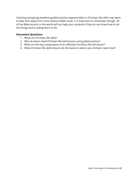Teaching and giving students guided practice opportunities in Christian life skills may seem to take time away from more obvious Bible study. It is important to remember though, all of the Bible lessons in the world will not help your students if they do not know how to do the things God is asking them to do.

- 1. What are Christian life skills?
- 2. Why do teens need Christian life skill lessons and guided practice?
- 3. What are the key components of an effective Christian life skill lesson?
- 4. What Christian life skills lessons do the teens to whom you minister need most?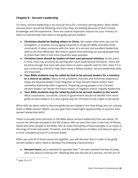# **Chapter 8 – Servant Leadership**

To many, servant leadership is an unusual focus for a ministry serving teens. Most adults assume teens should be following more than they are leading because of their limited knowledge and life experience. There are several important reasons for your ministry to teens to intentionally train teens to be godly servant leaders:

- **● Christians should be leading others to Christ.** No matter what term you use for evangelism, it involves encouraging someone to study the Bible and obey God's commands. It takes someone with the heart of a servant and excellent leadership skills to do that effectively. We need to spend time teaching our young people how to share their faith in the most impactful ways possible.
- **● Christian teens should be leaders of their own personal ministry.** At this point in time, they may primarily be serving with more experienced Christians. There will be times though that God calls even teens to lead a specific task for Him. Even if it is just convincing a friend to help them serve a fellow student, servant leadership skills are important.
- **● Your Bible students may be called by God to be servant leaders for a ministry or a church as adults.** Many of the problems churches and ministries experience today are because leaders have forgotten to have servant hearts and/or have unhealthy leadership skills in general. Preparing young people to be Christian servant leaders can lessen the future impact of negative and/or ungodly leadership.
- **● Your Bible students may be called by God to be servant leaders in the world.** What corporation, non-profit, school or government would not benefit from more godly servant leaders? It is also a great way for Christians to be a light to the world.

What skills do teens need to become godly servant leaders? Are they things you can actively teach in Bible classes? Where can you give them meaningful opportunities to practice their servant leadership skills?

There is actually more direction in the Bible about servant leadership than we realize. Of course the ultimate example is the life of Jesus. We can also find clues in the lives of Moses, David and other people in the Bible. We can even find plenty of bad examples in so many of the kings of Israel and Judah. Proverbs, and the qualifications of elders and deacons give us a more complete picture of a servant leader.

When you pull all of these resources together, you will discover that in order to be godly servant leaders, teens need to develop the following characteristics:

**• Servant heart.** Jesus washed his apostles feet.<sup>28</sup> He even washed the feet of Judas, who was about to betray him. Washing feet was the job of a servant, not the son of

 $28$  John 13:1-17.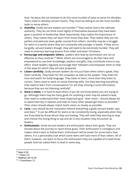God. Yet Jesus did not hesitate to do this most humble of tasks to serve his disciples. Teens need to develop servant hearts. They must be willing to do the most humble tasks to serve others.

- **Humility.** Godly servant leaders are humble.<sup>29</sup> They realize God is the ultimate authority. They do not think more highly of themselves because they have been given a position of leadership. Most importantly, they realize the importance of others. They realize they can learn from those they lead. They realize they are not perfect and welcome wise, godly counsel from others. Humility may be a struggle for teens in a world where they are constantly told younger is better. If they are to be godly, servant leaders though, they will need to be extremely humble. They will need to embrace learning lessons from older and wiser Christians.
- **● Encourage and empower others.** Leaders who lead by domination are not as effective as they could be.<sup>30</sup> When others are encouraged to do their best and empowered to use their knowledge, wisdom and gifts, they contribute more to any effort. Great leaders regularly encourage their followers and empower them to help in the ways for which they are best prepared.
- **● Listen carefully.** Godly servant leaders do not just listen when others speak, they listen carefully. They listen for the unspoken as well as the spoken. They listen for tone and watch for body language. They listen to learn, more than they listen to correct. Teens need to work on active listening skills. Are they learning everything they need to learn from conversations? Or are they missing crucial information, because they are not listening carefully?
- **● Have a vision.** It is hard to lead others if you do not know where you are trying to go. Although there may be many goals for anything a teen may be asked to lead, they need to understand their most important goal - their vision - should always be to spend eternity in Heaven and help as many other people get there as possible. $^{31}$ Their vision should always match God's vision as closely as possible.
- **Love.** Love should be the motivation behind everything a godly servant leader says and does. $32$  It can be difficult for teens to be consistently loving, especially when they are frustrated by those whom they are leading. They will need help learning to stop and choose the loving thing to say and do in any situation they encounter as leaders.
- **● Enthusiastic.** Great servant leaders are enthusiastic about their goals. They are excited about the journey to reach those goals. Their enthusiasm is contagious and makes others want to follow them. Enthusiasm will be easier for some teens than others. It is a personality trait which some teens will have more of than others. All of them, however, can learn to focus the enthusiasm they are capable of to lead those people God has asked them to lead in some way.

<sup>29</sup> Mark 9:35.

<sup>30</sup> 1 Peter 5:3.

<sup>31</sup> Matthew 28:16-20.

<sup>&</sup>lt;sup>32</sup> 1 Corinthians 13.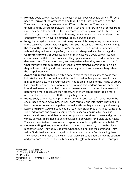- **Honest.** Godly servant leaders are always honest even when it is difficult.<sup>33</sup> Teens need to learn all of the ways lies can be told, like half truths and omitted truths. They need to be taught how to speak difficult truths in love. They need to understand the difference between "their" truth and "THE" truth which comes from God. They need to understand the difference between opinion and truth. There are a lot of things to teach teens about honesty, but without a thorough understanding of honesty, they will never be effective, godly, servant leaders.
- **● Integrity.** Integrity is more than just being honest. It is being who you say you are. In the case of Christians, it is living the lives God has called us to live. It is exhibiting the fruit of the Spirit. It is obeying God's commands. Teens need to understand that although they will never be perfect, they should always strive to be more godly.
- **● Communicate well.** Effective leaders communicate well. Godly servant leaders communicate with love and honesty. $34$  They speak in ways that build up rather than demean others. They speak clearly and are patient when they are asked to clarify what they have communicated. For teens to have effective communication skills they will need training and practice – especially when it comes to teaching others the Gospel message.
- **● Aware and intentional.** Jesus often noticed things the apostles were doing that indicated a need for correction and further instruction. Many others would have missed those clues. While your teens will not be able to see into the hearts of others like Jesus, they can become more aware of what is said or done around them. This intentional awareness can help them notice needs and problems. Some teens will naturally be more observant than others. All of them can be taught to be more observant and what to do with the things they observe.
- **Prays.** Godly servant leaders pray constantly and consistently.<sup>35</sup> Teens need to be encouraged to have active prayer lives, both formally and informally. They need to learn the ways prayer can help them, as well as those they are leading and serving.
- **● Learn and grow.** Godly servant leaders read their Bibles regularly. They realize they still need to learn and grow in every area, but especially spiritually. They also encourage those around them to read scripture and continue to learn and grow in a variety of ways. Teens need to be encouraged to develop strong Bible study habits. They also need to learn how to encourage others to develop those same habits. $^{36}$
- **● Understanding of God's role.** Godly servant leaders never try to take the place meant for God.<sup>37</sup> They obey God even when they do not like the command. They follow God's lead even when they do not understand where God is leading them. They never try to impose their will on God. Godly servant leaders know the strength and power are God's, not theirs. Teens may struggle with many of these concepts.

<sup>33</sup> Proverbs 12:22, 6:16-20

<sup>&</sup>lt;sup>34</sup> 1 Timothy 4:12, Colossians 4:6.

 $35$  1 Peter 5:7.

<sup>&</sup>lt;sup>36</sup> Romans 15:4, Proverbs 1:5-7, 2 Timothy 3

 $37$  Isaiah 42:10.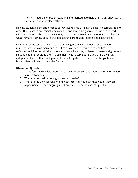They will need lots of patient teaching and mentoring to help them truly understand God's role when they lead others.

Helping students learn and practice servant leadership skills can be easily incorporated into other Bible lessons and ministry activities. Teens should be given opportunities to work with more mature Christians on a variety of projects. Allow time for students to reflect on what they are learning about servant leadership from Bible lessons and experiences.

Over time, some teens may be capable of taking the lead in various aspects of your ministry. Give them as many opportunities as you can for this guided practice. Use reflection activities to help them discover areas where they still need to learn and grow as a servant leader. Encourage them to use their skills to serve others and share their faith independently or with a small group of peers. Help them prepare to be the godly servant leaders they will need to be in the future.

- 1. Name four reasons it is important to incorporate servant leadership training in your ministry to teens.
- 2. What are the qualities of a good servant leader?
- 3. What are the Bible lessons and ministry activities you have that would allow an opportunity to teach or give guided practice in servant leadership skills?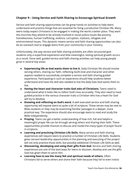# **Chapter 9 – Using Service and Faith Sharing to Encourage Spiritual Growth**

Service and faith sharing opportunities can be great hands on activities to help teens understand and practice things that are essential for living a productive Christian life. Many teens today expect Christians to be engaged in making the world a better place. They want the churches they attend to be actively involved in social justice issues like poverty, homelessness, human trafficking, violence, corruption, orphans, refugees and environmental issues. This dynamic means service and faith sharing opportunities can also be an outreach tool to engage teens from your community in your ministry.

Unfortunately, the way service and faith sharing activities are often structured give students only a superficial experience and little meaningful, lasting spiritual growth occurs as a result. Done well, guided service and faith sharing activities can help young people grow in several key areas:

- **● Experiencing life as God wants them to live it.** Daily Christian life should involve serving others, sharing our faith, reflecting God's love and character and other aspects needed to successfully complete a service and faith sharing guided experience. Participating in such an experience should help students better understand and have the skill sets needed to live the daily lives God wants them to live.
- **● Having the heart and character traits God asks of Christians.** Teens need to understand what it looks like to reflect God's love accurately. They also need to have guided practice in the various character traits a Christian who has a heart for God will try to develop.
- **● Knowing and reflecting on God's word.** A well executed service and faith sharing opportunity will expose teens to quite a bit of scripture. These verses may be new to Bible students or they may be examining familiar passages in a deeper, more practical way. The experience should also encourage teens to read and study the Bible independently.
- **● Praying.** Teens can get a better understanding of how rich, full and helpful a meaningful prayer life can be through serving others and sharing their faith. These opportunities provide chances to discuss and model the many types of prayer found in scripture.
- **● Learning and practicing Christian Life Skills.** Many service and faith sharing experiences will require teens to practice a number of Christian Life Skills. Students given servant leadership opportunities in the planning and executing of the project will not only practice those skills, but possibly additional Christian Life Skills as well.
- **● Discovering, developing and using their gifts from God.** Service and faith sharing experiences are one of the best ways for teens to discover, develop and use the gifts God has given them to serve Him.
- **● Learning how to see the many felt and spiritual needs of others.** Often Christians fail to serve others and share their faith because they fail to even notice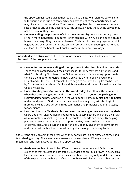the opportunities God is giving them to do those things. Well planned service and faith sharing opportunities can teach teens how to notice the opportunities God may give them to serve others. They can also help them learn how to uncover felt secular needs and ask the questions to find spiritual needs those being served may not even realize they have.

**● Understanding the purposes of Christian community.** Teens – especially those living in more individualistic cultures - often struggle with why belonging to a church is even necessary. They may have observed Christians in their congregation exhibit negative and even sinful behaviors. Guided service and faith sharing opportunities can teach them the benefits of Christian community in practical ways.

**Individualistic cultures** are cultures that value the needs of the individual more than the needs of the group as a whole.

- **● Developing an understanding of their purpose in the Church and in the world.** Teens can be confused about their purpose in life. They may not fully understand what God is calling Christians to do. Guided service and faith sharing opportunities can help them better understand how God wants them to be involved in their Church and in the world. It can help them begin to see how their gifts can be used by God to serve their church family and those in the world who still need to hear the Gospel message.
- **● Understanding how God works in the world today.** It is often in those moments when they are serving others and sharing their faith that young people begin to really understand how God works in the world today. Some may also begin to better understand parts of God's plans for their lives. Hopefully, they will also begin to more clearly see God's wisdom in His commands and principles and the necessity for obedience.
- **● Learning how to effectively plan and execute serving others and sharing their faith.** God often gives Christians opportunities to serve others and share their faith as individuals or in smaller groups, like a couple of friends or a family. By helping plan and execute these larger group opportunities, teens can learn how to effectively plan and execute the opportunities God may give them to serve others and share their faith without the help and guidance of your ministry leaders.

Sadly, teens rarely grow in these areas when they participate in a ministry led service and faith sharing activity. There are several reasons why teens have difficulty growing in meaningful and lasting ways during these opportunities:

**● Goals are unclear.** It would be difficult to create one service and faith sharing experience that resulted in both effective service and spiritual growth in every area listed above. In fact, some experiences are so brief, you may only work towards one of those possible growth areas. If you do not have well planned goals, chances are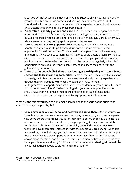great you will not accomplish much of anything. Successfully encouraging teens to grow spiritually while serving others and sharing their faith requires a lot of intentionality in the planning and execution of the experience. Intentionality almost always starts with clear, specific, measurable goals. 38

- **● Preparation is poorly planned and executed.** Often teens are prepared to serve others and share their faith, merely by giving them logistical details. Students must be well prepared if you expect them to help others in meaningful, productive ways, while also experiencing lasting spiritual growth themselves.
- **● Service and faith sharing opportunities are rare.** If you only give students a handful of opportunities to participate during a year, some may miss every opportunity for various reasons. Those who do participate may not have enough time during a few activities to learn everything they could possibly learn from those experiences – there is just not enough time to teach and give guided practice in a few hours a year. To be effective, there should be numerous, regularly scheduled opportunities provided for teens to serve others and share their faith with the guidance of your ministry.
- **● There are not enough Christians of various ages participating with teens in our service and faith sharing opportunities.** Some of the most meaningful and lasting spiritual growth teens experience during a service and faith sharing experience is through their interactions with older Christians serving with them. Multi-generational opportunities are essential for students to grow spiritually. There should be as many older Christians serving with your teens as possible. Adults should have training to make them more effective at engaging teens in the experience and taking advantage of mentoring opportunities that occur.

What are the things you need to do to make service and faith sharing opportunities as effective as they can possibly be?

**● Choosing whom you will serve and how you will serve them.** Do not assume you know how to best serve someone. Ask questions, do research, and consult experts who serve others with similar issues for their advice before choosing a project. It is also important to consider the size of your group, the gifts they possess and the resources you have available to use. If possible, try to find situations where your teens can have meaningful interactions with the people you are serving. When it is not possible, try to find ways you can connect your teens emotionally to the people they are helping. It is also important to remember that "faith sharing" does not always mean teaching people how to become a Christian. At times, your teens may serve people who are already Christians. In those cases, faith sharing will actually be encouraging those people to stay strong in their faith. 39

<sup>38</sup> See Appendix 2: Creating Ministry Goals.

<sup>39</sup> See Appendix 5: Service Project Ideas.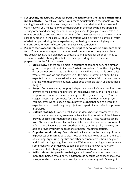- **● Set specific, measurable goals for both the activity and the teens participating in the activity.** How will you know if your teens actually helped the people you are serving? How will you discover if anyone actually shared their faith in a meaningful way? How will you measure any spiritual growth in the teens who participated in serving others and sharing their faith? Your goals should give you as concrete of a way as possible to answer those questions. Often the measurable part means some sort of number is in the goal. All of us understand God is actually in control of much of what happens during these experiences, but having numbers will give you a starting point for your reflection after the activity is completed.
- **● Prepare teens adequately before they attempt to serve others and share their faith.** The amount and type of preparation will depend upon the type and length of the activity itself. As you plan how to prepare young people for an opportunity to serve others while sharing their faith, consider providing at least minimal preparation in the following areas:
	- **○ Bible study.** Is there an example in scripture of someone serving a similar group of people with a similar need? What can we learn from the things they did or did not do? What godly character traits will we need while doing this? What verses can we find that give us a little more information about God's expectations in those areas? What are the pieces of our faith that we may be sharing with those we encounter? What does the Bible teach us about those things?
	- **○ Prayer.** Some teens may not pray independently at all. Others may limit their prayers to meal times and prayers for themselves, family and friends. Your preparation can include some teaching on other types of prayers. You can suggest possible prayer topics for them to include in their private prayers. You may even want to keep a group prayer journal that begins before the experience, is in use during the project and is part of your reflection process afterwards.
	- **○ Outside reading.** It is often best if your students have an awareness of the problems the people they are to serve face. Readings outside of the Bible can provide specific information teens may find helpful. These readings can be from Christian books, secular books, articles, web sites and other sources of information. If you are serving another ministry or non profit, they may be able to provide you with suggestions of helpful reading materials.
	- **○ Organizational training.** Teens should be included in the planning of these experiences as much as possible. Those who appear to be gifted in the areas of planning, organizing, logistics and other pertinent areas should be given additional training and guided practice. With enough training and experience, some teens will eventually be capable of planning and executing major service and faith sharing experiences with minimal adult assistance.
	- **○ Skills training.** People who are being served can often end up being hurt more than helped by our service. Often this is because we ask teens to serve in ways in which they are not currently capable of serving well. One might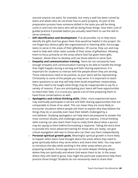assume anyone can paint, for example, but many a wall has been ruined by teens and adults who do not know how to paint properly. As part of the preparation process have someone skilled in the tasks you will be doing come in and train the teens who will be doing those things. Give them a bit of guided practice if possible before you actually need them to use the skill to serve someone.

- **○ Gift identification and development.** If at all possible, try to help teens identify the gifts God has given them that would be helpful in the project. Do not forget less obvious gifts like organizational or listening skills. Encourage teens to serve in the areas of their giftedness. Of course, they can and may need to help with other tasks outside of their areas of giftedness. Allowing them to focus primarily on the areas where God has given them gifts, however, allows them to develop and use those talents to serve God.
- **○ Empathy and communication training.** Teens do not necessarily have enough empathy and communication training to be able to handle the things that might happen during a serving and faith sharing experience. It is important for students to interact with the people whom they are serving. Those interactions need to be positive, as your teens will be representing Christianity to some of the people you may serve. It is important to teach teens questions to ask that will help them build empathetic relationships. They also need to be taught what things may be inappropriate to say for a variety of reasons. If you are anticipating your teens will have opportunities to share their faith, it is crucial you spend a lot of time preparing them to have those conversations as well.
- **○ Apologetics and critical thinking skills.** Older, more experienced teens may eventually participate in service and faith sharing opportunities that are comparable to those of an adult. This can mean they are more likely to encounter situations where people ask them to explain why they believe the things they do or possibly even have their beliefs challenged by a non-believer. Studying apologetics can help teens be prepared to answer the most common doubts and challenges people can express. Critical thinking skills training can also teach them how to really think about what a person may be saying to them before formulating a response. Taking the extra time to provide this more advanced training for those who are ready, can give critical evangelism skill sets to those who can then use them independently.
- **○ Personal spiritual growth goals.** Meaningful spiritual growth is more likely to happen when teens have thought about the areas where they need to grow spiritually before they serve others and share their faith. You may want to introduce the idea while working in the other areas where you are preparing students. Encourage teens to do some deeper thinking about where they are spiritually and where God wants them to be. In the areas where they still need to grow, how might the particular experience help them practice those things? Students do not necessarily need to share their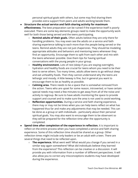personal spiritual goals with others, but some may find sharing them provides extra support from peers and adults working beside them.

- **● Structure the actual service and faith sharing activity for maximum effectiveness.** The best preparation can be ruined if the experience itself is poorly executed. There are some key elements groups need to make the opportunity work well for both those being served and the teens participating.
	- **○ Remind adults of their goals.** Often adults believe they are only there for handling problems. You may even see the adults on a service and faith sharing experience talking to each more than the people being served or the teens. Remind adults they are not just chaperones. They should be modeling appropriate attitudes and behaviors and mentoring teens whenever they find an opportunity. Encourage them to split from each other and mix with the teens whenever possible. Give them tips for having spiritual conversations with the young people in your group.
	- **○ Healthy environment.** Lots of rest (sleep if you are staying overnight), hydration and healthy foods are crucial for teens whom you need to be their best to serve others. Too many times, adults allow teens to go without sleep and eat unhealthy foods. Then they cannot understand why the teens are lethargic and moody. A little leeway is fine, but in general you want to encourage them to be as healthy as possible.
	- **○ Calming area.** There needs to be a space that is somewhat removed from the action. Teens who are upset for some reason, introverted, or have certain special needs may need a few minutes to get away from all of the noise and activity to regroup. Be sure to have adults monitoring the space to provide support and counsel and to make sure the area is not used to avoid working.
	- **○ Reflection opportunities.** During a service and faith sharing experience, there may or may not be times when you can help teens reflect on what has happened thus far and make any adjustments that may be needed. This can be done as a group or with individuals - particularly about their personal spiritual goals. You may also want to encourage them to be observant so they will be prepared for the reflection time after the opportunity is completed.
- **● Spend time after completion of the experience in reflection.** It is important to reflect on the entire process when you have completed a service and faith sharing experience. Some of this reflection time should be shared as a group. Other reflection times might include only leaders or be an adult with a teen. There are several things that need to be reflected upon.
	- **○ The experience.** What went well? What would you change if you served in a similar way again somewhere? What did individuals believe they learned from the experience? This reflection can be creative or a discussion. It will provide you with information from a number of different perspectives. It will also allow you to correct any misconceptions students may have developed during the experience.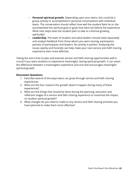- **○ Personal spiritual growth.** Depending upon your teens, this could be a group activity or accomplished in personal conversations with individual teens. The conversation should reflect how well the student feels he or she accomplished the spiritual goal or goals that were set before the experience. What next steps does the student plan to take to continue growing spiritually?
- **○ Leadership.** The team of student and adult leaders should meet separately and analyze feedback from those whom you were serving, participants, parents of participants and leaders. No activity is perfect. Analyzing the issues openly and honestly can help make your next service and faith sharing experience even more effective.

Taking the extra time to plan and execute service and faith sharing opportunities well is crucial if you want students to experience meaningful, lasting spiritual growth. It can mean the difference between a meaningless experience and one that encourages meaningful spiritual growth.

- 1. Describe several of the ways teens can grow through service and faith sharing experiences.
- 2. What are the four reasons this growth doesn't happen during many of these experiences?
- 3. What are the things that should be done during the planning, execution and reflection stages of a service and faith sharing experience to maximize the impact on student spiritual growth?
- 4. What changes do you need to make to any service and faith sharing activities you have planned to make them more effective?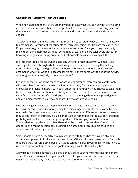## **Chapter 10 – Effective Teen Activities**

When ministering to teens, there are many possible activities you can do with them. Some are more impactful than others on the spiritual lives of young people. How can you ensure that you are making the best use of your time and other resources in the activities you choose?

To select the most beneficial activity, it is important to consider what you want the activity to accomplish. Do you want the students to learn something specific from the experience? Do you want to give them practical experience of some sort? Are you using the activity to make them think more deeply about something or work on a particular godly attribute? Knowing your goals will help you pick the best possible activity to accomplish them.

It is important to be realistic when assessing whether or not an activity will meet your stated goals. Think through what is most likely to actually happen during that activity. Consider how things could go differently than you have planned. Will the activity still accomplish what you want it to accomplish? If not, is there some way to adapt the activity so your goals are more likely to be accomplished?

Let us suppose you want the teens to whom you minister to interact more comfortably with one other. Your ministry team decides a fun activity for the entire group might encourage the teens to interact with each other more naturally. If you choose to take them to see a movie, however, there are actually very few opportunities for them to have even superficial conversations. If instead, you planned an evening where teens played games and ate a meal together, you may be more likely to achieve your goals.

One of the biggest mistakes people make when planning activities for teens is assuming teens will become closer by merely doing fun things together. While that may be true for teens who find they have a lot in common, those who have different tastes and interests may still be left on the fringes. It is also important to remember that casual conversations probably will not lead to those deep, supportive relationships you want them to have. Those relationships develop as they share their hearts with one another. Often those deeper relationships develop best during Bible classes, small group Bible studies and service and faith sharing opportunities.

Some people believe every activity a ministry does with teens has to have an obvious spiritual component to it, like a formal devotional. Others think teens need a lot of activities that are purely for fun. Both types of activities can be helpful in your ministry. The key is to use them appropriately to meet the goals you may have for that activity time.

Activities can be used during a Bible class or outside of your normal meeting time and/or space. While it is impossible to give specific ideas for your location, these are some of the types of activities many ministries to teens have found to be helpful: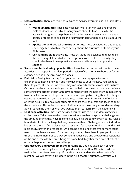- **● Class activities.** There are three basic types of activities you can use in a Bible class setting
	- **○ Warm up activities.** These activities last five to ten minutes and prepare Bible students for the Bible lesson you are about to teach. Usually, the activity is designed to help them explore the way the secular world views a particular topic or to explore their current understanding or beliefs about the topic.
	- **○ Application and critical thinking activities.** These activities are designed to encourage teens to think more deeply about the scriptures or topic of your Bible lesson.
	- **○ Christian life skills activities.** These activities are designed to teach teens the necessary skill sets to live the scriptures from the lesson. Ideally, they should also have time to practice these new skills in a guided practice situation.
- **● Service and faith sharing opportunities.** As we learned in the last chapter, these activities can happen in one class period, outside of class for a few hours or for an extended period of several days to a week.
- **● Field trips.** Taking teens away from your normal meeting space to see or experience something new can add new dynamics to your ministry. You can take them to places like museums where they can view actual items from Bible cultures. Or there may be experiences in your area that help them learn about or experience something important to their faith development or that will help them in ministering to others. It is important to prepare them before you go by telling them the things you want them to learn during the field trip. Make sure to have a time of reflection after the field trip to encourage students to share their thoughts and feelings about the experience. This reflection time will allow you to correct any misunderstandings as well as remind them of what you wanted them to learn from the experience.
- **● Challenge Activities.** These are activities you can use to help students practice a skill or talent. Take them to the chosen location, give them a spiritual challenge and the amount of time they have to complete it. Make sure to review any safety rules or boundaries for the challenge before you release them. Challenges can be individual, like asking them to find a place that makes them feel close to God and spend time in Bible study, prayer and reflection. Or it can be a challenge that two or more teens need to complete as a team. For example, you may place them in groups of two or three and have them notice a way someone needs help and provide that assistance. At the end of the allotted time, bring everyone back together for a time of reflection on what happened during the challenge.
- **● Gift discovery and development opportunities.** God has given each of your students one or more gifts to develop and use to serve Him. Often teens do not realize God has given them any gifts and/or have not identified what their gifts might be. We will cover this in depth in the next chapter, but these activities will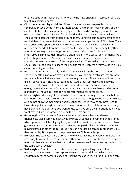often be used with smaller groups of teens who have shown an interest or possible talent in a particular area.

- **● Christian community activities.** These activities can involve people in your congregation who do not normally interact with the teens in your ministry, or they can be with teens from another congregation. Teens who are trying to live the lives God has called them to live can feel isolated and alone. They are often making choices very different from others around them. Christian community activities can remind them they are not alone, but part of a much larger family of Christians. They can also provide opportunities to introduce them to people who may become mentors or friends. Often these events are fun social events, but serving together is another great way to encourage teens to interact with other Christians.
- **● Small group Bible studies.** These are often held in more casual environments like a coffee shop or someone's home. Because they are smaller, they often address specific concerns or interests of the people involved. The smaller size can also encourage young people to share their hearts more freely than they would in a Bible class containing more teens.
- **● Retreats.** Retreats are usually held in an area away from the normal meeting space.They often involve an overnight stay, but you can have retreats that are only for several hours. Retreats need to be carefully planned. There is a lot of time to be filled. You want participants to learn about God, grow spiritually and enjoy the experience. If you allow too much unstructured free time or do not encourage enough sleep, the impact of the retreat may be more negative than positive. When planned well though, retreats can be transformative for some teens.
- **● Movie nights.** Movie nights need to be planned very carefully. The movies that are considered acceptable by one family may be rejected as ungodly by another. Movies also do not allow for meaningful social exchanges. Often movies are best used to illustrate a point or begin a discussion on an important topic. It is important that you have planned the questions you want to use to make sure the important points you want covered are not forgotten during the entertainment.
- **● Game nights.** These can be fun activities that help teens begin to develop friendships. Make sure you have a wide variety of games or everyone understands which game you will be playing if they attend. It is possible in some cases to follow game nights with discussions about the ways people display their character while playing games or other topical issues. You can also design escape rooms with Bible themes or play Bible games to help them review Bible knowledge.
- **● Exercise.** The teen years are a great time to encourage healthy habits. Exercise is a great way to work off stress, anger and other potentially harmful emotions. Some ministries have a devotional before or after the exercise if they meet regularly to do the same sort of activity.
- **● Skills nights.** Parents of teens often appreciate help teaching their children manners, how to wear makeup appropriately and other skills for which their children may resist parental coaching. Making the experience a fun group one can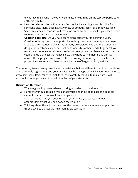encourage teens who may otherwise reject any training on the topic to participate enthusiastically.

- **● Learning about others.** Empathy often begins by learning what life is like for someone else. Many cities have a variety of empathy activities already available. Some ministries or charities will create an empathy experience for your teens upon request. You can also create your own.
- **● Capstone projects.** Do you have teens aging out of your ministry in a year? Consider offering them the opportunity to design and execute a capstone project. Modeled after academic programs at many universities, you and the student can design the capstone experience that best meets his or her needs. In general, you want the experience to help teens reflect on everything they have learned over the years and do a project that reflects how they hope to live their life as Christian adults. These projects can involve other teens in your ministry, especially if the project involves serving others or a similar type of larger ministry activity.

Your ministry to teens may have ideas for activities that are different from the ones above. These are only suggestions and your activity may be the type of activity your teens need to grow spiritually. Remember to think through it carefully though, to make sure it will accomplish what you want it to do in the lives of your students.

- 1. Why are goals important when choosing activities to do with teens?
- 2. Name the various possible types of activities and think of at least one possible example for each that would work in your area.
- 3. What activities have you been using in your ministry to teens? Are they accomplishing what you had hoped they would?
- 4. Thinking about the spiritual needs of the teens to whom you minister, plan two or three activities that would help them grow spiritually.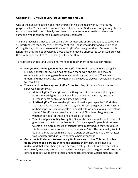# **Chapter 11 – Gift Discovery, Development and Use**

One of the questions teens hope their church can help them answer is, "What is my purpose in life?" They want to know if they really can serve God in a meaningful way. Teens want to know their church family sees them as someone who is needed and not just someone who is considered a burden or merely tolerated.

The Bible teaches us that each person is given at least one gift by God to use to serve Him.  $^\mathrm{40}$  Unfortunately, many teens are not aware of this. Those who understand a little about God's gifts may still be unaware of the specific gifts God has given them. Because of this ignorance, they are not developing those gifts and may be unprepared when God provides them with opportunities to use their gifts to serve Him.

To help teens understand God's gifts, we need to teach them some basic principles:

- **● Everyone has been given at least one gift from God.** Teens who are struggling in life may honestly believe God has not given them even one gift. This may be especially true for young people who are not doing well in school. They need to understand they have at least one gift and they need to discover, develop and use it to serve God.
- **● There are three basic types of gifts from God.** Any of these gifts can be used to serve God in some way.
	- **○ Material gifts.** These gifts are the things we often talk about sharing with others. Material gifts can be items like clothing or the money needed to purchase items people or ministries may need.
	- **○ Spiritual gifts.** These are the gifts mentioned in passages like 1 Corinthians 12. These gifts are given to Christians, who receive the gift of the Holy Spirit at their baptism. This list of gifts can be difficult for teens to fully understand. Many of the gifts are somewhat abstract and Christians disagree as to whether or not all of these gifts are still given today.
	- **○ Talent and personality trait gifts.** One of the best examples of this type of giftedness can be found in Exodus 31. God gave specific people either new talents or an extra measure of talents they already had so they could build His Tabernacle. We also see this in the Apostle Peter. The personality trait of boldness, that caused him so much trouble at times, was also the character trait God later used as Peter became a bold evangelist.
- **● God expects Christians to use their gifts in service to Him. This can involve doing good deeds, serving others and sharing their faith.** Teens need to understand that while their gifts can become a catalyst for a future career, that is not the only way they can be used. God wants His people to do good works to serve others, to reflect God's love to them and to teach others the Gospel message. It is

<sup>40</sup> 1 Peter 4:10.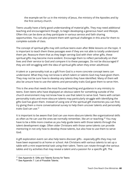the example set for us in the ministry of Jesus, the ministry of the Apostles and by the first century church.

Teens usually have a fairly good understanding of material gifts. They may need additional teaching and encouragement though, to begin developing a generous heart and lifestyle. Often this can be done as they participate in various service and faith sharing opportunities. You can also present them with spiritual challenges in this area for them to complete outside of class.

The concept of spiritual gifts may still confuse teens even after Bible lessons on the topic. It is important to teach them these passages even if they are not able to totally understand them yet. Reassure them that as they begin serving God with their other gifts, these spiritual gifts may become more evident. Encourage them to reflect periodically on their lives and their service to God and compare it to these passages. Do not be discouraged if they are still struggling with the idea of spiritual gifts when they enter adulthood.

A talent or a personality trait as a gift from God is a more concrete concept teens can understand. What they may not know is which talent or talents God may have given them. They may not be sure how to develop any talents they have identified. Many of them will also be unsure how to use the talents and personality traits God gave them to serve Him.

This is the area that needs the most focused teaching and guidance in any ministry to teens. Even teens who have displayed an obvious talent for something outside of the church environment may not know how to use that talent to serve God. Teens with certain personality traits and more obscure talents may particularly struggle with identifying the gifts God has given them. Instead of using one of the spiritual gift inventories you can find, try giving them a more conversational survey to help them uncover talents and personality traits God can use. 41

It is important to be aware that God can use more obscure talents like organizational skills as often as He can use the ones we normally remember, like art or teaching.<sup>42</sup> You may have to be a little more creative as you help guide teens with those talents through the talent development stage. Often older Christians with those same talents can provide mentoring in not only how to develop those talents, but also how to use them to serve God.

A gift exploration event can also help teens discover gifts - especially gifts they may not have been exposed to at home or school. Ask Christians with various talents to set up a table with a mini experiential task using their talent. Teens can rotate through the various tables and try activities that may reveal a talent and a passion for a specific gift. The

<sup>41</sup> See Appendix 6: Gifts and Talents Survey for Teens

<sup>&</sup>lt;sup>42</sup> See Appendix 7: List of Possible Talents.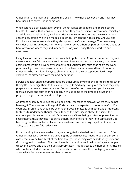Christians sharing their talent should also explain how they developed it and how they have used it to serve God in some way.

When setting up gift exploration events, do not forget occupations and more obscure talents. It is crucial that teens understand how they can participate in vocational ministry as an adult. Vocational ministry is when Christians minister to others as they work in their chosen occupation. We find it modeled in scripture when the Apostle Paul, Aquila, and Priscilla were tent makers while they also spread the Gospel message. Your teens may consider choosing an occupation where they can serve others as part of their job duties or have a vocation where they find independent ways of serving their co-workers and customers.

Every location has different rules and laws that apply to what Christians may and may not share about their faith in a work environment. Even countries that have very strict rules against proselytizing in work environments, still usually allow faith sharing off the work premises. If you can help teens understand the laws in your area and learn from other Christians who have found ways to share their faith in their occupations, it will help vocational ministry grow with the next generation.

Service and faith sharing opportunities are other great environments for teens to discover their gifts. Encourage them to think about the gifts God may have given them as they help prepare and execute the experiences. During the reflection times after you have given teens a service and faith sharing opportunity, use some of the time to discuss their progress on gift discovery and development.

As strange as it may sound, it can also be helpful for teens to discover where they do not have a gift. There are some things all Christians can be expected to do to serve God. For example, all Christians should be sharing the Gospel message with others. It is important for teens to understand though, that although the message is always the same, the methods people use to share their faith may vary. Often their gift offers opportunities to share their faith as they use it to serve others. Trying to share their faith using a gift God has not given them will often leave them frustrated and believing they do not have the ability to share their faith effectively.

Understanding the areas in which they are not gifted is also helpful to the church. Often Christians believe anyone can do anything the church decides needs to be done. In some cases, that may be true. Most of the time though, those things are best done by someone God has gifted to do them. The church needs to spend more time in making sure people discover, develop and use their gifts appropriately. This decreases the number of Christians who are frustrated, do important tasks poorly or quit because they are trying to serve in areas which God never meant for them to serve.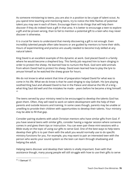As someone ministering to teens, you are also in a position to be a type of talent scout. As you spend time teaching and mentoring teens, try to notice the little flashes of potential talent you may see in each of them. Encourage them to do things that will help them discover if they do indeed have a gift in that area. It is better to encourage a teen to explore a gift and be proven wrong, than to fail to mention a potential gift to a teen who may never discover it otherwise.

It is crucial for teens to understand that merely discovering a gift is not enough. Even incredibly talented people often take lessons or are guided by mentors to hone their skills. Hours of experimenting and practice are usually needed to become truly skilled at any natural talent.

King David is an excellent example of this dynamic at work. God placed David in a family where he would become a shepherd boy. This family job required him to learn slinging in order to protect the sheep. He learned how to nurture the flock. God sent wild animals from whom David had to protect his sheep. David even learned how to play the lyre to amuse himself as he watched the sheep graze for hours.

We do not know to what extent that time of preparation helped David for what was to come in his life. What we do know is that he used slinging to slay Goliath. His lyre playing soothed King Saul and allowed David to live in the Palace and observe the life of a king – what King Saul did well and the mistakes he made – years before he became a king himself. 43

The teens served by your ministry need to be encouraged to develop the talents God has given them. Often, they will need to work on talent development with the help of their parents and outside lessons and training. In some cases though, parents may be unable or unwilling to provide their children with opportunities to develop their talents. Your ministry may be able to fill that gap.

Consider pairing students with adult Christian mentors who have similar gifts from God. If you have several teens with similar gifts, consider having a regular session where someone comes in and gives them tips or instruction. You can even pair these mini-sessions with a Bible study on the topic of using our gifts to serve God. One of the best ways to help teens develop their gifts is to pair them with the adult you would normally use to do specific ministry functions for you. For example, you may want to pair an interested teen with the person who works your sound system so the teen can learn through shadowing and helping the adult.

Helping teens discover and develop their talents is vitally important. Even with that assistance though, many young people will still struggle with how to use their gifts to serve

<sup>43</sup> 1 Samuel 17.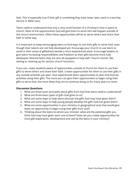God. This is especially true if their gift is something they have never seen used in a worship service or Bible class.

Teens need to understand that only a very small fraction of a Christian's time is spent at church. Most of the opportunities God will give them to serve Him will happen outside of the church environment. Often these opportunities will be to serve others and share their faith in some way.

It is important to keep encouraging teens to find ways to use their gifts to serve God, even though their talents are not fully developed yet. Encourage your church to use teens to assist in their areas of giftedness beside a more experienced adult. Encourage leaders to give teens increasing responsibilities and freedom as their gifts become more fully developed. Remind teens they are also all equipped to help with "church chores" like setting or cleaning up for various church functions.

If you can, make students aware of opportunities outside of church for them to use their gifts to serve others and share their faith. Create opportunities for them to use their gifts in any outside activities you plan. Give experienced teens opportunities to plan and execute activities using their gifts. The more you can give them opportunities to begin using their gifts to serve God, the more likely they are to continue doing so for many years to come.

- 1. What are three basic principles about gifts from God that teens need to understand?
- 2. What are three basic types of gifts God gives to us?
- 3. What are some ways to help teens discover the gifts God may have given them?
- 4. What are some ways to help young people develop the gifts God has given them?
- 5. What are some opportunities in your ministry or geographical area that would give teens an opportunity to begin using their gifts from God?
- 6. Thinking about the teens to whom you minister, what are the potential gifts you think God may have given each one of them? How can you create opportunities for more gift exploration, development and use by the teens in your ministry?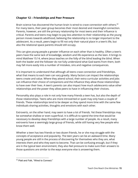## **Chapter 12 – Friendships and Peer Pressure**

Brain science has discovered the human brain is wired to crave connection with others.<sup>44</sup> For many teens, their peer group becomes their most desired and meaningful connection. Parents, however, are still the primary relationship for most teens and their influence is critical. Parents and teens may begin to pay less attention to their relationship as the young person moves towards adulthood, believing the relationship is no longer important to the adolescent. As a result, peers begin to fill not only their natural place in a teen's life, but also the relational space parents should still occupy.

This can give young people a greater influence on each other than is healthy. Often a teen's peers have the same lack of knowledge, wisdom and life experience as the teen. It brings to mind Matthew 15:14, where Jesus teaches on the folly of the blind leading the blind. When both the leader and the follower do not fully understand what God wants from them, both may fall more easily into a number of mistakes, sins and negative consequences.

It is important to understand that although all teens crave connection and friendships, what that means to each teen can vary greatly. Many factors can impact the relationships teens create and value. Where they attend school, their extra curricular activities and jobs can influence their choice of companions and the influence they allow those relationships to have over their lives. A teen's parents can also impact how much adolescents value other relationships and the power they allow peers to have in influencing their choices.

Personality also plays a role in not only how many friends a teen has, but also the depth of those relationships. Teens who are more introverted or quiet may only have a couple of friends. These relationships tend to be deeper as they spend more time with the same few individuals sharing activities, thoughts and emotions with each other.

Extroverts, on the other hand, may seem to have a lot of friends. Yet these friendships may be somewhat shallow or even superficial. It is difficult to spend the time that would be necessary to develop deep friendships with a large number of people. As a result, many extroverts have a seemingly large group of friends, while still having very few people who know them well.

Whether a teen has two friends or two dozen friends, he or she may struggle with the concepts of acceptance and popularity. The teen years can be an awkward time. Many young people are still in the process of discovering for themselves who they are, what interests them and who they want to become. That can be confusing enough, but if they are in the typical teen environment, they also feel pressure to make sure their answers to those questions are similar to the ways everyone else is answering them.

<sup>44</sup> Platt and Falk, "Wired to Connect."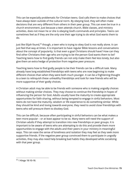This can be especially problematic for Christian teens. God calls them to make choices that have always been outside of the cultural norm. By obeying God, they will often make decisions that are very different from others in their peer group. This can even be true in a church environment. Just because a teen attends church, Bible classes, and ministry activities, does not mean he or she is obeying God's commands and principles. Teens can sometimes feel as if they are the only one their age trying to do what God wants them to do.

Just like Elijah found,<sup>45</sup> though, a teen who is trying to obey God is not really alone. It can just feel that way at times. It is important to have regular Bible lessons and conversations about the concept of popularity. Is that even a goal Christians should have? How can they find other Christians their age who are trying to be the person God wants them to be? Teaching teens how to find godly friends can not only make them feel less lonely, but also give them an extra hedge of protection from negative peer pressure.

Teaching teens how to find godly people to be their friends can be a difficult task. Many already have long established friendships with teens who are now beginning to make different choices than when they were both much younger. It can be a frightening thought to a teen to relinquish these unhealthy friendships and look for new friends who will be more supportive of their godly choices.

A Christian adult may be able to be friends with someone who is making ungodly choices without making similar choices. They may choose to continue the friendship in hopes of influencing the person for God. Adults usually have the maturity to create appropriate opportunities for faith sharing, without being tempted to engage in sinful behaviors. Most teens do not have the maturity, wisdom or life experience to do something similar. While they should be kind and loving towards everyone, they need to avoid close friendships with teens who will pressure them to disobey God.

This can be difficult, because often participating in sinful behaviors can be what makes a teen more popular – or at least appear to be so. Many teens will need the support of Christian adults if they attempt to transition into new friendships or peer groups. It is important to be aware of teens who are attempting to do this and provide them more opportunities to engage with the adults and their peers in your ministry in meaningful ways. This can ease the sense of loneliness and isolation they may feel as they seek more supportive friends. If the negative peer group convinced them to participate in ungodly activities, they may also need help breaking bad habits they developed while socializing with that peer group.

<sup>45</sup> 1 Kings 19:10-18.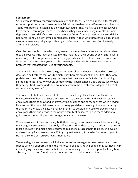#### **Self Esteem**

Self esteem is often a concern when ministering to teens. Peers can impact a teen's self esteem in positive or negative ways. It is fairly intuitive that poor self esteem is unhealthy. Teens with poor self esteem see only their own faults. They may struggle to believe God loves them or can forgive them for the choices they have made. They may also become depressed or suicidal. If you suspect a teen is suffering from depression or is suicidal, his or her parents should be informed immediately. (Note: A teen who threatens suicide, should always be seen as quickly as possible by a professional to assess their risk of actually attempting suicide.)

Over the last couple of decades, many western societies became concerned about what they believed was the low self esteem of the majority of their young people. Efforts were made to give effusive praise and remove any possibility of rejection, failure or criticism. What resulted after a few years of this constant positive reinforcement was another problem that impacted the lives of young people.

Students who were only shown the good in themselves and never criticized or corrected developed self esteem that was too high. They became arrogant and entitled. They were prideful and mean. The underlying message that they were perfect also had troubling spiritual ramifications. Why would someone who is perfect need God's grace? Why would they accept God's commands and boundaries when those restrictions deprived them of something they wanted?

The solution to both extremes is to help teens develop godly self esteem. This is the balanced view of how God sees them. God knows their strengths and weaknesses. He encourages them to grow and improve, giving guidance and consequences when needed. He also sees the potential teens have for doing good deeds, serving others and sharing their faith. He knows the gifts He has given them to develop and use to serve Him. God encourages them and provides them with a family of believers to give teens additional guidance, accountability and encouragement when they need it.

When teens learn to see accurately both their strengths and weaknesses, they are moving towards godly self esteem. This godly self esteem drives them to try to reflect God's image more accurately and make more godly choices. It encourages them to discover, develop and use their gifts to serve others. With godly self esteem, it is easier for teens to grow to be more like the person God wants them to be.

Teens with godly self esteem will find it easier to ignore negative peer pressure and seek friends who will support them in their efforts to be godly. Young people may still need help in identifying the characteristics that make someone a good friend - especially if they have a history of choosing friends who encourage them to make poor choices.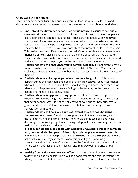## **Characteristics of a Friend**

There are some general friendship principles you can teach in your Bible lessons and discussions that can remind the teens to whom you minister how to choose good friends:

- **● Understand the difference between an acquaintance, a casual friend and a close friend.** Teens need to be kind and loving towards everyone. Even people who make poor choices can be acquaintances. These are not people with whom you spend most of your free time, ask for advice, or tell all of your worries and secrets. Casual friends are the type of people with whom you spend some of your free time. They can be supportive, but you have something that prevents a closer relationship. This can be distance, different interests or beliefs, or other things that make a close friendship difficult. Close friends are those the Bible describes as "like a brother." These friendships are with people whom you know have your best interests at heart and are supportive of helping you be the person God wants you to be.
- **● Find friends who will encourage you to be your best self.** It is not always possible for teens to have an entire friend group that consists of Christians. Teens can still seek secular friends who encourage them to be the best they can be in every area of their lives.
- **● Find friends who will support you when times are tough.** A lot of things can happen during the teen years and not all of them are positive. Teens need friends who will support them in the bad times as well as the good ones. Teach teens that friends who disappear when they are facing challenges may not be the supportive people they need as close companions.
- **● Find friends who keep private things private.** Often friends are the people to whom we confide the things that are worrying or upsetting us. They may be things that never happen or we do not particularly want everyone to know quite yet. A good friend keeps confidences and asks permission before sharing a private conversation with others.
- **● Find friends who will help you obey God, even if they are not Christians themselves.** Teens need friends who support their choices to obey God, even if they are not making the same choices. They should be the type of friends who discourage them from going places or being with people they know may tempt them to do things they have decided not to do.
- **● It is okay to feel closer to people with whom you have more things in common, but you should also be open to friendships with people who are not exactly like you.** Often the friendships that help us grow the most are with people who are not exactly like us. They can teach us new things and give us new insights, knowledge and perspectives. Choosing to only be friends with people exactly like us can be easier, but those relationships can also reinforce our ignorance or bad habits.
- **● Healthy friendships take time and effort.** You have to spend time with someone to develop a close friendship. There will be disagreements and misunderstandings when you spend a lot of time with people. It often takes time, patience and effort to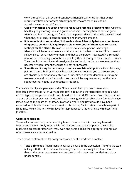work through those issues and continue a friendship. Friendships that do not require any time or effort are actually people who are more likely to be acquaintances or casual friends.

- **● Close friendships are great practice for future romantic relationships.** A strong, healthy, godly marriage is also a great friendship. Learning how to choose good friends and how to be a good friend, can help teens develop the skills they will need when they are ready to consider dating and marrying someone.
- **● It is important to remember, if there is a close friendship between two teens of opposite genders, it is quite possible one or both of them have romantic feelings for the other.** This can be problematic if one person is hoping the friendship will become romantic and the other person has no interest in a romantic relationship. Teens need to understand that to the person interested in a romantic relationship, spending a lot of time alone together encourages their romantic hopes. They should be sensitive to those dynamics and avoid hurting someone more than necessary when romantic feelings are not reciprocated.
- **● Sometimes, it may be necessary to end a close friendship.** While it can be a very painful process, having friends who consistently encourage you to disobey God or are physically or emotionally abusive is unhealthy and even dangerous. It may be necessary to end those friendships. You can still be acquaintances, but the time spent together needs to be drastically reduced.

There are a lot of great passages in the Bible that can help you teach teens about friendship. Proverbs is full of very specific advice about the characteristics of people who are the types of people we should and should not befriend. Of course, David and Jonathan are one of the best examples in the Bible of a great, godly friendship. Their friendship even lasted beyond the death of Jonathan. In a world where King David would have been expected to kill Mephibosheth as a threat to his throne, David instead made him a part of his family. He did this to show his love for Mephibosheth's father and David's best friend, Jonathan.

#### **Conflict Resolution**

Teens will also need help understanding how to resolve conflicts they may have with friends and peers in godly ways. While both parties need to participate in the conflict resolution process for it to work well, even one person doing the appropriate things can often de-escalate a tense situation.

Teach teens to attempt the following steps when confronted with a conflict:

1. **Take a time out.** Teach teens to ask for a pause in the discussion. They should stop talking with the other person. Encourage them to walk away for a few minutes if they or the other person needs some time to calm down and get their emotions under control.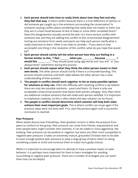- 2. **Each person should take time to really think about how they feel and why they feel that way.** Is there conflict because there is a true difference of opinion or did someone get caught up in the emotions surrounding the conversation? Is someone causing conflict about something that really does not matter to them, but they are in a bad mood because of lack of sleep or some other unrelated factor? Does this disagreement actually remind the teen of a more serious conflict with someone else and they are adding that conflict to this unconnected disagreement? Sorting out emotions from needs and wants can help each person clarify what is really important to them. Often it can help to consider, "If you were to only accomplish one thing in the resolution of this conflict, what do you hope that would be?"
- 3. **Each person should calmly tell the other person how they are feeling in a format similar to this, "I feel \_\_\_\_\_\_\_\_\_ when you \_\_\_\_\_\_\_\_\_\_\_, because \_\_\_\_\_\_\_\_\_\_. I would like \_\_\_\_\_\_\_\_\_\_\_\_."** They should avoid using ugly words and "you are" or "you always/never" statements during this process.
- 4. **Each person should repeat what they think the other person meant in their own words.** The other person should clarify if there is a misunderstanding. This process should continue until both sides believe the other person has a clear understanding of their position.
- 5. **The people in conflict should work together to list as many possible options for solutions as they can.** Often the difficulty with resolving conflicts is we believe there are only two possible solutions – yours and theirs. Or there is only one acceptable compromise position that leaves both parties unhappy. Very often there are additional creative solutions that will make each person satisfied. It is important to emphasize creativity, as this is often where the best solution can be found.
- 6. **The people in conflict should determine which solution will help both sides achieve their most important goals.** This is where conflict can erupt again if the previous steps were not done well. If so, start the process again until a successful conclusion is reached.

#### **Peer Pressure**

When adults discuss teen friendships, their greatest concern is often the pressure from peers to conform to the group. Peer pressure can come from friends, acquaintances and even people teens might consider their enemies. It can be subtle or more aggressive, like bullying. Peer pressure can be positive or negative, but teens are often more susceptible to negative peer pressure. It takes an extremely mature, grounded Christian teen to be able to exert enough positive peer pressure to sway a large group of teens intent on doing something unwise or sinful and convince them to make more godly choices.

While it is important to encourage teens to attempt to have a positive impact on peer behavior, it is perhaps more important for them to learn strategies for avoiding succumbing to negative peer pressure. There are a number of strategies you can teach them that can be helpful: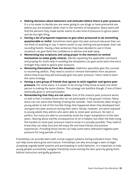- **● Making decisions about behaviors and attitudes before there is peer pressure.** It is a lot easier to decide you are never going to use drugs or have premarital sex before you are tempted rather than in the moment of temptation. Many teens will find the decision they made earlier exerts its own kind of pressure to ignore peers and do the right thing.
- **● Having a list of prepared responses to give when pressured to do something questionable or sinful.** Sometimes teens give into peer pressure because they can not think of anything to say. It seems easier to say nothing and participate, than risk sounding foolish. Having a few sentences they have decided to use in those situations can give them the confidence to decline and walk away.
- **● Memorizing key scriptures and using prayer in the moment to remind themselves to make godly choices.** Silently repeating the applicable command and praying for God's help in avoiding the temptation can give some teens the extra strength they need to ignore peer pressure.
- **● Removing themselves from the situation.** Addiction specialists give this counsel to recovering addicts. They need to avoid or remove themselves from situations where they know they will eventually give into peer pressure. Teens need to learn the same strategy.
- **● Having a core group of friends that agrees to stick together and ignore peer pressure.** For some teens, it is easier to be strong if they know at least one other person is making the same choices. This strategy can backfire though, if one of them eventually gives in and participates.
- **● Remembering that they are not alone.** One of the reasons peer pressure works so well is that it isolates those who do not participate in the group's choices. Many teens can not stand that feeling of being the outsider. Teen ministries often bring in young adults to tell of the horrible things that happened when they disobeyed God and gave into peer pressure during their teens. Rarely, however, are teens exposed to young adults they admire who were able to resist peer pressure. No teen is perfect, but many are able to successfully avoid the major temptations of the teen years. Hearing about earthly consequences of sin is helpful, but often the kids trying the hardest to resist peer pressure need to know it is actually possible. They need to know they can obey God and still enjoy life and have friends and positive experiences. Providing those stories can help some teens withstand negative peer pressure for long periods of time.

Friendships can provide teens with crucial support systems during turbulent times. They can help some teens grow and mature. Friendships can also encourage a teen to begin accepting ungodly belief systems and participating in sinful behavior. It is important to help young people successfully navigate friendship issues during the teen years by giving them biblical instruction and godly guidance.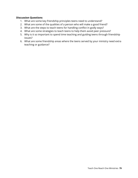#### **Discussion Questions**

- 1. What are some key friendship principles teens need to understand?
- 2. What are some of the qualities of a person who will make a good friend?
- 3. What are the steps to teach teens for handling conflict in godly ways?
- 4. What are some strategies to teach teens to help them avoid peer pressure?
- 5. Why is it so important to spend time teaching and guiding teens through friendship issues?
- 6. What are some friendship areas where the teens served by your ministry need extra teaching or guidance?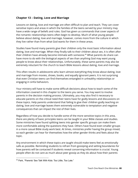# **Chapter 13 – Dating, Love and Marriage**

Lessons on dating, love and marriage are often difficult to plan and teach. They can cover sensitive topics and areas in which the families of the teens served by your ministry may have a wide range of beliefs and rules. God has given us commands that cover aspects of the romantic relationships teens often begin to develop. Much of what young people believe about dating, love and marriage, however, comes more from the culture in which they live rather than from what God wants for them in these areas.

Studies have found many parents give their children only the most basic information about dating, love and marriage. When they finally talk to their children about sex, it is often after their children have already become intimate with someone. $^{46}$  What parents do share can have more to do with the biological aspects of sex than anything God may want young people to know about their relationships. Unfortunately, these same parents may also be extremely reluctant for the church to teach Bible lessons about dating, love and marriage.

This often results in adolescents who learn almost everything they know about dating, love and marriage from movies, shows, books, and equally ignorant peers. It is not surprising that even Christian teens can find themselves entangled in unhealthy relationships or engaging in sinful behaviors.

Your ministry will have to make some difficult decisions about how to teach some of the information covered in this chapter to the teens you serve. You may want to involve parents in the decision making process. Ultimately, you may also find it necessary to educate parents on the critical need their teens have for godly lessons and discussions on these topics. Help parents understand that failing to give their children godly teaching on dating, love and marriage leaves them extremely vulnerable to temptation and negative consequences that can impact the rest of their lives.

Regardless of how you decide to handle some of the more sensitive topics in this area, there are plenty of basic principles teens can be taught in your Bible classes and studies. Some ministries have found splitting teens into gender specific groups can make them more comfortable asking the questions they have. Others have found even smaller groups in a more casual Bible study work best. At times, ministries prefer having the group mixed, so each gender can hear for themselves how the other gender thinks and feels about the topic.

Any environment in which these topics are taught should make teens feel as emotionally safe as possible. Reminding students to refrain from gossiping and setting boundaries for how parents will be contacted if students reveal concerning information is crucial. Young people often do not care as much about peer gossip as they do about how their parents

<sup>46</sup> Park, "Parents' Sex Talk With Kids: Too Little, Too Late."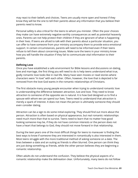may react to their beliefs and choices. Teens are usually more open and honest if they know they will be the one to tell their parents about any information that you believe their parents need to know.

Personal safety is also critical for the teens to whom you minister. Often the poor choices they make can have extremely negative earthly consequences as well as potential heavenly ones. Parents can not help protect their children if they are ignorant of what is happening in their lives. If teens are afraid to talk with their parents about a particular situation, you can offer to have someone from your ministry accompany them to provide extra emotional support. In certain circumstances, parents will need to be informed even if their teens refuse to tell them about concerning issues. Make sure the teens in your ministry know how you will handle the situation if they fail to communicate vital information to their parents.

### **Defining Love**

Once you have established a safe environment for Bible lessons and discussions on dating, love and marriage, the first thing you will need to do is help teens understand what true, godly romantic love looks like in real life. Many have seen movies or read stories where characters were "in love" with each other. Often, however, the love that is depicted is far removed from the love God wants in the romantic relationships of Christians.

The first obstacle many young people encounter when trying to understand romantic love is understanding the difference between attraction, lust and love. They need to know attraction to someone of the opposite sex is natural. It is how God designed us to find a spouse with whom we can spend our lives. Teens need to understand that attraction is merely a spark of interest. It does not mean the person is ultimately someone they should even consider dating.

Attraction can be a sign to do some initial exploring. They should find out more about the person. Attraction is often based on physical appearance, but real romantic relationships need much more than that to survive. Teens need to learn that no matter how good looking someone may be, if they do not have common interests or the person does not have a heart that belongs to God, they should not move forward in that relationship.

During the teen years one of the most difficult things for teens to maneuver is finding the best ways to know if someone they are interested in romantically is also interested in them. Most teens struggle with the more traditional method of asking someone on a date. The lines between a date and an outing as friends is often blurred. One person can think they are just doing something as friends, while the other person believes they are beginning a romantic relationship.

Often adults do not understand the confusion. They believe the physical aspects of a romantic relationship make the delineation clear. Unfortunately, many teens do not follow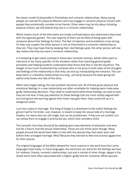the classic model of physicality in friendships and romantic relationships. Many young people are starved for physical affection and may engage in romantic physical contact with people they emotionally consider to be friends. Other teens may be shy about initiating physical contact, yet still believe they are in a romantic relationship.

Which means much of the time teens are totally confused about any interactions they have with the opposite gender. The vast majority of them are terrified of being open with someone about their feelings for them. The fear of rejection and humiliation is too strong. Or they may suspect the other person is not as interested in a romantic relationship as they are. They may hope that by keeping their real feelings quiet, the other person will one day realize that they too want a romantic relationship.

It is tempting to get overly involved in these teen romantic dramas. Adults often want to intervene in too many specifics of the situation rather than teaching general godly principles and helping students understand what those look like in real life situations. The danger of too much involvement by someone who is not privy to both sides of the thoughts and feelings of the relationship is that they can end up manipulating the romance. This can keep teens in unhealthy relationships too long - primarily because the adult giving the advice only knows one side of the story.

When teens begin dating, the next problem becomes lust. All of those great physical and emotional feelings in a new relationship are often unreliable for helping teens make wise, godly relationship decisions. They need to understand while those feelings can lead to love, they are not love. If they pay attention to these feelings that are more closely aligned with lust and ignore the warning signals their brain may give them, they could end up in a dangerous place.

Lust has a place in marriage. The Song of Songs is a testament to the lustful feelings the groom had for his bride. Lust, however, is meant to keep the sexual side of a marriage healthy. For teens who are still single, lust can be problematic. If they are not careful, lust can tempt them to engage in premarital sex, which God considers sinful.

The romantic love they should all be seeking does have elements of attraction and even lust for a future married sexual relationship. Those are just minor parts though. Many people around the world have fallen in love with the spouse they had never even met before their arranged marriage. Why? Because they learned to feel and practice agape love for their spouse.

The original languages of the Bible allowed for more nuances in the word love than some languages have today. In many languages, the word love can stand for the feelings we have for relatives, friends, romantic relationships, lust and a myriad of other things. Agape is the Greek word most often associated with a higher, godly love for someone. While spouses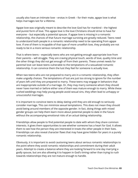usually also have an intimate love – erotas in Greek – for their mate, agape love is what helps marriages last for a lifetime.

Agape love was originally meant to describe the love God has for mankind – the highest and purest form of love. This agape love is the love Christians should strive to have for everyone – but especially a potential spouse. If agape love is missing in a romantic relationship, the chances of that future marriage surviving are greatly reduced. Teens need to understand both people in a romantic relationship need to be operating from agape love. If one of them is incapable of that type of more unselfish love, they probably are not ready to be in a more serious romantic relationship.

That is where teens – especially teens who are not getting enough appropriate love from their parents – will struggle. They are craving physical touch, words of love, quality time and the other things they did not get enough of from their parents. These unmet needs for parental love can leave teens vulnerable to the temptations of a sexualized romantic relationship. It can convince them the lust they feel for someone is actually love.

When two teens who are not prepared to marry are in a romantic relationship, they often make ungodly choices. The temptations of lust are just too strong to ignore for the number of years left until they are prepared to marry. These teens may engage in behaviors that are inappropriate outside of a marriage. Or, they may marry someone whom they should never have married or before either one of them was mature enough to marry. While these rushed weddings may help young people avoid sexual sins, they often lead to unhappy or unsuccessful marriages.

It is important to convince teens to delay dating until they are old enough to seriously consider marriage. This can minimize sexual temptations. This does not mean they should avoid being around members of the opposite gender. In fact, doing things with mixed gender groups can help them learn more about potential people to date in the future without the accompanying emotional risks of an actual dating relationship.

Friendships allow people to find potential people to date with whom they share common interests. It gives them opportunities to see whether someone has a heart for God. It allows them to see how the person they are interested in treats the other people in their lives. Friendships can also reveal character flaws that may have gone hidden for years in a purely romantic relationship.

Obviously, it is important to avoid cautioning teens about serious romantic relationships to the point where they avoid romantic relationships and commitment during their adult years. Attempt to create a balance where they are looking forward to one day marrying a godly spouse, but are also allowing it to happen in God's timing rather than trying to rush towards relationships they are not mature enough to handle.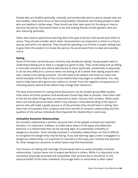People who are healthy spiritually, mentally and emotionally tend to attract people who are also healthy. Help teens focus on becoming healthy individuals and finding people to date who are healthy in similar ways. They should use their teen years for focusing on how to become the person God wants them to be and making friends of both genders who are also maturing spiritually.

Teens also need to spend time learning about the type of person God would want them to marry. They should consider which other characteristics are important to them in a future spouse and which are optional. They should be spending a lot of time in prayer asking God to give them the wisdom to choose the person He would want them to date and possibly marry.

## **Dating**

Some of the teens served by your ministry may already be dating. Young people need to understand dating just to date is a dangerous game to play. They could easily end up falling in love with someone who will be detrimental to them spiritually, emotionally or physically. It can be very difficult to convince teens not dating at all is better than dating anyone who asks, merely to be dating someone. You will need to be patient and share as many real world examples of the folly of that choice before they may begin to understand. You may have to help teens who ignore your advice to recover from the negative consequences of choosing poorly several times before they change their behaviors.

The best environment for having these discussions can be smaller group Bible studies. Have teens list those qualities God would want those they date to possess. Have them add to the list the other things that are important to them. Discuss their answers. While some items are merely personal taste, others may indicate a misunderstanding of the type of person who will make a godly spouse or of the priorities they should have in dating. Give teens lots of examples from scripture and from real life of romantic relationships and the qualities of the various individuals that impacted the relationship in some way.

## **Unhealthy Romantic Relationships**

No romantic relationship is perfect, because both of the people involved are imperfect humans. It is important, however, to make teens aware of the types of problematic behavior in a relationship that can be warning signs of a potentially unhealthy or dangerous situation. Teens already involved in unhealthy relationships can find it difficult to recognize the danger they may be facing. If you see warning signs a teen is engaged in a dangerous relationship, it is important to intervene in the ways your ministry has planned for other dangerous situations in which teens may find themselves.

Your lessons on dating and marriage should equip teens to avoid unhealthy romantic relationships. Caution teens not to expect perfection in others. While it is important to be somewhat physically attracted and compatible, their primary focus should be on the spiritual health of the other individual. Encourage them to avoid what is often called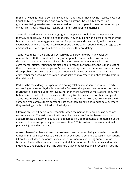missionary dating – dating someone who has made it clear they have no interest in God or Christianity. They may indeed one day become a strong Christian, but there is no guarantee. Being married to someone who does not participate in the most important part of your life – your Christianity – can be extremely stressful to a marriage.

Teens also need to learn the warning signs of people who could hurt them physically, mentally or spiritually in a dating relationship. They should know the signs of someone who is a narcissist with an exaggerated sense of importance and consistently selfish behavior. Even people who are not technically narcissistic can be selfish enough to do damage to the emotional, mental or spiritual health of the person they are dating.

Teens need to learn the signs of a person who will pretend to be in an exclusive relationship with them while still seeing other people romantically. Those who are dishonest about other relationships while dating often become adults who have extra-marital affairs. Young people also need to recognize when someone is manipulating them to make sure the other person's needs are always met. Inexperienced teens can see these problem behaviors as actions of someone who is extremely romantic, interesting or edgy, rather than warning signs of an individual who may create an unhealthy dynamic in the relationship.

Perhaps the most dangerous person in a dating relationship is someone who is overly controlling or abusive physically or verbally. To teens, this person can seem to love them so much they are acting out of that love rather than more dangerous motivations. They may believe it is true when the person claims the negative behaviors are for their own good. Teens need to seek adult guidance if they find themselves in a romantic relationship with someone who controls them constantly, isolates them from friends and family, or where they are being cruelly criticized or physically hurt.

Often an abuser will seem very remorseful when the person they are abusing becomes extremely upset. They will swear it will never happen again. Studies have shown that abusers create a pattern of abuse that appears to include repentance or remorse, but the abuse continues and generally worsens over time. $47$  This can lead to severe emotional or physical injury and even death.

Abusers have often been abused themselves or seen a parent being abused consistently. Christian men will often excuse their behavior by misusing scripture to justify their actions. Often, they will claim the abuse is because the woman was not being submissive as the Bible required and is surely sanctioned by God. It is important for both male and female students to understand there is no scripture that condones beating a spouse. In fact, the

<sup>&</sup>lt;sup>47</sup> Focht, "The Cycle of Domestic Violence."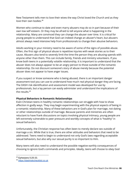New Testament tells men to love their wives the way Christ loved the Church and as they love their own bodies. 48

Women who continue to date and even marry abusers may do so in part because of their own low self esteem. Or they may be afraid to tell anyone what is happening in the relationship. Many are convinced they can change the abuser over time. It is critical for young people to understand that God can indeed change an abuser's heart, but abusers almost always need intensive help from professionals to change their abusive behaviors.

Adults working in your ministry need to be aware of some of the signs of possible abuse. Often, the first sign of physical abuse is repetitive injuries with weak stories as to their cause. Abusers also tend to severely limit the time the person they are abusing spends with anyone other than them. This can include family, friends and ministry volunteers. If you know both teens in a potentially volatile relationship, it is important to understand that the abuser does not always appear to be an angry person to those outside of the romantic relationship. Do not discount someone's story of abuse merely because the potential abuser does not appear to have anger issues.

If you suspect or know someone who is being abused, there is an important danger assessment tool you can use to understand how much real physical danger they are facing. The DASH risk identification and assessment model was developed for use by professionals, but a lay person can easily administer and understand the implications of the results. 49

## **Physical Behaviors in Romantic Relationships**

Even Christian teens in healthy romantic relationships can struggle with how to show affection in godly ways. They may begin experimenting with the physical aspects of being in a romantic relationship. Many of these behaviors are in God's plan for marriage, not dating or other relationships outside of marriage. Because parents and ministries are often reluctant to have frank discussions on topics involving physical intimacy, young people are left extremely vulnerable to peer pressure and worldly concepts of what is "healthy" in sexual behaviors.

Unfortunately, the Christian response has often been to merely declare sex outside of marriage a sin. While that is true, there are other attitudes and behaviors that need to be addressed. Teens need to begin to understand not only God's laws regarding acceptable sexual behaviors, but also why our sexual purity is so important to Him.

Many teens will also need to understand the possible negative earthly consequences of choosing to ignore God's commands and principles. Ideally, teens will choose to obey God

<sup>48</sup> Ephesians 5:25-33.

<sup>49</sup> <https://dashriskchecklist.co.uk>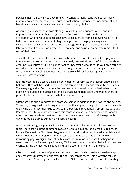because their hearts want to obey Him. Unfortunately, many teens are not spiritually mature enough for that to be their primary motivation. They need to understand all of the bad things that can happen when people make ungodly choices.

As you begin to share these possible negative earthly consequences with teens, it is important to remember that young people often believe they will be the exception – the one person who never experiences negative consequences from disobeying God. Try to help them understand that even if they manage to avoid the physical negative consequences, the emotional and spiritual damage will happen to everyone. Even if they later repent and receive God's grace, the emotional and spiritual scars often remain for the rest of their lives.

The difficult decision for Christian teens can be where to draw the line in their physical interactions with someone they are dating. Clearly premarital sex is sinful, but what about other physical intimacy? It is also important to understand what teens in your area actually consider to be sex. In many places, teens no longer view oral sex, for example, as sex. Which means many Christian teens are having sex, while still believing they are not violating God's commands.

It is important to help teens develop a definition of appropriate and inappropriate sexual behaviors that matches God's definition. This can be a difficult endeavor with some teens. They may argue that God does not list certain specific sexual or sexualized behaviors as being sinful outside of marriage. It can be a challenge to help teens understand there are principles behind God's commands that must also be obeyed.

Often these principles address the heart of a person in addition to their words and actions. Teens may struggle with believing what they are thinking or feeling is important - especially teens who try to hide their true selves behind behaviors that appear appropriate to adults. People in the Bible also struggled with this concept of a person's heart being as important to God as their words and actions. In fact, Jesus felt it necessary to carefully explain this dynamic multiple times during his ministry on earth.

What constitutes godly physical behavior in a romantic relationship is still a controversial topic. There are no direct commands about how much kissing, for example, is too much kissing. Even mature Christians disagree about what should be considered acceptable and what should be discouraged. In general, teens should be cautioned to go slowly in introducing physical signs of affection to a romantic relationship. Once that begins, it seems to continue increasing in intensity. While teens can control their behaviors, they may eventually find themselves in situations that are too tempting for them to resist.

Obviously, the discussions of physical intimacy in a relationship can be somewhat graphic and embarrass many teens, and even the adults teaching them. This is why the topic is often avoided. Preferably teens will have these Bible lessons and discussions before they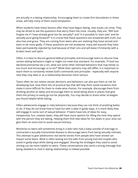are actually in a dating relationship. Encouraging them to create firm boundaries in these areas, will help many of them avoid temptation.

When students have these lessons after they have begun dating, new issues can arise. They may be afraid to ask the questions that worry them the most. Usually, they are, "Will God forgive me if I have already gone too far sexually?" and "Is it possible to 'start over' and be sexually pure going forward?" It is crucial that these questions are answered with truth, but also love and grace. They are coming from teens who are realizing they have sinned and want to be more godly. If these questions are not answered, many will assume they have been permanently rejected by God because of their sins and will leave Christianity with a broken heart and spirit.

Often, it is best to discuss general biblical principles and encourage teens to discuss how certain dating behaviors might or might not meet that standard. For example, "If God has declared premarital sex a sin, what are some other intimate behaviors that may tempt us too much and encourage us to sin?" While their opinions may still differ, it is important to teach them to constantly review God's commands and principles - especially with anyone new they may date or as a relationship becomes more serious.

Teens often do not realize certain decisions and behaviors can also put them at risk for disobeying God. Give them lots of practical tips that will help them avoid situations that make it more difficult for them to make wise choices. For example, discourage them from drinking alcohol on dates and encourage them to avoid being alone in places that give them the privacy to easily go too far physically. You may decide to share other strategies you found helpful while dating.

Often adolescents engage in risky behaviors because they can not think of anything better to do. If they do not know how to have fun with a date in godly ways, it is more likely they will engage in some sort of sexual behavior. If teens have lots of ideas for easy, inexpensive, fun, creative dates, they will have more options for filling the time they spend with the person they are dating. Helping them find new ideas for fun dates in your area can give them an extra tool to avoid sexual intimacy.

Ministries to teens will sometimes bring in a teen who had a baby outside of marriage or contracted a sexually transmitted disease to discourage teens from being sexually intimate. This attempt to give adolescents real world stories from people who have sinned can impact some teens. What is often lacking are the talks from young married couples who acted in godly ways while dating and engaged. Sharing the strategies they used to avoid sinning can be more helpful to teens. These conversations also send a strong message that being obedient to God in dating relationships is indeed possible.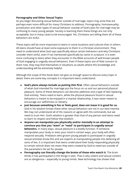### **Pornography and Other Sexual Topics**

As you begin discussing sexual behavior outside of marriage, topics may arise that are perhaps even more difficult for many Christians to address. Pornography, homosexuality, prostitution and other types of sexual behavior outside of God's plan for marriage may be confusing to many young people. Society is teaching them these things are not only acceptable, but in many cases to be encouraged. Yet, Christians are telling them all of these behaviors are sinful.

These topics will be more important to teens in some locations and cultures than in others. All teens should have at least some exposure to them in a Christian environment. They need to understand what God says specifically about certain behaviors and why Christians consider them sinful, even if not mentioned specifically by name in scripture. It is even more confusing to teens when they encounter in the Bible accounts of well known people of God engaging in ungodly sexual behaviors. Even if these topics are of little concern to them now, they may find themselves in situations as adults where this knowledge and understanding will be extremely helpful.

Although the scope of this book does not give us enough space to discuss every topic in detail, there are some key concepts it is important teens understand:

- **● God's plans always include us putting Him first.** Often sexual behaviors outside of what God intended for marriage put the focus on us and our personal physical pleasure. Some of these behaviors can become addictive and a type of idol replacing God entirely. Teens need to learn, while the physical pleasure found in sexual behaviors is meant to be enjoyed in a marital relationship, it was never meant to encourage our selfishness or idolatry.
- **● Just because something is fun or feels good, does not mean it is good for us.** God in his wisdom knows these other sexual behaviors are not in our best interest. We may not understand all of His reasons or agree with His commands, but we need to trust Him. God's wisdom is greater than that of any person and teens need to learn to respect and follow that wisdom.
- **● Anyone can manipulate you physically and/or mentally in an attempt to convince you that you "want" or "need" to participate in ungodly sexual behaviors.** In many ways, sexual pleasure is a bodily function. If someone manipulates your body or even your mind in certain ways, your body will often respond sexually. Predators who groom young people to participate in ungodly sexual activities know this and are experts at manipulating people into believing all sorts of lies. It is important that teens understand their body responding physically to certain stimuli does not mean they were created by God to need sex outside of the parameters He set for people.
- **● Pornography can literally change the brains of those who watch it.** The brain thinks it has participated in the things it sees. That is why violent and sexual content are so dangerous – especially to young minds. New technology has shown that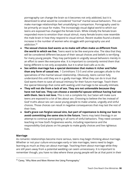pornography can change the brain so it becomes not only addicted, but it is desentized to what would be considered "normal" marital sexual behaviors. This can make marriage relationships feel unsatisfying in comparison. Pornography used to be primarily an issue for males. The increasingly visual digital world to which our teens are exposed has changed the female brain. While initially the female brain responded more to emotion than visual stimuli, many female brains now resemble the male brain in how they respond to visual stimuli. Recent studies found a drastic increase in the number of women who struggle with pornography use and addiction. 50

- **● The sexual choices God wants us to make will often make us different from the world in which we live.** Teens want to be like everyone else. The idea that they will be considered different because of their sexual choices and beliefs is terrifying for many young people. They may participate in ungodly sexual behaviors merely in an effort to seem like everyone else. It is important to constantly remind them that being different is not only acceptable, but it is what God calls us to do.
- **● Sex within marriage has a special deminsion that makes it richer and fuller than any form of casual sex.** 1 Corinthians 7:3-5 and other passages allude to the specialness of the marital sexual relationship. Obviously, teens cannot fully understand this until they are in a godly marriage. What they can do is trust that God wants them to save all sexual intimacy for their future marriage. Teach them the special blessings that come with waiting until marriage to be sexually intimate.
- **● They will not die from a lack of sex. They are not unloveable because they have not had sex. They can choose a wonderful spouse without having had sex with them. Sex is not love.** This is not a complete list, but Satan will make sure teens are exposed to a lot of lies about sex. Choosing to believe the lies instead of God' truths about sex can cause young people to make unwise, ungodly and sinful choices. Those choices can result in negative consequences that may last the rest of their lives.
- **● God's grace can forgive sexual sins, but part of repentance is doing our best to avoid committing the same sins in the future.** Teens may twist theology in an attempt to continue participating in all sorts of sinful behaviors. They need constant teaching on how God's forgiveness works, including repentance and the responsibility God places on his people to make godly choices and live righteous lives.

#### **Marriage**

As romantic relationships become more serious, teens may begin thinking about marriage. Whether or not your culture encourages early or late marriages, teens need to begin learning as much as they can about marriage. Teaching them about marriage while they are still years away from a potential wedding can seem unnecessary. It is important to remember though, you have no idea where these young people will be at that point in their

<sup>&</sup>lt;sup>50</sup> Carey, "Why More and More Women Are Using Pornography."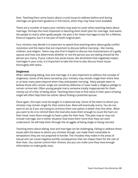lives. Teaching them some basics about crucial issues to address before and during marriage can give them guidance in the future, when they may have none available.

There are a number of topics your ministry may want to cover when teaching teens about marriage. Perhaps the most important is teaching them God's plan for marriage. God wants His people to marry other godly people. His plan is for these marriages to last for a lifetime. Divorce happens, but it is not part of God's original plan.

Your ministry may decide it is important to spend time teaching teens about godly conflict resolution and the topics that are important to discuss before marrying – like money, children, and religion. Teens may also find it helpful to discuss the characteristics of a godly spouse and how one determines whether or not the person you are dating should be the person you marry. If your culture has social issues, like alcoholism that negatively impact marriages in your area, it is important to take the time to also discuss those issues thoroughly with teens.

#### **Singleness**

When addressing dating, love and marriage, it is also important to address the concept of singleness. Some of the teens served by your ministry may remain single their entire lives or at least many years beyond when they anticipated marrying. Many people seem to believe those who remain single are somehow defective or have made a religious pledge to remain unmarried. Often young people marry someone totally inappropriate for them merely out of a fear of being alone. Teaching teens how to find value in their years of being single will often help them be calmer about finding a potential spouse.

Once again, this topic must be taught in a balanced way. Some of the teens to whom you minister may remain single for their entire lives. Most will eventually marry. You do not want to act as if you are trying to convince them one option is better than the other. What you want to do is to remind them the God who loves them enough to count the hairs on their head, loves them enough to have a plan for their lives. This plan may or may not include marriage, but in either situation God loves them more than they can even understand. He will help them through the struggles of being single or being married.

Teaching teens about dating, love and marriage can be challenging. Failing to address these issues with the teens to whom you minister though, can make them vulnerable to temptations they are not prepared to handle. The mistakes they make in the areas of sexual sins can cause negative earthly consequences that can impact them for the rest of their lives. You cannot control their choices, but you can make sure they have enough information to make godly ones.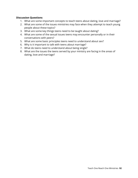### **Discussion Questions**

- 1. What are some important concepts to teach teens about dating, love and marriage?
- 2. What are some of the issues ministries may face when they attempt to teach young people about these topics?
- 3. What are some key things teens need to be taught about dating?
- 4. What are some of the sexual issues teens may encounter personally or in their conversations with peers?
- 5. What are some basic principles teens need to understand about sex?
- 6. Why is it important to talk with teens about marriage?
- 7. What do teens need to understand about being single?
- 8. What are the issues the teens served by your ministry are facing in the areas of dating, love and marriage?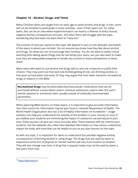# **Chapter 14 – Alcohol, Drugs, and Teens**

Many Christian teens are taught from an early age to avoid alcohol and drugs. In fact, some will not be tempted to participate in those activities - even if their peers are. For other teens, this can be an area where experimentation can lead to a lifetime of sinful choices, negative earthly consequences and pain. Still other teens will struggle with the topic, wondering why God does not want them to "have fun."

The amount of time you spend on this topic will depend in part on the attitudes and beliefs of the teens to whom you minister. Do not assume you know how they feel about alcohol and drugs. Do what you can to encourage their honesty. You do not want to waste critical teaching time talking about things that do not tempt your teens, but you also want to make sure they are adequately prepared to handle any current or future temptations in these areas.

Many teens who want to use alcohol and drugs will try and use scriptures to justify their choices. They may point out that God only forbids getting drunk, not drinking alcohol, or that Jesus turned water into wine. Or they may argue that God never mentions recreational drugs or tobacco in the Bible.

**Recreational drugs** may be prescribed pharmaceuticals, medications that can be purchased without a prescription and/or chemical substances used to alter the user's mental, physical or emotional state, usually outside of medically recommended parameters.

When planning Bible lessons on these topics, it is important to give accurate information. Your best source for information may be your local or national Department of Health. The World Health Organization also has a lot of helpful information on its website.<sup>51</sup> Usage statistics can help you understand the severity of the problem in your country or area. If you believe your students are minimizing the impact of substance use and abuse in your area, these sources can give you more accurate data. These statistics will not interest your students, but the websites also often have detailed information on how various substances impact the body and mind that can be helpful to you as you plan lessons on the topic.

As with any topic, it is important for teens to understand the possible negative earthly consequences of drinking alcohol or using drugs. The drugs that are used by teens to experience some sort of physical or mental reaction will vary from location to location. They will also change over time. A drug that is popular today may not be used by teens a few years from now.

<sup>51</sup> <https://www.who.int>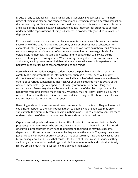Misuse of any substance can have physical and psychological repercussions. The mere usage of things like alcohol and tobacco can immediately begin having a negative impact on the human body. While you may not have the time to go through each particular substance and list all of the possible negative consequences, it is important for students to at least understand the repercussions of using substances in broader categories like inhalants or depressants.

For the most popular substances used by adolescents in your area, it is probably wise to share some of the specific problems caused by using or abusing those substances. For example, drinking any alcohol destroys brain cells and can harm an unborn child. You may want to show photos of the lungs of someone who smokes or the ravaged body of an opioid user. Remember, though, adolescents tend to believe they will always be the exception to negative consequences. When sharing the negative results of substance use and abuse, it is important to remind them that everyone will eventually experience the negative impact of failing to care for their bodies and minds.

Research any information you give students about the possible physical consequences carefully. It is important that the information you share is current. Teens will quickly discount any information that is outdated. Ironically, much of what teens share with each other about various substances is incorrect. Or your Bible students may be aware of the obvious immediate negative impact, but totally ignorant of more serious long term consequences. Teens may already be aware, for example, of the obvious problems like hangovers from drinking too much alcohol. What they may not know is how quickly their reflexes slow or that their inhibitions are lowered, increasing the likelihood they will make choices they would never make when sober.

Becoming addicted to a substance will seem improbable to most teens. They will assume it could never happen to them. Introducing them to people who are addicted may only substantiate their immunity from addiction in their minds. It is crucial, however, that teens understand some of them may have been born addicted without realizing it.

Orphans and adopted children often know little of their birth parents or their mother's pregnancy with them. Teens who suspect they were born to mothers who drank or used drugs while pregnant with them need to understand their bodies may have become dependent on those same substances while they were in the womb. They may have even gone through withdrawal shortly after birth. This exposure may have already caused long term consequences and issues that can last for the rest of their lives $52$ . It is wisest if they avoid any experimentation with drugs or alcohol. Adolescents with addicts in their family history are also much more susceptible to addiction themselves.

<sup>&</sup>lt;sup>52</sup> U.S. National Library of Medicine, "Neonatal Abstinence Syndrome."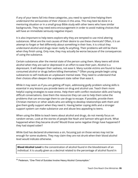If any of your teens fall into these categories, you need to spend time helping them understand the seriousness of their choices in this area. This may best be done in a mentoring situation or in a small group Bible study with other teens who have similar backgrounds. They may need extra encouragement in order to avoid making choices that will have an immediate seriously negative impact.

It is also important to help teens explore why they are tempted to use mind altering substances. What are the root causes of their desire to use these chemicals? Often, it is an attempt to forget or feel differently about something in their lives. It is critical they understand alcohol and drugs never really fix anything. Their problems will still be there when they finish using. Only now, they may actually be worse because of the consequences of using the substance.

Certain substances alter the mental state of the person using them. Many teens will drink alcohol when they are sad or depressed in an effort to ease their pain. Alcohol is a depressant. It will deepen their sadness, not ease it. Many suicide victims are found to have consumed alcohol or drugs before killing themselves.<sup>53</sup> Often young people begin using substances to self medicate an unpleasant mental state. They need to understand that their choices often deepen the unpleasant state rather than ease it.

While it may seem as if you are getting off topic, addressing godly problem solving skills is essential in any lessons you provide teens on drug and alcohol use. Teach them more helpful coping strategies to ease stress. Help them with conflict resolution skills and having difficult conversations. Give them the resources they can use to help them solve the problems that can encourage them to use drugs to escape. If possible, provide them Christian mentors or other adults who are willing to develop relationships with them and give them godly support when they need it. Having better coping skills and a stronger support system can make substance use and abuse less appealing to teens.

When using the Bible to teach teens about alcohol and drugs, do not merely focus on random verses. Look at the stories of people like Noah and Samson who got drunk. What happened when they became drunk? Would those same negative things have happened if they had stayed sober?

While God has declared drunkenness a sin, focusing just on those verses may not be enough for some students. They may claim they are not drunk when their blood alcohol level would indicate otherwise.

**Blood Alcohol Level** is the concentration of alcohol found in the bloodstream of an individual. It is usually given as a decimal related to the percentage of alcohol found in

<sup>53</sup> Pederson, "One-Third of Suicides Involve Heavy Alcohol Consumption."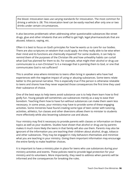the blood. Intoxication laws use varying standards for intoxication. The most common for driving a vehicle is .08. This intoxication level can be easily reached after only one or two drinks under certain circumstances.

It also becomes problematic when addressing other questionable substances like street drugs, glue and other inhalants that are sniffed to get high, legal pharmaceuticals that are abused, tobacco, vaping, etc.

Often it is best to focus on God's principles for how he wants us to care for our bodies. There are also scriptures on wisdom that could apply. Are they really able to be wise when their mind and its functions are chemically impaired? For some students, it can help to remind them of the purposes of the Christian life and how unhealthy habits can curtail what God has planned for them to do. For example, what might their alcohol or drug use communicate to a non-Christian? Is it a message that is pointing them to God, or one that communicates God is not sufficient?

This is another area where ministries to teens often bring in speakers who have had experiences with the negative impact of using or abusing substances. Some teens relate better to this personal narrative. This is especially true if the person is otherwise relatable to teens and shares how they never expected those consequences the first time they used their substance of choice.

One of the best ways to help teens avoid substance use is to help them learn how to find godly fun. Young people will sometimes use substances merely as a way to ease their boredom. Teaching them how to have fun without substances can make them seem less necessary. In some areas, your ministry may have to provide some of these engaging activities. Some ministries have found creating some type of teen center with tutoring, activities, athletics, fun classes and other diversions allows them to minister to students more effectively while also lessening substance use and abuse.

Your ministry may find it necessary to provide parents with classes or information on these topics as well as your students. Studies have shown that alcohol or drug use by parents makes it much more likely the teens in that family will also use them. Parents may also be ignorant of the information you are teaching their children about alcohol, drugs, tobacco and other substances. They may be engaged in risky behaviors themselves and minimize what you are teaching in your ministry. Giving them important information may encourage the entire family to make healthier choices.

It is important to have a ministry plan in place for teens who use substances during your ministry activities and events. These policies need to provide legal protection for your ministry and its volunteers. More importantly, they need to address when parents will be informed and the consequences for breaking the rules.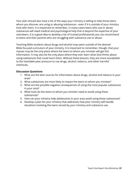Your plan should also have a list of the ways your ministry is willing to help those teens whom you discover are using or abusing substances - even if it is outside of your ministry time with them. It is important to remember, in many cases teens who use or abuse substances will need medical and psychological help that is beyond the expertise of your volunteers. It is a good idea to develop a list of trusted professionals you can recommend to teens and their parents who are struggling with substance use or abuse.

Teaching Bible students about drugs and alcohol may seem outside of the desired Bible-focused curriculum of your ministry. It is important to remember, though, that your classes may be the only place where the teens to whom you minister will get this information. It may also be the only place where they ever learn what God thinks about using substances that could harm them. Without these lessons, they are more susceptible to the inevitable peer pressure to use drugs, alcohol, tobacco, and other harmful chemicals.

### **Discussion Questions**

- 1. What are the best sources for information about drugs, alcohol and tobacco in your area?
- 2. What substances are most likely to impact the teens to whom you minister?
- 3. What are the possible negative consequences of using the most popular substances in your area?
- 4. What tools do the teens to whom you minister need to avoid using these substances?
- 5. How can your ministry help adolescents in your area avoid using these substances?
- 6. Develop a plan for your ministry that addresses how your ministry will handle situations involving the teens served by your ministry and substance use.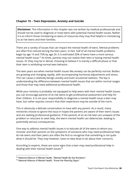# **Chapter 15 – Teen Depression, Anxiety and Suicide**

**Disclaimer:** The information in this chapter was not written by medical professionals and should not be used to diagnose or treat teens with potential mental health issues. Rather it is to inform those ministering to teens of resources they may find helpful in ministering to at-risk teens and their families.

There are a variety of issues that can impact the mental health of teens. Mental problems are often first noticed during the teen years. In fact, half of all mental health problems begin by age 14 and 75% by age 24. It is estimated 20% of teens have a more serious mental health issue. $54$  At times, parents may not realize their teen is having mental health issues. Or they may be in denial, choosing to believe it is merely a difficult phase or that their teen is exhibiting normal teen behavior.

The teen years are when mental health issues like anxiety can be perfectly normal. Bodies are growing and changing rapidly, with accompanying hormonal adjustments and stress. This can cause a relatively benign anxiety and even occasional sadness. The key is understanding the difference between mental health issues that are within normal ranges and those that may need additional professional health.

While your ministry is probably not equipped to help teens with their mental health issues, you can encourage parents of at-risk teens to get professional assessment and help for their children. It is not your responsibility to diagnose a mental health issue a teen may have, but rather express concern that their experience may be outside of the norm.

This is obviously a delicate conversation to have with any parent. As a result, many ministries choose to ignore the issue in hopes the parents are aware of their teen's issues and are seeking professional guidance. If the parents of an at-risk teen are unaware of the problem or reluctant to seek help, the teen's mental health can deteriorate, leading to potentially serious consequences.

One way to address mental health issues is to educate all of the teens to whom you minister and their parents on the symptoms of someone who may need professional help. At-risk teens and their peers are often the first to recognize that something is not quite what it should be. They may however, have no idea what to do about their concerns.

According to experts, these are some signs that a teen may need professional help in dealing with their mental health issues: 55

<sup>54</sup> National Alliance of Mental Health, "Mental Health By the Numbers."

<sup>55</sup> National Alliance of Mental Health, "Know the Warning Signs."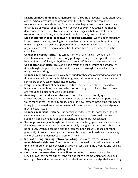- **Drastic changes in mood lasting more than a couple of weeks.** Teens often have a lot of school pressures and drama within their friendships and romantic relationships. It is not abnormal for an otherwise happy teen to be anxious or sad for a couple of weeks - especially when an obvious event has caused the change in demeanor. If there is no obvious cause or the changes in behavior last for an extended period of time, a professional should probably be consulted.
- **● Loss of interest in food, schoolwork or leisure activities.** When a teen suddenly loses interest in eating, keeping up with assignments or doing the things that bring him or her joy for an extended period of time, something is wrong. It may be a physical illness, rather than a mental health issue, but a professional should be consulted.
- **● Change in sleep patterns.** This can be hormonal or physical instead of an indication of a mental health issue. Any prolonged changes in sleep patterns should be examined carefully by a physician - particularly if those changes are dramatic.
- **● Use of alcohol or drugs.** This can be as a result of peer pressure or boredom. At times though, people with mental health issues unknowingly try to self medicate using alcohol or drugs.
- **● Changes in energy levels.** If a calm teen suddenly becomes agitated for a period of time or a teen with a normally high energy level becomes lethargic, there may be some sort of physical or mental health issue.
- **● Frequent complaints of aches and headaches.** These can also be caused by hormones or even hunching over a desk for too many hours. Regardless, if these are frequent, a doctor should be consulted.
- **● Avoiding friends and social situations.** Some teens are naturally quiet or introverted and do not need more than a couple of friends. What is important is to watch for changes – especially drastic ones – in how they are interacting with peers. It may just be teen drama that will eventually resolve itself, or it may be a sign of a mental health issue.
- **● Changes in personal hygiene.** It is normal at certain ages for some teens to not care very much about their appearance. If a teen who has been well groomed suddenly stops taking care of basic hygiene, it needs to be investigated.
- **● Sexual promiscuity.** Although sinful, some teens will engage in sexual experiences. If a teen is promiscuous with numerous, rapidly changing partners, something may be seriously wrong. It can be a sign the teen has been sexually abused or raped previously. It can also be a sign that the teen is trying to self medicate in some way. In either case, the teen needs professional help.
- **● Signs of cutting, burning, intravenous drug use, excessive tattoos and unexplained weight loss.** Often teens trying to cope with mental health issues will try one or more of these behaviors as a way of controlling the thoughts and feelings they are having - or to feel anything at all.
- **● Unusual or severe violent or rebellious behavior.** Some teens are violent and rebellious as their norm. Other teens will appear to become violent or rebellious overnight. Any sudden severe violent or rebellious behavior is a sign that something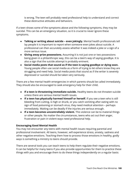is wrong. The teen will probably need professional help to understand and correct these destructive attitudes and behaviors.

If a teen shows some of the symptoms above and the following symptoms, they may be suicidal. This can be an emergency situation, so it is crucial to never ignore these symptoms.

- **● Talking or writing about suicide – even jokingly.** Mental health professionals tell lay people it is important to report when someone even jokes about suicide. A professional can then accurately assess whether it was indeed a joke or a sign of a more serious issue.
- **● Giving away prize possessions.** Assuming it is not just one or two possessions being given in a philanthropic way, this can be a teen's way of saying goodbye. It is also a sign that the suicide attempt is probably eminent.
- **● Social media posts that sound as if the teen is saying goodbye or dying soon.** Young people often use social media as a form of trying to let others know they are struggling and need help. Social media posts that sound as if the writer is severely depressed or suicidal should be taken very seriously.

There are a few mental health emergencies in which parents should be called immediately. They should also be encouraged to seek emergency help for their child.

- **● If a teen is threatening immediate suicide.** Healthy teens do not threaten suicide unless there are serious mental health issues.
- **● If a teen has physically harmed himself or herself.** If you see a teen who is still bleeding from cutting, is high or drunk, or you catch vomiting after eating with no sign of food poisoning or stomach virus, they need medical attention – perhaps immediately. Waiting can be deadly if the injuries are serious enough.
- **● If a teen becomes uncontrollably violent.** This violence can be to material things or other people. No matter the circumstances, teens who act out their anger, frustration or pain in violent ways need professional help.

## **Encouraging Good Mental Health**

You may not encounter any teens with mental health issues requiring parental and professional involvement. All teens, however, will experience stress, anxiety, sadness and other negative emotions. Teaching them how to process those emotions in healthy, godly ways is something a ministry to teens should provide.

There are several tools you can teach teens to help them regulate their negative emotions. It can be helpful for many teens if you also provide opportunities for them to practice these things with you and encourage them to do these things independently on a regular basis: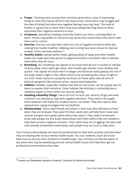- **● Prayer.** Teaching teens to pray their emotions gives them a way of expressing things to God they may be afraid to tell anyone else. Some teens may struggle with the idea of telling God about any negative feelings they may have. The book of Psalms is a great way to teach teens how even people like King David at times expressed their negative emotions to God.
- **● Scriptures.** Sometimes reading a book like Psalms can have a calming effect on teens. Others may prefer to memorize key verses that remind them that God is with them and in control.
- **● Exercise.** Exercise can help teens work out a lot of negative emotions while also making their bodies healthier. Walking and running have been shown to improve anxiety, stress and even sadness. 56
- **● Healthy habits.** Eating healthy foods, getting plenty of sleep and other healthy habits can make teens less prone to negative emotions and better able to tolerate them when they do occur.
- **● Breathing.** Our breathing rate signals to our brain that we are in trouble or relaxed. Unfortunately, when teens get upset, their breaths get shorter, more shallow and quicker. This signals the brain there is danger and the brain starts getting the rest of the body ready to fight or flee. When there is not something like a bear to fight or run from, these reactions caused by the brain can leave teens with all sorts of physical symptoms like stomach aches, nausea and headaches.
- **● Hobbies.** Hobbies, especially creative ones like art and music, can be a great way for teens to express their emotions. Other hobbies like knitting or crocheting have a repetitive aspect to them which can also be calming.
- **● Avoiding unhealthy things.** Teens can turn to food, sex, alcohol, drugs, and even violence in an attempt to cope with negative emotions. They need to be taught these behaviors will make the situation worse, not better. They also need to find replacement coping strategies that are healthier.
- **● Relationships.** Teens need friends and adults in their lives who will listen to them when they are stressed. They need Christian adults who will help them make wise choices and give them godly advice when they need it. They need to know who those safe people are and build relationships with them before they are needed to help them process negative emotions. Then, when they are struggling, the teens will have already established relationships with people they can trust to help them.

Your ministry will probably not have the professionals to help teens process and heal when they are dealing with serious mental health issues. You can, however, teach all of your teens how to process their emotions in healthy ways. Your ministry can also be aware of any teens who may be developing serious mental health issues and help them get the professional interventions they need.

<sup>&</sup>lt;sup>56</sup> Anxiety and Depression Society of America, "Exercise for Stress and Anxiety."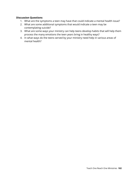### **Discussion Questions**

- 1. What are the symptoms a teen may have that could indicate a mental health issue?
- 2. What are some additional symptoms that would indicate a teen may be contemplating suicide?
- 3. What are some ways your ministry can help teens develop habits that will help them process the many emotions the teen years bring in healthy ways?
- 4. In what ways do the teens served by your ministry need help in various areas of mental health?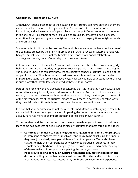# **Chapter 16 – Teens and Culture**

Although Christians often think of the negative impact culture can have on teens, the word culture actually has a rather benign definition. Culture consists of the arts, social institutions, and achievements of a particular social group. Different cultures can be found in regions, countries, ethnic or racial groups, age groups, income levels, social classes, educational backgrounds, genders, religions, secular clubs, congregations, neighborhoods and even families.

Some aspects of culture can be positive. The world is somewhat more beautiful because of the paintings created by the French Impressionists. Other aspects of culture are relatively benign. For instance, it does not really make a difference that Canada celebrates a Thanksgiving holiday on a different day than the United States.

Culture becomes problematic for Christians when aspects of the culture promote ungodly behaviors, beliefs and attitudes, or openly encourage people to disobey God. Debating the various ways Christians can attempt to change negative aspects of culture is outside of the scope of this book. What is important to address here is how various cultures may be impacting the teens you serve in negative ways. How can you help your teens live their lives in such a way that they follow God instead of these cultural norms?

Part of the problem with any discussion of culture is that it is not static. A teen cultural fad or trend today may be totally rejected two weeks from now. And teen culture can vary from country to country and even neighborhood to neighborhood. By the time you can learn all of the different aspects of the cultures impacting your teens in potentially negative ways, they have left behind those fads and trends and become involved in new ones.

It is not that your ministry should not try to be informed. Unfortunately, trying to research culture is difficult and what you believe is impacting the teens to whom you minister may actually have had more of an impact on their older siblings or even parents.

To best understand the cultures impacting the teens to whom you minister, it is helpful to learn some basic aspects of culture and particularly cultures that most often impact teens.

- **● Culture is often used to help one group distinguish itself from other groups.** It is interesting to observe that as much as teens desire to be exactly like their peers, they want just as badly to appear different from their parents. Teens also have cultures to help them differentiate between various groups of students in their schools or neighborhoods. Street gangs are an example of an extremely toxic type of these smaller cultures possibly impacting the teens you serve.
- **● People outside of a particular culture often make assumptions based on the differences they see between their culture and the other culture.** Often these assumptions are inaccurate because they are based on a very limited experience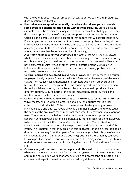with the other group. These assumptions, accurate or not, can lead to prejudices, discrimination, and bigotry.

- **● Even what are accepted as generally negative cultural groups can provide some positive benefits for the people within these cultures.** Crime gangs, for example, would be considered a negative culture by most law abiding people. They do however, provide a type of family and supportive environment for its members. Often it is this perceived positive aspect of that culture that will attract teens to it. For example, teens may be attracted to crime or street gangs because they do not currently have anyone in their lives who seems to care about them. The familial look of a gang appeals to them because they are in hopes they will find people who care about them when they become a member of the gang.
- **● A culture can impact almost every area of a teen's life.** A culture may dictate what clothes and vocabulary its members use. They may pressure members overtly or subtly to read (or not read) certain materials or watch certain media. They may have preferred musical types or other forms of entertainment. Culture often influences attitudes and beliefs, which can become particularly problematic for teens who are trying to be Christian.
- **● Cultural norms can be spread in a variety of ways.** This is why teens in a country as geographically large as China or the United States often have many of the same cultural norms, even living thousands of kilometers away from other groups of teens in their culture. These cultural norms can be spread from person to person, through social media or by media like movies that are actually produced by a different culture. Cultural norms can also be impacted by school curricula and teachers whom the teens admire and respect.
- **● Collectivist and individualistic cultures can both impact teens, but in different ways.** Most teens live within a larger regional or ethnic culture that is either collectivist or individualistic. Collectivist cultures emphasize group goals over individual goals and desires. People growing up in those cultures tend to be taught the needs of the group are more important than what they may personally want or need. These teens can be helped by that mindset if the culture is promoting generally Christian values. It can be exponentially more difficult for them, however, to be counter-cultural if that is what God requires of them. Teens raised in individualistic cultures are more likely to put their needs and desires ahead of the group. This is helpful in that they are often told repeatedly that it is acceptable to be different in some way from their peers. The disadvantage is that this type of culture can encourage selfish behavior and a positive group like a church family can have less of a positive impact. Teens in individualistic cultures may even reject the church entirely as an unnecessary group for helping them worship God and live a Christian life.
- **● Cultures may at times incorporate aspects of other cultures.** This can be seen when teens adopt a clothing style from a previous generation of teens or when they admire the music or art work of another culture and become fans of it. Often this cross-cultural aspect is seen in areas where radically different cultures live near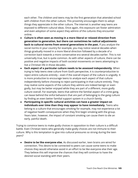each other. The children and teens may be the first generation that attended school with children from the other culture. This proximity encourages them to adopt things they appreciate in the other culture. The internet is another way teens are exposed to different cultural ideas. Once again, this exposure can foster admiration and even adoption of some aspect they admire of the cultures they encounter online.

- **● Culture is often seen as moving in a more liberal or relaxed direction from generation to generation, but there can sometimes be radical adjustments back to cultural norms from several generations in the past.** If you analyze the social norms in your country for example, you may notice several decades when things gradually moved in a more liberal direction followed by a decade of a correction back towards a more conservative era several decades earlier. This is not universally true, but is quite common. As with other aspects of culture, there can be positive and negative impacts of both societal movements on teens attempting to live a Christian life in those decades.
- **● Each aspect of a particular culture needs to be assessed independently.** When trying to help teens view culture from God's perspective, it is counterproductive to reject entire cultures entirely – even if the overall impact of the culture is ungodly. It is more productive to encourage teens to analyze each aspect of that culture independently before choosing to reject participating in that culture entirely. They may realize some aspects of the culture they admire are indeed benign or even godly, but may be better enjoyed while they are part of a different, more godly culture overall. For example, teens that admire the familial aspect of a crime gang, can leave behind the sinful behaviors that are part of belonging to the gang culture by finding an even better familial support system in a church family.
- **● Participating in specific cultural activities can have a greater impact on individuals over time than they may appear to have immediately.** Teens who belong to a culture that encourages smoking for example, may not experience a lot of negative health consequences when they first begin smoking with the group. Years later, however, the impact of constant smoking can cause them to die an early, painful death.

Trying to convince teens to make godly choices in opposition to their culture is a difficult battle. Even Christian teens who generally make godly choices are not immune to their culture. Why is this temptation to give into cultural pressures so strong during the teen years?

**● Desire to be like everyone else.** As discussed earlier, teen brains are wired for connection. This desire to be connected to peers can cause some teens to make choices they would otherwise avoid in an effort to be like everyone else their age. They believe this will improve the chances that they will continue to have the desired social standing with their peers.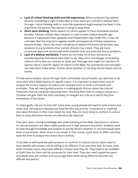- **● Lack of critical thinking skills and life experience.** When someone they admire declares something is right or desirable or true, teens are inclined to believe them. Stronger critical thinking skills or more life experience might expose the flaws in the arguments the person they admire is using to sway them.
- **● Short term thinking.** Some aspects of culture appear to have immediate positive benefits. Fashion models often smoked or used cocaine several decades ago because it suppressed their appetites and helped them stay model thin. It was not until later that the long term negative health consequences of those substances became known. Teens also have a tendency to believe the future will provide easy solutions to any problems their current choices may create. They are more concerned about the current perceived benefits than any potential future problems.
- **● Lack of a biblical worldview.** If teens do not make all of their decisions by considering what God would want them to do, they are in real danger of accepting cultural norms that are contrary to God's will. Although God might not mention his opinion about a specific aspect of culture in the Bible, His commands and principles can help teens make better choices about whether or not they should adopt cultural norms.

To help teens analyze culture through God's commands and principles, you will have to do more than teach Bible lessons on specific topics. It is important to teach them how to analyze the various aspects of culture and compare them to God's commands and principles. They will need guided practice in making godly choices about the cultural influences that are currently impacting them. Teaching them how to analyze culture as a Christian will give them the skills necessary to navigate any culture in which they find themselves in the future.

To make godly cultural choices with some ease, young people will need to have a heart that seeks God. Serving and obeying God must be their top priority. If popularity or anything else takes the place in their lives meant for God, they are more likely to conform to culture than to obey God when the two are diametrically opposed.

They also need a strong knowledge and understanding of the Bible. Decisions to conform to cultural pressure are often made quickly and in high pressure situations. Students need to have enough knowledge and wisdom to quickly discern whether or not God would want them to participate. When there is any doubt in their minds, teach them to differ until they have the time to analyze the choice more carefully.

To be able to withstand the peer pressure to conform to cultural norms, teens need to have healthy self esteem and be willing to be different from everyone else. At times, even other Christian teens may make different choices than they do. They have to be confident of God's love for them and His purposes for their lives. They also need supportive peers and adults who will comfort and encourage them when being different becomes too difficult and painful.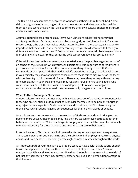The Bible is full of examples of people who went against their culture to seek God. Some did so easily, while others struggled. Sharing those stories and what can be learned from them can give teens the analytical skills to compare their own cultural choices to scripture and make wise conclusions.

At times, cultural ideas or trends may leave even Christians adults feeling somewhat spiritually conflicted. Perhaps there is no obvious ungodly or sinful aspect to it. For some reason though, the trend just makes adults uncomfortable. In these cases, it is extremely important that the adults in your ministry carefully analyze this discomfort. Is it merely a difference in tastes of art or music? Do your adult volunteers merely dislike change and are fearful of anything new? Are they confusing political conversations for spiritual ones?

If the adults involved with your ministry are worried about the possible negative impact of an aspect of the cultures in which your teens participate, it is important to carefully share your concern with them. Perhaps the concern has nothing directly to do with God's commands or principles. With their additional life experience though, the adult volunteers in your ministry may know of negative consequences these things may cause as the teens who do them try to join the world of adults. There may be nothing wrong with a nose ring for example, but in your area employers may regularly refuse to hire young adults who wear them. Fair or not, this behavior in an overlapping culture can have negative consequences for the teens who will need to eventually navigate the other culture.

#### **When Culture Endangers Christians**

Various cultures may reject Christianity with a wide spectrum of attached consequences for those who are Christians. Cultures that still consider themselves to be primarily Christian may reject certain aspects of God's commands and principles, but Christians rarely find themselves facing serious negative consequences for their beliefs, words or actions.

As a culture becomes more secular, the rejection of God's commands and principles can become more vocal. Christian teens may find they are teased or even ostracized for their beliefs, words or actions. While this danger is not physical, it can still be painful emotionally to teens – especially for those with a strong need to assimilate to their peers.

In some locations, Christians may find themselves facing severe negative consequences. These can impact their social standing and their ability to find employment. Arrest, physical abuse, and even death are becoming increasingly common in areas throughout the world.

An important part of your ministry is to prepare teens to have a faith that is strong enough to withstand persecution. Expose them to the stories of Stephen and other Christian martyrs in the Bible and in other sources. Give them the tools to stay strong in the midst of not just any persecution they may currently experience, but also if persecution worsens in their lifetime.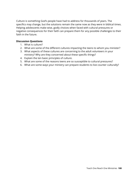Culture is something God's people have had to address for thousands of years. The specifics may change, but the solutions remain the same now as they were in biblical times. Helping adolescents make wise, godly choices when faced with cultural pressures or negative consequences for their faith can prepare them for any possible challenges to their faith in the future.

### **Discussion Questions**

- 1. What is culture?
- 2. What are some of the different cultures impacting the teens to whom you minister?
- 3. What aspects of these cultures are concerning to the adult volunteers in your ministry? Why are they concerned about these specific things?
- 4. Explain the ten basic principles of culture.
- 5. What are some of the reasons teens are so susceptible to cultural pressures?
- 6. What are some ways your ministry can prepare students to live counter culturally?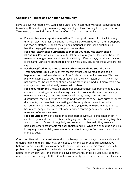# **Chapter 17 – Teens and Christian Community**

Have you ever wondered why God placed Christians in community groups (congregations) to worship Him and engage in ministry together? If you look carefully throughout the New Testament, you can find some of the benefits of Christian community:

- **● For members to support one another.** This support can manifest itself in many different ways. At times, the support Christians give each other is material support, like food or clothes. Support can also be emotional or spiritual. Christians in a healthy congregation regularly support one another.
- **● For older, experienced Christians to mentor younger, less experienced Christians.** Paul writes in several of his letters encouragement for older Christians to mentor younger ones. He phrases it in slightly different ways, but the implication is the same. Christians are there to provide wise, godly advice for those who are less experienced.
- **● For those gifted in teaching to teach others more about God.** The New Testament letters make it clear that teaching what God wanted people to do happened both inside and outside of the Christian community meetings. We have plenty of examples of both kinds of teaching in the New Testament. It is clear that not only were Christians to continue learning more about God, but many were also sharing what they had already learned with others.
- **● For encouragement.** Christians should be spending their lives trying to obey God's commands, serving others and sharing their faith. None of those are particularly easy tasks. It is easy to become discouraged. Sadly, many have become so discouraged, they quit trying to be who God wants them to be. From primary source documents, we know that the meetings of the early church were times when Christians encouraged one another to keep trying to be who God wanted them to be. In fact, many of the New Testament epistles contain general and specific messages of encouragement.
- **● For accountability.** Self deception is often part of living a life enmeshed in sin. It can be easy to find ways to justify disobeying God. Christians in community together are supposed to fellowship regularly and know each other well. They are called to hold each other accountable for poor choices and sin. While this should be done in a loving way, accountability to one another and ultimately to God is a constant theme in the epistles.

Churches often fail to demonstrate or discuss these purposes in ways that are visible and understandable to teens. They may only notice the conflicts or unaddressed negative behaviors and sins in the lives of others. In individualistic cultures, this can be especially problematic. Young people may decide the Christian community is more harmful than helpful to them spiritually and choose to leave permanently. In collectivist cultures, teens may continue interacting with their Christian community, but do so only because of societal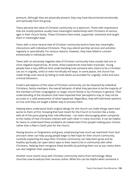pressure. Although they are physically present, they may have disconnected emotionally and spiritually from the group.

Teens perceive the value of Christian community on a spectrum. Those with impressions that are mostly positive usually have meaningful relationships with Christians of various ages in their church family. These Christians have loved, supported, mentored and taught them in meaningful ways.

Teens with a more neutral view of Christian community tend to have less meaningful interactions with individual Christians. They may attend worship services and activities regularly or sporadically. For various reasons, however, they have failed to connect emotionally to individuals there.

Teens with an extremely negative view of Christian community have usually had one or more negative experiences. At times, these experiences have been traumatic. Young people have a very difficult time understanding how someone who claims to be a Christian can act in ungodly, sinful or even horrifically evil ways. In some places, the church has made things even worse by failing to hold adults accountable for ungodly, sinful and even criminal behaviors.

A teen's perceptions of the value of Christian community can be impacted by individual Christians, family members, the overall behavior of what they perceive to be the majority of the members of their congregation or larger church family or by Christians in general. Their understanding of the situations that have impacted their perceptions may or may not be accurate or a valid assessment of what happened. Regardless, they will hold these opinions as true until they are taught a better way to process them.

Helping teens understand God's original design for the church can make things seem even worse to them at first. Knowing that God meant for the Church to function like a body – with all of the parts playing their role effectively – can seem discouraging when compared to the reality of how Christians interact with each other in many churches. It can be helpful for teens to understand these problems do indeed stem from people making poor choices rather than a flaw in God's plan for the church.

Having lessons on forgiveness and grace, emphasizing how much we need both from God and each other can help young people begin to feel hope for their church community. Carefully explaining the ways their Christian community can help them grow and be healthy spiritually can open teens' eyes to their need to be in community with other Christians. Helping them recognize these benefits by pointing them out as you notice them can also heighten their awareness.

Another more recent issue with Christian community stems from technology. Many churches now broadcast their services online. While this can be helpful when someone is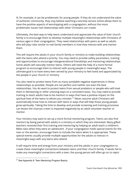ill, for example, it can be problematic for young people. If they do not understand the value of authentic community, they may believe watching a worship service online allows them to have the positive aspects of worshipping with a congregation, without the more problematic issues real relationships with other Christians can create.

Ultimately, the best way to help teens understand and appreciate the value of their church family is to encourage them to develop multiple meaningful relationships with Christians of various ages in their congregation. They need relationships with peers as well as adults who will play roles similar to real family members in how they interact with and mentor them.

This will require the adults in your church family or ministry to make building relationships with the teens who attend a priority. You may need to provide safety parameters, training and opportunities to encourage intergenerational friendships and mentoring relationships. Some adults will naturally mentor teens. Others will need the help of a more formal program to encourage them to interact with young people in meaningful ways. The ultimate goal is to have every teen served by your ministry to feel loved and appreciated by the people in your church or ministry.

You also need to protect teens from as many avoidable negative experiences in these relationships as possible. People are not perfect and neither are even the best relationships. You do want to protect teens from sexual predators or people who will treat them in demeaning or other unloving ways on a consistent basis. You may need to provide training to teach adults how to be mentors in ways that have a positive impact on the spiritual lives of the teens to whom you minister.<sup>57</sup> Never assume adult Christians will automatically know how to interact with teens in ways that will help those young people grow spiritually. Taking the time to develop and provide screening and training processes can lessen the chances a teen is impacted negatively by an adult volunteer teacher or mentor.

Your ministry may want to set up a more formal mentoring program. Teens can also find mentors by being paired with adults in a ministry in which they are interested. Many gifted teachers received their first training and mentoring by helping an adult teach a children's Bible class when they were an adolescent . If your congregation holds special events for the men or the women, encourage them to include the teens when it is appropriate. These special events usually provide multiple opportunities for the adults to interact in meaningful ways with any teens who attend.

It will require time and energy from your ministry and the adults in your congregation to create these meaningful connections between teens and their church family. If adults fail to make any meaningful connections with a teen, the young person will often go on to reject

<sup>57</sup> See Appendix 8: Teen Mentoring Program Basics.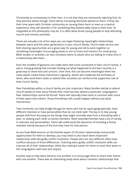Christianity as unnecessary to their lives. It is not that they are necessarily rejecting God. As they become adults though, there will be increasing demands placed on them. If they see their time spent with Christian community as causing them harm or even as a neutral experience, they will abandon it for something they believe adds value to their lives. As misguided as this philosophy may be, it is often what drives young people to stop attending church and ministry activities.

There are actually a lot of fun ways you can begin fostering meaningful relationships between teens and the other generations in your church family. Church-wide service and faith sharing opportunities are a great way for young and old to work together on something meaningful. Encouraging adults to act as hosts and mentors for small group Bible studies or activities can also introduce teens to adults who are willing to invest time in a relationship with them.

Even the smallest of gestures can make teens feel more connected to their church family. A warm, loving greeting that includes finding out what happened to the teen recently is a great way to show love and concern. Over time, this can become meaningful when the same adults create those interactions regularly. Adults who celebrate the birthdays of teens, who send them notes or attend their activities can reinforce the supportive role of their church family.

Peer friendships within a church family are also important. Many families decide to attend church based on how many friends their child has who attend a particular congregation. Peer relationships cannot be forced. Teens will naturally have more in common with some of their peers than others. Those friendships will usually happen without any adult intervention.

Teen ministries can help bridge the gap for teens who live far apart geographically, have different interests or have personalities that do not mesh well. The key is to help young people shift from focusing on the things they might normally seek from a friendship with a peer, to viewing each other as family members. Most extended families have a lot of variety in interests and personalities. Teens will understand the dynamics of including a family member merely because of the love they have for that person.

As you have Bible lessons on the familial aspect of Christian relationships and provide opportunities for them to develop, you may need to also teach teens important relationship skills like godly conflict resolution. People who are very different often have conflicts because of those differences. Teaching teens godly conflict resolution skills can improve all of their relationships, while also making it easier for them to treat their peers in the congregation with love and respect.

Another way to help teens bond to one another is to encourage them to share their hearts with one another. There was an interesting study done about romantic relationships that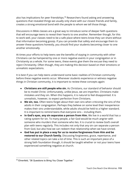also has implications for peer friendships.<sup>58</sup> Researchers found asking and answering questions that revealed things we usually only share with our closest friends and family, creates a strong emotional bond with the people to whom we tell those things.

Discussions in Bible classes are a great way to introduce some of deeper faith questions that will encourage teens to reveal their hearts to one another. Remember though, for this to work well, your classes need to be a safe place where teens know they can share without that information becoming gossip. If you can provide that safety and encourage them to answer these questions honestly, you should find your students becoming closer to one another emotionally.

At times your efforts to help teens see the benefits of staying in community with other Christians can be hampered by one or more negative events in your congregation or in Christianity as a whole. For some teens, these events give them the excuse they need to reject Christianity. Often though, they are making this decision based on their emotions or unrealistic expectations.

It is best if you can help teens understand some basic realities of Christian community before these negative events occur. Whenever students experience or witness negative things in Christian community, it is important to review these concepts again:

- **● Christians are still people who sin.** As Christians, our standard of behavior should be to model Christ. Unfortunately, unlike Jesus, we are imperfect. Christians make mistakes and they sin. When this happens, it is natural to feel disappointed. It is unrealistic, however, to expect perfection from Christians.
- **● We sin, too.** Often teens forget about their own sins when criticizing the sins of the adults in their congregation. Perhaps they believe on some level their inexperience makes their sins understandable, while adults should be held to a higher standard. It is important to remind teens that everyone sins – including them.
- **● In God's eyes, any sin separates a person from Him.** We live in a world that has a rating system for sin. To many people, a fair God would be much angrier with someone who murders than someone who lies. It is crucial to review God's overall plan with teens regularly. This includes not only that any sin can separate a person from God, but also how we can redeem that relationship when we have sinned.
- **● God has put in place a way for us to receive forgiveness from Him and be restored to our Church family.** Discussing forgiveness, grace, repentance, and other related topics can take a lot of time. This is such an important piece of a strong faith foundation though, it should be taught whether or not your teens have experienced something negative at church.

<sup>58</sup> Ehrenfeld, "36 Questions to Bring You Closer Together."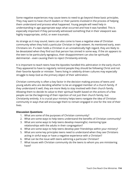Some negative experiences may cause teens to need to go beyond these basic principles. They may want to have church leaders or their parents involved in the process of helping them understand and process what happened. Young people will need help in understanding in age appropriate ways what occurred and how it was handled. This is especially important if they personally witnessed something that in their viewpoint was highly inappropriate, sinful, or even traumatic.

As strange as it may sound, teens can also come to have a negative view of Christian community when they hold a particular Christian in high esteem. As mentioned early, even Christians sin. If a teen holds a Christian in an unrealistically high regard, they are likely to be devastated when they find out that person has sinned in some way. If the sin appears to the teen to be particularly egregious, their disappointment can also be spiritually detrimental – even causing them to reject Christianity entirely.

It is important to teach teens how the Apostles handled this admiration in the early church. They appeared to have to regularly remind people they should be following Christ and not their favorite Apostle or minister. Teens living in celebrity driven cultures may especially struggle to keep God as the primary object of their admiration.

Christian community is often a key factor in the decision making process of teens and young adults who are deciding whether to be an engaged member of a church family. If they understand it well, they are more likely to stay involved with their church family. Allowing them to decide its value to their spiritual health based on the actions of a few people can be the beginning of their rejection of not just their church family, but Christianity entirely. It is crucial your ministry helps teens navigate the idea of Christian community in ways that will encourage them to remain engaged in one for the rest of their lives.

#### **Discussion Questions**

- 1. What are some of the purposes of Christian community?
- 2. What are some ways to help teens understand the benefits of Christian community?
- 3. What are some ways to help teens develop meaningful, mentoring type relationships with the adults in their congregation?
- 4. What are some ways to help teens develop peer friendships within your ministry?
- 5. What are some key principles teens need to understand when they see Christians acting in sinful ways or have a negative experience with a Christian?
- 6. What can be the issue with teens admiring a particular Christian?
- 7. What issues with Christian community do the teens to whom you are ministering have?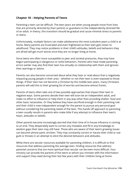# **Chapter 18 – Helping Parents of Teens**

Parenting a teen can be difficult. The teen years are when young people move from lives that are primarily directed by their parents or guardians to the independently directed life of an adult. In theory, this transition should be gradual and cause minimal stress to parents or teens.

Unfortunately, multiple factors can make adolescence the most turbulent years a child is at home. Many parents are frustrated and even frightened as their teen gets closer to adulthood. They may notice problems in their child's attitudes, beliefs and behaviors they are afraid will get much worse once they are no longer living at home.

Since teens are often more susceptible to peer and societal pressures, they may have begun participating in dangerous or sinful behaviors. Parents who have made parenting errors earlier may also find their teen has virtually no relationship with them and ignores their warnings or advice.

Parents can also become concerned about what they hear or read about that is negatively impacting young people in their area – whether or not their teen is even exposed to those things. If their teen has not become a Christian by the middle teen years, many Christians parents will add this to their growing list of worries and become almost frantic.

Parents of teens often take one of two possible approaches that impact their teen in negative ways. Some parents decide their teen will soon be an independent adult, and make no effort to influence or help them in any way other than providing shelter, food and other basic necessities. Or they believe they have sacrificed enough in their parenting role and their child is now independent enough for the parent to pursue any personal goal without considering the parenting needs of the teen. This hands off approach to parenting a teen usually results in parents who make little if any attempt to influence their teen's heart, attitudes or beliefs.

Other parents become increasingly worried that their time of in-house influence is coming to an end. They desperately want to correct any mistakes and fill in any knowledge or wisdom gaps their teen may still have. Those who are aware of their teen's growing issues can become almost panic stricken. They may constantly correct or harass their child or use guilt or threats in an attempt to elicit the desired behaviors and attitudes.

While there are secular resources available for parenting children, it is difficult to find resources that address parenting the average teen. Finding resources that address parental concerns that are more spiritual than secular can be even more difficult. Your ministry can provide the parents of the teens to whom you minister with the information and support they need during their last few years with their children living at home.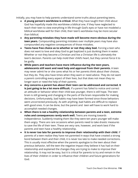Initially, you may have to help parents understand some truths about parenting teens.

- **● A young person's worldview is critical.** What they have taught their child about God has hopefully made this worldview a biblical one. If they have neglected to teach their teen to view everything in life through God's eyes or have not modeled a biblical worldview well for their child, their teen's worldview may be more secular than biblical.
- **● Any parenting mistakes they have made will become more obvious during the teen years.** Compounding parenting mistakes over multiple years may have also compounded any negative consequences of those mistakes.
- **● Teens have free choice as to whether or not they obey God.** Forcing a teen who does not want to love and obey God to get baptized is just dunking them in water. Whether or not they become a Christian and live a Christian life is ultimately the teen's decision. Parents can help mold their child's heart, but they cannot force it to be godly.
- **● While peers and teachers have more influence during the teen years, adolescents still want and need help and approval from their parents.** A teen may never admit he or she cares what his or her parents think about their choices, but they do. They also have times when they want or need advice. They do not want a parent controlling every aspect of their lives, but that does not mean they no longer want or need the help of their parents.
- **● Any concerns a parent has about their teen can be addressed and corrected. It is just going to be a lot more difficult.** If a parent has failed to notice and correct an attitude or behavior when their child was younger, there is still hope. The teen brain is still growing and changing in the parts of the brain responsible for making decisions. Unfortunately, bad habits may have been formed since those behaviors went uncorrected previously. As with anything, bad habits are difficult to replace with good ones. It can be done, but the parent and teen will have to work hard to accomplish needed changes.
- **● When there is not a healthy relationship between parents and a teen, extreme rules and consequences rarely work well.** Teens are moving towards independence. Suddenly treating them like they were ten years younger will make them angry. There are rare occasions when parents need to take drastic measures to save the life of their teen. These are very rare, however, and work best if the parents and teen have a healthy relationship.
- **● It is never too late for parents to improve their relationship with their child.** If parents of a teen realize they have not parented in ways that have created a strong bond between them and their child, it is never too late to make needed corrections. This is usually most effective when the parents apologize to the teen about their previous behavior, tell the teen the negative impact they believe it has had on their relationship and explained the changes they are trying to make to improve their relationship. It may not be easy, but it is critical for parents to try and remain in the lives of their children in order to influence their children and future generations for God.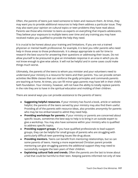Often, the parents of teens just need someone to listen and reassure them. At times, they may want you to provide additional resources to help them address a particular issue. They may also want your opinion on cultural topics or teen problems they have read about. Parents see those who minister to teens as experts on everything that impacts adolescents. They believe your exposure to multiple teens over time and any training you may have received makes you qualified to provide the help they need.

It is crucial to be honest about your training and limitations. If you are not a trained physician or mental health professional, for example, it is best you refer parents who need help in those areas to those professionals. It is always appropriate to ask for time to research the best source for answering their questions or addressing their issues. Do not allow yourself to be pressured to give an immediate response in an area in which you do not know enough to give wise advice. It will not be helpful and in some cases could make things much worse.

Ultimately, the parents of the teens to whom you minister and your volunteers need to understand your ministry is a resource for teens and their parents. You can provide certain activities like Bible classes that can reinforce the godly principles and commands parents are teaching at home. At times, you can fill minor gaps parents may have left in their child's faith foundation. Your ministry, however, will not have the ability to totally replace parents in the role they are to have in the spiritual education and molding of their children.

There are several ways you can provide assistance to the parents of teens:

- **● Suggesting helpful resources.** If your ministry has found a book, article or website helpful, the parents of the teens served by your ministry may also find them useful. Providing all of the parents with resource ideas, also provides anonymity for parents who may be too embarrassed to admit they need help.
- **● Providing workshops for parents.** If your ministry or parents are concerned about specific issues, sometimes the best way to help is to bring in an outside expert to give a workshop. You may also have someone within your ministry who is qualified to address specific topics.
- **● Providing support groups.** If you have qualified professionals to lead support groups, they can be helpful for small groups of parents who are struggling with particularly difficult teen parenting issues like drug abuse.
- **● Providing mentors.** Teens can benefit from mentoring relationships, but so can some parents of teens. Having a more experienced Christian parent provide mentoring can give struggling parents the additional support they may need to successfully navigate the teen years of their children.
- **● Explaining cultural fads and trends.** Often the parents are the last to know about a fad that could be harmful to their teen. Keeping parents informed not only of new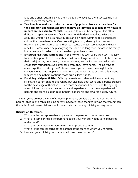fads and trends, but also giving them the tools to navigate them successfully is a great resource for parents.

- **● Teaching how to discern which aspects of popular culture are harmless for their children and which aspects can have an immediate or long term negative impact on their children's faith.** Popular culture can be deceptive. It is often difficult to separate harmless fads from potentially detrimental activities and attitudes. Ungodly beliefs and attitudes can be hidden within aspects of popular culture that seem harmless. Overprotecting teens, by denying them access to everything in the culture around them can cause unnecessary tension and even rebellion. Parents need help analyzing the short and long term impact of the things in their culture in order to make the wisest possible choices.
- **● Encouraging strong faith habits in the home.** The teen years are busy. It is easy for Christian parents to assume their children no longer need parents to be a part of their faith journey. As a result, they stop those great habits that can make their child's faith foundation even stronger before they leave home. Finding ways to encourage them to study the Bible and pray together, have meaningful faith conversations, have people into their home and other habits of spiritually vibrant families can help them continue those crucial faith habits.
- **● Providing bridge activities.** Offering retreats and other activities can not only strengthen parent child relationships, but also help both teens and parents prepare for the next stage of their lives. Often more experienced parents and their young adult children can share their wisdom and experience to help less experienced parents and teens build bridges in their relationship and towards a godly future.

The teen years are not the end of Christian parenting, but it is a transition period in the parent - child relationship. Helping parents navigate these changes in ways that strengthen the faith of their teen children should be a crucial part of any ministry serving teens.

#### **Discussion Questions**

- 1. What are the two approaches to parenting the parents of teens often take?
- 2. What are some principles of parenting teens your ministry needs to help parents understand?
- 3. What are some resources your ministry can provide parents?
- 4. What are the top concerns of the parents of the teens to whom you minister?
- 5. How can your ministry help parents address these concerns?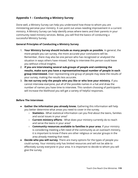# **Appendix 1 – Conducting a Ministry Survey**

Done well, a Ministry Survey can help you understand how those to whom you are ministering perceive your ministry. It can point out areas needing improvement in a current ministry. A Ministry Survey can help identify areas where teens and their parents in your community need ministry services. Below, you will find the basics of conducting a successful Ministry Survey.

### **General Principles of Conducting a Ministry Survey**

- 1. **Your Ministry Survey should include as many people as possible**. In general, the more people you can survey, the more accurate your conclusions will be. Remember, there may also be one person who has recognized or analyzed the situation in ways others have missed. Failing to interview this person could leave you without critical insights.
- 2. **If you are interviewing several sub-groups of people and combining the results, make sure you have a representative/equal number of people in each group interviewed.** Over representing one group of people may skew the results of your survey, making the results less accurate.
- 3. **Do not survey only the people who you like or who love your ministry.** If you cannot interview everyone, put all of the possible names in a hat and draw the number of names you have time to interview. This random choosing of participants will increase the likelihood you will get a variety of helpful responses.

### **Before The Interviews**

- **Gather the information you already know.** Gathering this information will help you better determine what areas you need to cover in the survey.
	- **Statistics -** What statistical information can you find about the teens, families and social issues in your area?
	- **Current ministry efforts** What does your ministry currently do to reach and serve the teens in your area?
	- **Community resources available to families in your area**. If your ministry is considering meeting a felt need of the community as an outreach ministry, it is important to know if there are other religious or secular groups in the area already meeting that need.
- **Decide who you will survey**. There are many options for the types of people you could survey. Your ministry only has limited resources and will not be able to effectively survey everyone in your area. It is important to decide to whom you will give the survey.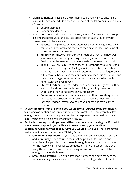- **○ Main segment(s)** These are the primary people you want to ensure are surveyed. They may include either one or both of the following major groups of people.
	- **■** Church Members
	- **■** Community Members
- **○ Sub-Groups-** Within the two groups above, you will find several sub-groups. It is important to survey an accurate proportion of each group for your survey results to be accurate.
	- **Parents** The parents of teens often have a better insight into their children and the problems they face than anyone else - including at times the teens themselves.
	- **■ Ministry Volunteers** Ministry volunteers see first hand how well your ministry is currently working. They may also have important feedback on the ways your ministry needs to improve or expand.
	- **Teens** If you are ministering to teens, it is important to understand what they are thinking and feeling about your ministry and other areas that may impact it. Teens will often respond to adult questions with answers they believe the adult wants to hear. It is crucial you find ways to encourage teens participating in the survey to be totally honest with their responses.
	- **■ Church Leaders** Church leaders can impact a ministry, even if they are not directly involved with that ministry. It is important to understand their perspective on your ministry.
	- **■ Community Leaders -** Community leaders often know things about the issues and problems of an area that others do not know. Asking for their feedback may reveal things you might not have learned otherwise.
- **● Decide the time frame in which you would like all surveys to be conducted**. Surveying can continue indefinitely if you are not careful. It is important to allow enough time to obtain an adequate number of responses, but no so long that your ministry becomes stalled while waiting for results.
- **● Decide how many people you would like to survey in each category.** Be realistic about how many people you will have time to survey by your deadline.
- **● Determine which format(s) of surveys you would like to use**. There are several available options for conducting a Ministry Survey.
	- **○ One-on-one interviews** If you have the time to survey people in person and individually, it can result in the most helpful results. One-on-one interviews give people more time to thoroughly explain their thoughts and for the interviewer to ask follow up questions for clarification. It is crucial if using this method to ensure those being interviewed feel comfortable enough to be totally honest.
	- **○ Small focus groups** Surveying small focus groups can have many of the same advantages as one-on-one interviews. Assuming each participant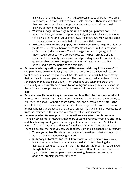answers all of the questions, means these focus groups will take more time to be completed than it takes to do one solo interview. There is also a chance that peer pressure will encourage participants to adapt their personal answers to match the group's responses.

- **○ Written survey followed by personal or small group interviews -** This method will get you written responses quickly, while still allowing someone to follow up in the small group interviews. The interviews will have the same pros and cons as those conducted without the initial survey.
- **○ Written survey (online or paper) -** While this option may be quicker, it often yields more questions than answers. People will often limit their responses or fail to clarify their answers. The advantage is total anonymity, which in theory could produce more accurate results. The best format is asking participants to quantify their answers and providing space for comments on questions that may need longer explanations for your to thoroughly understand what the participant is thinking.
- **● Determine what questions you would like answered during interviews.** (See sample surveys below for ideas.) This may take more time than you realize. You want enough questions to give you all the information you need, but no so many that people will not complete the survey. The questions you ask members of your congregation may also differ slightly from questions you ask members of the community who currently have no affiliation with your ministry. While questions in the various sub-groups may vary slightly, the over all surveys should collect similar date.
- **● Decide who will conduct any interviews and how the information shared will be recorded**. The best interviewer is someone who is personable and will not try to influence the answers of participants. Often someone perceived as neutral is the best choice. If you use someone participants know, they should have a reputation for being honest, approachable and a good listener. If participants do not respect or trust the interviewer, the answers you receive will be less accurate.
- **● Determine what follow-up participants will receive after their interviews**. There is nothing more frustrating than to be asked to share your opinions and ideas and then hearing nothing after the survey or interview is completed. Participants need to feel as if they are heard, even if you decide not to use their suggestions. There are several methods you can use to follow up with participants in your survey.
	- **○ Thank you note -** This should include an explanation of what you intend to do with the information you gathered.
	- **○ Summary of total responses -** Often people who participate in a survey, want to know whether or not others agreed with them. Sending the aggregate results can give them that information. It is important to be aware though that if your ministry makes a decision different than one counseled by a majority of survey participants, releasing these results can cause additional problems for your ministry.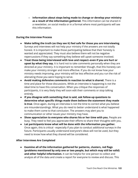**○ Information about steps being made to change or develop your ministry as a result of the information gathered.** This information can be shared in a newsletter, on social media or in a format where most participants will see this information.

### **During the Interview Process**

- **Make telling the truth (as they see it) feel safe for those you are interviewing**. Surveys and interviews will not help your ministry if the answers are not totally honest. It is important to make those participating believe that their honesty is wanted and appreciated. They must also believe there will not be negative repercussions if they say something they believe will upset someone involved.
- **Treat those being interviewed with love and respect–even if you are hurt or upset by what they say.** It is hard not to take comments personally when they are directed at your ministry. It is important to remember though, that this honesty can make your ministry stronger and more effective. If you do not know how your ministry needs improving, your ministry will be less effective and you run the risk of alienating those you were hoping to serve.
- **Avoid making defensive comments in reaction to what is shared.** There is a time and place for those discussions. While an interview is happening is not the ideal time to have this conversation. When you critique the responses of participants, it is very likely they will soon edit their comments or stop talking entirely.
- **If you disagree with something that is said, ask follow-up questions to determine what specific things made them believe the statement they made is true**. Once again, during an interview is not the time to correct what you believe are misunderstandings. What you do need to better understand is what happened to make them come to that conclusion. The answers may alert you to communication or other issues your ministry may have.
- **● Show appreciation to everyone who shares his or her time with you.** People are busy. They need to feel you appreciate their efforts to share their thoughts with you.
- **● Let participants know what will be done with the information you gather.** Once again, this is critical - especially if you plan to conduct additional surveys in the future. Participants usually understand everyone's ideas will not be used, but they need to know how what they shared will be considered.

### **After Interviews Are Completed**

**● Examine all of the information gathered for patterns, clusters, red flags (problems mentioned by only one or two people, but which may still be valid) and other helpful information.** It can be helpful for one person to collect and analyze all of the data and create a report for everyone to review and discuss. This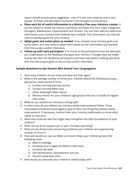report should include every suggestion - even if it was only made by one or two people. At times, the best ideas are found in the thoughts of one person.

- **● Place each bit of useful information in a Ministry Plan your ministry creates.** It can be helpful to divide the various comments and ideas into four major categories: Strengths, Weaknesses, Opportunities and Threats. You can then add any additional information your ministry team believes was omitted. This information can then be used to develop goals for your ministry.
- **● Adapt goals and action plans as needed.** If you already have ministry goals and action plans, you may need to adapt them based on the information you learned from the surveys and/or interviews.
- **● Follow-up with each participant.** It is crucial to let participants know the decisions you made based on the feedback they gave your ministry. Changes that are made quietly will often be missed by participants and they may believe nothing was done with the information given in the surveys and/or interviews.

## **Sample Questions to Ask Parents Who Attend Your Congregation**

- 1. How many children do you have and what are their ages?
- 2. What is the average number of times your children attend the following during a typical four week period of time:
	- a. Sunday morning worship service
	- b. Sunday morning Bible class
	- c. Other weeknight Bible classes
	- d. Ministry events for your children's age groups that occur outside of regular class times
- 3. What do you believe our ministry is doing well?
- 4. In what areas do you believe our ministry needs improvement? (Note: Those interviewed should be encouraged to give at least one thing they believe needs improvement. If necessary, remind them your ministry really wants to know what needs to improve.)
- 5. What else could we add that might help strengthen the faith foundations of your children?
- 6. What can we do to support you in your Christian parenting?
- 7. What are the three most concerning problems your children are experiencing outside of Church?
- 8. How well would you say our Bible curriculum helps your children grow in the following areas:
	- a. Bible knowledge
	- b. Knowing how to apply the Bible to their lives
	- c. Christian life skills
	- d. Gift identification, development and use.
	- e. Servant leadership skills.
- 9. How would you describe your children's relationships with: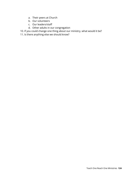- a. Their peers at Church
- b. Our volunteers
- c. Our leaders/staff
- d. Other adults in our congregation
- 10. If you could change one thing about our ministry, what would it be?
- 11. Is there anything else we should know?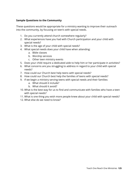### **Sample Questions to the Community**

These questions would be appropriate for a ministry wanting to improve their outreach into the community, by focusing on teen's with special needs.

- 1. Do you currently attend church somewhere regularly?
- 2. What experiences have you had with Church participation and your child with special needs?
- 3. What is the age of your child with special needs?
- 4. What special needs does your child have when attending:
	- a. Bible classes
	- b. Worship services
	- c. Other teen ministry events
- 5. Does your child require a dedicated aide to help him or her participate in activities?
- 6. What concerns are you struggling to address in regard to your child with special needs?
- 7. How could our Church best help teens with special needs?
- 8. How could our Church best help the families of teens with special needs?
- 9. If we begin a ministry serving teens with special needs and their families:
	- a. What should it include?
	- b. What should it avoid?
- 10. What is the best way for us to find and communicate with families who have a teen with special needs?
- 11. What is one thing you wish more people knew about your child with special needs?
- 12. What else do we need to know?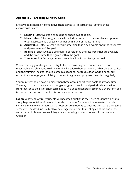# **Appendix 2 – Creating Ministry Goals**

Effective goals normally contain five characteristics. In secular goal setting, these characteristics are:

- 1. **Specific** Effective goals should be as specific as possible.
- 2. **Measurable -** Effective goals usually include some sort of measurable component, often expressed as a specific number with a unit of measurement.
- 3. **Achievable** Effective goals record something that is achievable given the resources and parameters of the goal.
- 4. **Realistic** Effective goals are realistic considering the resources that are available and the time frame that is given within the goal.
- 5. **Time Bound -** Effective goals contain a deadline for achieving the goal.

When creating goals for your ministry to teens, focus on goals that are specific and measurable. As Christians, we know God will decide whether they are achievable or realistic and their timing.The goal should contain a deadline, not to question God's timing, but rather to encourage your ministry to review the goal and progress towards it regularly.

Your ministry should have no more than three or four short-term goals at any one time. You may choose to create a much longer long-term goal list and periodically move items from that list to the list of short-term goals. This should generally occur as a short term goal is reached or removed from the list for some other reason.

**Example**: Instead of "Our students will become Christians," try "Three students will ask to study baptism outside of class and decide to become Christians this semester". In this instance, ministry volunteers would not pressure students to become Christians during the semester. The deadline is a tool to encourage volunteers to meet again at the end of the semester and discuss how well they are encouraging students' interest in becoming a Christian.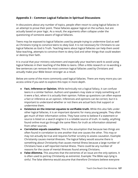# **Appendix 3 – Common Logical Fallacies in Spiritual Discussions**

In discussions about any number of topics, people often resort to using logical fallacies in an attempt to prove their point. These fallacies appear logical on the surface, but are actually based on poor logic. As a result, the arguments often collapse under the questioning of someone aware of logical fallacies.

Teens may be exposed to logical fallacies used by people trying to undermine God as well as Christians trying to convince teens to obey God. It is not necessary for Christians to use logical fallacies as God is Truth. Teaching teens about logical fallacies can help them avoid false teaching, attempts to convince them to deny God and other things that could weaken or destroy their faith.

It is crucial that your ministry volunteers and especially your teachers work to avoid using logical fallacies in their teaching of the Bible to teens. Often a little research or re-wording a few sentences can remove the most common logical fallacies used by Christians and actually make your Bible lesson stronger as a result.

Below are some of the more commonly used logical fallacies. There are many more you can access online if you wish to explore this topic in more depth.

- **● Fact, Inference or Opinion.** While technically not a logical fallacy, it can confuse teens in a similar fashion. Authors and speakers may state or imply something as if it were a fact, when it is actually their opinion. Follow up questions can often expose a fact or inference as an opinion. Inferences and opinions can be correct, but it is important to understand whether or not there are actual facts that support or undermine them.
- **● Existence on the internet equates to verifiable truth.** While this also falls under other logical fallacies, it is an important dynamic for many young people. They often get much of their information online. They have come to believe if a statement or source is listed on a search engine it is a reliable source of truth. In reality, anything found online must go through the same filters for truth as information obtained from other sources.
- **● Correlation equals causation.** This is the assumption that because two things are often found in correlation to one another that one causes the other. This may or may not actually be true and requires further scrutiny to assess causation. Example: Christianity causes mental illnesses. The logical fallacy would assume there is something about Christianity that causes mental illness because a large number of Christians have a self reported mental illness. There could be any number of reasons for the cause of mental illnesses found among Christians.
- **● False dilemma.** This assumes that the extremes of an issue are the only options. It is often used to portray Christianity as extremist. Example: The Bible says lying is sinful. The false dilemma would assume that therefore Christians believe everyone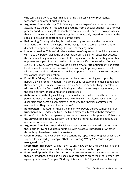who tells a lie is going to Hell. This is ignoring the possibility of repentance, forgiveness and other Christian beliefs.

- **● Argument from authority.** This fallacy quotes an "expert" who may or may not actually know the truth. This could be anything from a secular scientist, to a famous preacher and even taking Bible scriptures out of context. There is also a possibility that what the "expert" said surrounding the quote actually helped to clarify that the speaker believed the exact opposite of the quote.
- **● Red herring.** This logical fallacy is usually used by someone in the course of an argument, often when they appear to be losing. It is a statement thrown out to distract the opponent and change the topic of the argument.
- **● Loaded question.** This logical fallacy makes use of a question in which any answer will make the person giving the answer look foolish. It is often asked not because the person actually wants an answer to their question, but because they want their opponent to appear in a negative light. For example, if someone asked, "Where exactly is Heaven?", any answer would be problematic. Attempting to give an exact location would cause scorn, because there is no way to prove you are correct. Likewise, responding "I don't know" makes it appear there is not a Heaven because you cannot identify its location.
- **● Possibility fallacy.** This fallacy argues that because something could possibly happen, it will probably happen. This can be used for example to make people feel threatened by God in some way. God struck Annanias dead for lying, therefore he will probably strike Bob dead if he is lying, too. God may or may not give everyone the same earthly consequences for disobedience.
- **● Ad hominem.** In this logical fallacy, a person discounts what is said based on the person rather than analyzing what was actually said. This often takes the form of disparaging the person. Example: "Well of course the Apostles confirmed the resurrection. They had an ulterior motive."
- **● Bandwagon.** This assumes that if the majority of people believe something to be true, then it must indeed be true. The truth may actually rest with the minority.
- **● Either-Or.** In this fallacy, a person presents two unacceptable options as if they are the only possible options. In reality, there may be numerous possible options that are better for one or both parties.
- **● Argument from ignorance.** This fallacy is used by someone in a discussion when they begin throwing out ideas and "facts" with no actual knowledge of whether those things have been tested or are true.
- **● Circular Logic.** This is when someone continually repeats their original belief as the support for its validity. Example. "That is just wrong." "Why?" "Because it is just wrong to do that."
- **● Dogmatism.** This person will not listen to any views except their own. Nothing the other person says or does will ever change their mind on the topic.
- **● Emotional Appeals.** This often occurs when someone trusts their emotions more than any evidence. It can also be used in an attempt to scare the other person into agreeing with them. Example: "God says it is a sin to lie." "It just does not feel right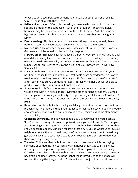for God to get upset because someone lied to spare another person's feelings. Surely, God is okay with those lies."

- **● Fallacy of exclusion.** Often this is used by someone who can think of one or two specific examples of the supposed truth of their argument. Those examples, however, may be the exception instead of the rule. Example: "All Christians are hypocrites. I knew this Christian one time, who was a preacher and I caught him lying."
- **● Faulty analogy.** This is an attempt to relate two things that may actually have nothing in common. Example: Christianity is the opiate of the masses.
- **● Non sequitur.** This is when the conclusion does not follow the premise. Example: If God were good, he would not let bad things happen.
- **● Slippery slope.** This logical fallacy is itself a slippery slope. Sometimes starting down a road does quickly lead to more intense consequences. The fallacy is in assuming every choice will lead to rapid, desperate consequences. Example: If we don't have Sunday School on New Year's Day, the next thing you know, we will never have Sunday School.
- **● Lack of evidence.** This is when someone claims you cannot be correct in your position, because there is no definitive, irrefutable proof or evidence. This is often used in religion in disagreements that align with, "You can not prove God exists." and "You can not prove God does not exist." In reality, neither side will be able to produce irrefutable evidence until Christ returns.
- **● Straw man.** In this fallacy, one person makes a statement so extreme, no one would agree with it in hopes of destroying the other person's argument. Example: Two people are discussing Christianity. One person says, "Hitler was a Christian." As if the fact that Hitler may have been a Christian, therefore undermines Christianity itself.
- **● Repetition.** While technically not a logical fallacy, repetition is a common tactic in propaganda. The theory is that if you repeat your message often enough and loudly enough, many people will begin to believe it is true - regardless of the statement's actual validity.
- **● Glittering generality.** This is when people use a broadly defined word such as "love" without defining it in an attempt to win an argument. Example: Two people are discussing something God has called a sin in the Bible and whether or not they should speak to a fellow Christian regarding that sin.. "But God wants us to love our neighbors." While that is indeed true, "love" in this person's argument is used very generally. Love in this case may actually be encouraging the person to repent of their sin, not ignoring the sin.
- **● Transfer.** This is another technique often used in propaganda. It is portraying someone or something in a particular way in hopes that image will transfer its meaning upon the person or philosophy. It is often employed when portraying Christians in movies and books with actors and characters who appear judgmental, backward and unattractive. The hope is that those introduced to the image will transfer the negative image to all of Christianity and not just that specific example.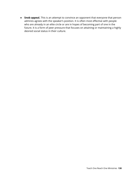**● Snob appeal.** This is an attempt to convince an opponent that everyone that person admires agrees with the speaker's position. It is often most effective with people who are already in an elite circle or are in hopes of becoming part of one in the future. It is a form of peer pressure that focuses on attaining or maintaining a highly desired social status in their culture.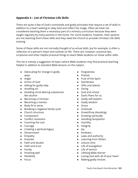# **Appendix 4 – List of Christian Life Skills**

There are quite a few of God's commands and godly principles that require a set of skills in addition to a heart seeking to obey God and reflect His image. Often we have not considered teaching them a necessary part of a ministry curriculum because they were taught regularly by many parents in the home. For some students, however, their parents are not teaching them these skills and they need the Church to provide Christian Life Skills training.

Some of these skills are not normally thought of as actual skills. Joy for example, is often a reflection of a person's heart and outlook on life. There are, however, practical tips, scriptures and other helpful practical things to teach Bible students on these softer skills.

This list is merely a suggestion of topics where Bible students may find practical teaching helpful in addition to standard Bible lessons on the subject.

- Advocating for change in godly ways
- Anger
- Armor of God
- Asking for godly help
- Avoiding sin
- Avoiding mind altering substances like alcohol
- Becoming a Christian
- Becoming a mentor
- Body fit to serve
- Breaking a negative family cycle
- Church structure
- Compassion
- Conflict resolution
- Counting the cost
- Courage
- Creating a spiritual legacy
- Discernment
- Empathy
- Enemies
- Faith and doubts
- Faith and trust
- Family
- Finishing well
- Flexibility
- Focus
- Forgiveness
- Friends
- Fruit of the Spirit
- Gentleness
- Gifts and talents
- Giving
- God and school
- God's Plans for us
- Godly self-esteem
- Godly wisdom
- Grace
- Gratitude
- Greed/Envy (Avoiding)
- Growing spiritually
- Handling temptation
- Humility
- Integrity
- Joy
- Kindness
- Laws and authority
- Learning from Others
- Leisure time
- Life of evangelism
- Life of service
- Lifelong Bible learner
- Loving God with all of your heart
- Making godly choices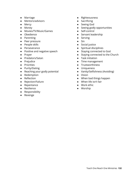- Marriage
- Mentors/advisors
- Mercy
- Money
- Movies/TV/Music/Games
- Obedience
- Parenting
- Peer pressure
- People skills
- Perseverance
- Positive and negative speech
- Prayer
- Predators/Satan
- Prejudice
- Priorities
- Purity/Dating
- Reaching your godly potential
- Redemption
- Reflection
- Rejection/Failure
- Repentance
- Resilience
- Responsibility
- Revenge
- Righteousness
- Sacrificing
- Seeing God
- Seeing godly opportunities
- Self-control
- Servant leadership
- Serving
- Sin
- Social justice
- Spiritual disciplines
- Staying connected to God
- Staying connected to the Church
- Task initiation
- Time management
- Trustworthiness
- Uniqueness
- Vanity/Selfishness (Avoiding)
- Vision
- When bad things happen
- When life isn't fair
- Work ethic
- Worship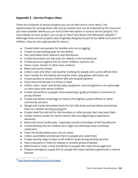# **Appendix 5 – Service Project Ideas**

There are hundreds of service projects you can do with one or more teens. The opportunities for serving others will vary by location and can be impacted by the resources you have available. Below you can find a brief description of various service projects. For more details on each project, you can go to Teach One Reach One Ministries' website. 59 (Although these service projects were originally designed as part of our Bible curriculum for children, they are also appropriate for teens.)

- Create infant care packets for families who are struggling
- Create no sew heating pads for the elderly
- Non perishable food collection and distribution
- Create decorative non-slip socks for elderly or the homebound
- Create personal hygiene kits for foster children, orphans, etc.
- Clean a park, stream or other area outdoors
- Bake communion bread
- Collect coats and other cold weather clothing for people who cannot afford them
- Visit a facility for the elderly and sing for them, play games with them, etc.
- Create packets to amuse children who are hospital patients
- Grow food and donate it to those in need
- Collect, clean, repair and donate play equipment, toys and games to an orphanage or other place that serves children
- Create and perform a puppet show explaining a godly principle or command to young children
- Create and deliver small bags of treats to fire fighters, police officers or other community servants
- Design and create decorative items for hair (like bows and barrettes) and donate them to a shelter serving young girls.
- Create small first aid kits for the homeless or other groups that may need them
- Create memory books for senior citizens who are beginning to experience dementia.
- Build and mount birdhouses especially outside of windows of the homebound
- Create birthday kits for children who might not otherwise have a birthday celebration
- Clean the facility where your church meets
- Collect used Bibles and donate them to people who need them
- Create worship bags to keep small children quiet during worship services
- Host a tea party or meal for widows or another group of people
- Bake bread or cook a meal and deliver to people who need encouragement
- Prepare emergency supply kits for people who have recently experienced a natural disaster

<sup>59</sup> <http://teachonereachone.org/activity-ideas/>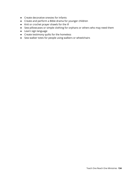- Create decorative onesies for infants
- Create and perform a Bible drama for younger children
- Knit or crochet prayer shawls for the ill
- Sew pillowcases or simple clothing for orphans or others who may need them
- Learn sign language
- Create testimony quilts for the homeless
- Sew walker totes for people using walkers or wheelchairs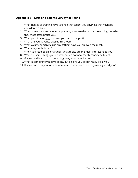# **Appendix 6 – Gifts and Talents Survey for Teens**

- 1. What classes or training have you had that taught you anything that might be considered a skill?
- 2. When someone gives you a compliment, what are the two or three things for which they most often praise you?
- 3. What part time or gig jobs have you had in the past?
- 4. What are your favorite classes in school?
- 5. What volunteer activities (in any setting) have you enjoyed the most?
- 6. What are your hobbies?
- 7. When you read books or articles, what topics are the most interesting to you?
- 8. What are some things you do well, but do not necessarily consider a talent?
- 9. If you could learn to do something new, what would it be?
- 10. What is something you love doing, but believe you do not really do it well?
- 11. If someone asks you for help or advice, in what areas do they usually need you?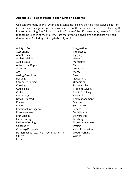## **Appendix 7 – List of Possible Teen Gifts and Talents**

God can give many talents. Often adolescents may believe they did not receive a gift from God because their gift is one that may be more subtle or unusual than a more obvious gift like art or teaching. The following is a list of some of the gifts a teen may receive from God that can be used in service to Him. Note that even God given gifts and talents will need development (including training) to be fully realized.

Ability to Focus Accounting Adaptability Athletic Ability Audio Visual Automobile Repair Analyzing Art Asking Questions Building Computer Coding Cooking Counseling Crafts Decorating Detail Oriented Drama Editing Emotional Intelligence Encouragement Enthusiasm Faith Sharing Fashion/Clothing Generosity Greeting/Outreach Human Resources/Talent Identification in **Others** Humor

Imagination Intelligence Juggling Listening Marketing Math Medicine **Mercy** Music **Networking** Organizing Photography Problem Solving Public Speaking Research Risk Management Science Self Control Service Social Media **Stewardship** Teaching Time Management Typing Video Production Wood Working Writing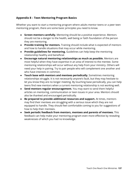# **Appendix 8 – Teen Mentoring Program Basics**

Whether you want to start a mentoring program where adults mentor teens or a peer teen mentoring program, there are some basic principles you need to know.

- **● Screen mentors carefully.** Mentoring should be a positive experience. Mentors should not be a danger to the health, well being or faith foundation of the person they are mentoring.
- **● Provide training for mentors.** Training should include what is expected of mentors and how to handle situations that may occur while mentoring.
- **● Provide guidelines for mentoring.** Guidelines can help keep the mentoring relationship healthy and beneficial.
- **● Encourage natural mentoring relationships as much as possible.** Mentors are most helpful when they have expertise in an area of interest to the mentee. Some mentoring relationships will occur without any help from your ministry. Others will need your help in pairing. Try to pair people who will complement one another and who have interests in common.
- **● Touch base with mentors and mentees periodically.** Sometimes mentoring relationships struggle. It is not necessarily anyone's fault, but they may hesitate to let you know they are no longer meeting. By touching base periodically, you can help teens find new mentors when a current mentoring relationship is not working well.
- **● Send mentors regular encouragement.** You may want to send them helpful articles on mentoring, communication or teen issues in your area. Mentors should also be thanked and encouraged periodically.
- **● Be prepared to provide additional resources and support.** At times, mentors may find their mentees are struggling with a serious issue which they are not equipped to handle. They should feel comfortable coming to you for suggestions of how to help their mentees.
- **● Seek periodic feedback from mentors, mentees and parents of mentees.** This feedback can help make your mentoring program even more effective by revealing weaknesses of which you had no knowledge.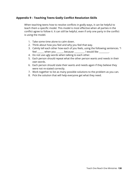## **Appendix 9 – Teaching Teens Godly Conflict Resolution Skills**

When teaching teens how to resolve conflicts in godly ways, it can be helpful to teach them a specific model. This model is most effective when all parties in the conflict agree to follow it. It can still be helpful, even if only one party in the conflict is using the model.

- 1. Take some time alone to calm down.
- 2. Think about how you feel and why you feel that way.
- 3. Calmly tell each other how each of you feels, using the following sentences. "I feel \_\_\_\_\_\_ when you \_\_\_\_\_\_, because \_\_\_\_\_\_\_\_. I would like \_\_\_\_\_\_\_\_.
- 4. Do not use ugly words when talking to each other.
- 5. Each person should repeat what the other person wants and needs in their own words.
- 6. Each person should state their wants and needs again if they believe they were not re-stated correctly.
- 7. Work together to list as many possible solutions to the problem as you can.
- 8. Pick the solution that will help everyone get what they need.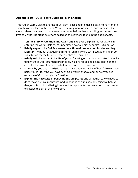# **Appendix 10 – Quick Start Guide to Faith Sharing**

This "Quick Start Guide to Sharing Your Faith" is designed to make it easier for anyone to share his or her faith with others. While some may want or need a more intense Bible study, others only need to understand the basics before they are willing to commit their lives to Christ. The steps below are based on the sermons found in the book of Acts.

- 1. **Tell the story of Creation and Adam and Eve's Fall.** Explain the results of sin entering the world. Help them understand how our sins separate us from God.
- 2. **Briefly explain the Old Testament as a time of preparation for the coming Messiah**. Point out that during this time, animals were sacrificed as an imperfect substitution for the future perfect sacrifice of Jesus Christ.
- 3. **Briefly tell the story of the life of Jesus**, focusing on his identity as God's Son, his fulfillment of Old Testament prophecies, his love for all people, his death on the cross for the sins of those who follow him and his resurrection.
- 4. **Share why you are a Christian.** This may include examples of how following God helps you in life, ways you have seen God working today, and/or how you see evidence of God through His Creation.
- **5. Explain the necessity of believing the scriptures** and what they say we need to do to make our lives right with God, repenting of our sins, confessing we believe that Jesus is Lord, and being immersed in baptism for the remission of our sins and to receive the gift of the Holy Spirit.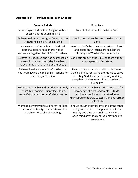# **Appendix 11 – First Steps In Faith Sharing**

| <b>Current Beliefs</b>                                                                                                               | <b>First Step</b>                                                                                                                                                                                            |
|--------------------------------------------------------------------------------------------------------------------------------------|--------------------------------------------------------------------------------------------------------------------------------------------------------------------------------------------------------------|
| Atheist/Agnostic/Practices Religion with no<br>specific gods (Buddhism, etc.)                                                        | Need to help establish belief in God.                                                                                                                                                                        |
| Believes in different god/gods/energy forces<br>(Hinduism, Sikhism, Taoism, etc.)                                                    | Need to introduce the one true God of the<br>Bible.                                                                                                                                                          |
| Believes in God/Jesus but has had bad<br>personal experiences and/or has an<br>extremely negative view of God/Christians.            | Need to clarify the true characteristics of God<br>and establish Christians are still sinners<br>following the Word of God imperfectly.                                                                      |
| Believes in God/Jesus and has expressed an<br>interest in obeying Him. (May have been<br>raised in the Church or be unchurched.)     | Can begin studying the Bible/baptism without<br>any preparation first steps.                                                                                                                                 |
| Believes he/she is already a Christian, but<br>has not followed the Bible's instructions for<br>becoming a Christian.                | Need to treat as Aquila and Priscilla treated<br>Apollos. Praise for having attempted to serve<br>and obey God. Establish necessity of doing<br>everything God requires of us to the best of<br>our ability. |
| Believes in the Bible and/or additional "Holy<br>Books" (Mormonism, Scientology, Islam,<br>some Catholics and other Christian sects) | Need to establish Bible as primary source for<br>knowledge of what God wants us to do.<br>Additional books must be set aside as<br>uninspired to be truly successful in any further<br>Bible study.          |
| Wants to convert you to a different religion<br>or sect of Christianity or seems to want to<br>debate for the sake of debating.      | Should assume they fall into one of the other<br>categories at first. If the person insists on<br>merely debating and not listening with an<br>open mind after studying, you may need to<br>take a break.    |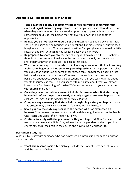# **Appendix 12 – The Basics of Faith Sharing**

- **● Take advantage of any opportunity someone gives you to share your faith– even if it is just answering a question.** Often people have a small window of time when they are interested. If you allow the opportunity to pass without sharing something about God, the person may not give you or anyone else another opportunity.
- **● Realize you do not have to know all of the answers.** You should be comfortable sharing the basics and answering simple questions. For more complex questions, it is legitimate to respond, "That is a great question. Can you give me time to do a little research and I will get back to you (specific day) with an answer?".
- **● Be prepared to share your faith.** Faith sharing is often a team effort. Sometimes though, circumstances will make you the best or even the only person who can share their faith with the seeker – at least at that time.
- **● When someone expresses an interest in learning more about God or becoming a Christian, begin by asking some respectful questions.** (If the person has asked you a question about God or some other related topic, answer their question first before asking your own questions.) You need to determine what their current beliefs are about God. Good possible questions are "Can you tell me a little about your faith journey so far?" "Can you share with me a little about what you already know about God/becoming a Christian?" "Can you tell me about your experiences with church and God?"
- **● Once they have shared their current beliefs, determine what first steps may be needed before the person is ready to study a typical study on baptism.** *(See First Steps in Faith Sharing handout for possible options.)* **•**
- **● Complete any necessary first steps before beginning a study on baptism.** Note: This process may take anywhere from a few minutes to a few years.
- **● Share your faith/study baptism with the person who has expressed an interest.** You can use the free baptism study with leader guide found on the Teach One Reach One website<sup>60</sup> or create your own.
- **Continue to study with the person after they are baptized.** New Christians need to continue to study the Bible. They will need your help understanding topics like church structure, their role in the church and how to live a Christian life**.**

### **Basic Bible Study Plan**

A basic Bible study with someone who has expressed an interest in becoming a Christian should include:

**● Teach them some basic Bible history.** Include the story of God's perfect Creation and the Garden of Eden.

<sup>&</sup>lt;sup>60</sup> <http://teachonereachone.org/baptism-study/>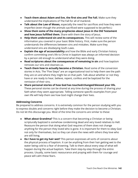- **● Teach them about Adam and Eve, the first sins and The Fall.** Make sure they understand the implications of The Fall for all of mankind.
- **● Talk about the Law of Moses,** especially the need for sacrifices and how they were imperfect (even though the animals sacrificed were supposed to be perfect.)
- **● Show them some of the many prophecies about Jesus in the Old Testament and how Jesus fulfilled them.** Share with them the story of Jesus.
- **● Help them understand sin and its consequences.** This will review some of the information you covered in your basic Bible history. First, make sure the person understands the differences between sins and mistakes. Make sure they understand sins are disobeying God's Laws.
- **● Explain the age of accountability** and how the Bible and early Christian history confirm committing one's life to Christ in baptism was always an informed decision by a person old enough to understand what they were doing.
- **● Read scriptures about the consequences of remaining in sin** and how baptism removes our sins and cleanses us.
- **● Teach them how to actually become a Christian.** Read some of the conversion stories in Acts. The "Five Steps" are an organizational tool to help them see the path they are on and where they might be on that path. Talk about whether or not they have or are ready to hear, believe, repent, confess and be baptized for the remission of their sins.
- **● Share personal stories of how God has touched/changed/blessed your life.** These personal stories can be shared at any time during the process of sharing your faith when they seem appropriate. Telling someone specific examples from your own life will help them see how God might change their lives.

### **Addressing Concerns**

Be prepared to address concerns. It is extremely common for the person studying with you to express doubts and concerns right before they make the decision to become a Christian. Do not let this discourage you. Most of the time the concerns are similar to these:

- **● What about Grandma?** This is a concern that becoming a Christian or being scripturally baptized is somehow condemning dead and very loved relatives to Hell. Reassure the person that doing what God requires of them does not change anything for the person they loved who is gone. It is important for them to obey God not only for themselves, but so they can share the news with others they love who are still living**.**
- **● Do I have to get my hair wet?** This person expresses all sorts of concerns about the physical process of baptism. It can be anything from their hair getting wet to the water being cold to a fear of drowning. Talk to them about every step of what will happen during the actual baptism. Take them step-by-step through the entire process. Usually, some basic reassurance and praying with them for courage and peace will calm these fears.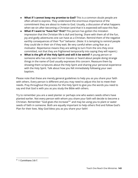- **● What if I cannot keep my promise to God?** This is a common doubt people are often afraid to express. They understand the enormous importance of the commitment they are about to make to God. Usually, a discussion of what happens when we sin after becoming a Christian (and that it is expected) will ease this fear.
- **● What if I want to "have fun" first?** This person has gotten the mistaken impression that the Christian life is dull and boring. Share with them all of the fun, joy and godly adventures one can have as a Christian. Remind them of the negative earthly consequences of their "fun" behavior. (Note: It is tempting to remind people they could die in their sin if they wait. Be very careful when using fear as a motivator. Repentance means they are willing to turn from the sins they once committed, not that they are frightened temporarily into saying they will repent.)
- **● What is the gift of the Holy Spirit and will it be weird?** A young person or someone who has only seen horror movies or heard about people doing strange things in the name of God usually expresses this concern. Reassure them by showing them scriptures about the Holy Spirit and sharing your personal experience with the Holy Spirit. Talk about how you felt immediately following your own baptism.

Please note that these are merely general guidelines to help you as you share your faith with others. Every person is different and you may need to adjust this list to meet their needs. Pray throughout the process for the Holy Spirit to give you the words you need to say and that God is with you as you study the Bible with others.

Try to remember you are a seed planter or perhaps one who waters seeds others have planted earlier. Not every person with whom you share your faith will decide to become a Christian. Remember "God gives the increase" $61$  and may be using you to plant or water seeds of faith in someone. Both are equally important to help others find and follow God's Plan for their lives. May God bless you as you share your faith!

 $61$  1 Corinthians 3:6-7.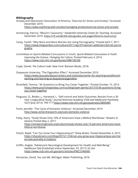### **Bibliography**

Anxiety and Depression Association of America. "Exercise for Stress and Anxiety." Accessed December 2019.

<https://adaa.org/living-with-anxiety/managing-anxiety/exercise-stress-and-anxiety>

- Armstrong, Patricia. "Bloom's Taxonomy." *Vanderbilt University Center for Teaching.* Accessed December 2019. <https://cft.vanderbilt.edu/guides-sub-pages/blooms-taxonomy/>
- Carey, Tanith. "Why More and More Women Are Using Pornography." Posted April 7, 2011. [https://www.theguardian.com/culture/2011/apr/07/women-addicted-internet-porno](https://www.theguardian.com/culture/2011/apr/07/women-addicted-internet-pornography) [graphy](https://www.theguardian.com/culture/2011/apr/07/women-addicted-internet-pornography)
- Committee on Sports-Related Concussions in Youth, *Sports-Related Concussions in Youth: Improving the Science, Changing the Culture.* Posted February 4, 2014. <https://www.ncbi.nlm.nih.gov/books/NBK185336>
- Coyle, Daniel. *The Culture Code*. New York: Bantam Books, 2018.
- Duquesne University. "The Pygmalion Effect." Accessed December 2019. [https://www.duq.edu/about/centers-and-institutes/center-for-teaching-excellence/t](https://www.duq.edu/about/centers-and-institutes/center-for-teaching-excellence/teaching-and-learning-at-duquesne/pygmalion) [eaching-and-learning-at-duquesne/pygmalion](https://www.duq.edu/about/centers-and-institutes/center-for-teaching-excellence/teaching-and-learning-at-duquesne/pygmalion)
- Ehrenfeld, Temma. "36 Questions to Bring You Closer Together." Posted October 15, 2013. [https://www.psychologytoday.com/us/blog/open-gently/201310/36-questions-bring](https://www.psychologytoday.com/us/blog/open-gently/201310/36-questions-bring-you-closer-together)[you-closer-together](https://www.psychologytoday.com/us/blog/open-gently/201310/36-questions-bring-you-closer-together)
- Ferguson, D., Boden, J., Horwood, L. "Self-control and Adult Outcomes: Results From a 30 Year Longitudinal Study." *Journal American Academy Child and Adolescent Psychiatry* 52(7) (July 2013): 709-717 <https://www.ncbi.nlm.nih.gov/pubmed/23800484>
- Focht, Jennifer. "The Cycle of Domestic Violence." Accessed December 2019. <http://www.center4research.org/cycle-domestic-violence>
- Foley, Avery. "Study Shows Only 10% of Americans Have a Biblical Worldview." *Answers In Genesis* Posted May 2, 2017. [https://answersingenesis.org/culture/study-shows-only-10-percent-americans-have](https://answersingenesis.org/culture/study-shows-only-10-percent-americans-have-biblical-worldview/)[biblical-worldview/](https://answersingenesis.org/culture/study-shows-only-10-percent-americans-have-biblical-worldview/)
- Fotuhi, Majid. "Can You Grow Your Hippocampus?" *Sharp Brains.* Posted November 4, 2015. [https://sharpbrains.com/blog/2015/11/04/can-you-grow-your-hippocampus-yes-her](https://sharpbrains.com/blog/2015/11/04/can-you-grow-your-hippocampus-yes-heres-how-and-why-it-matters/) [es-how-and-why-it-matters/](https://sharpbrains.com/blog/2015/11/04/can-you-grow-your-hippocampus-yes-heres-how-and-why-it-matters/)
- Griffin, Angela. "Adolescent Neurological Development for Health and Well-Being." *Healthcare* 5(4) (Published online September 29, 2017): 62 doi: <https://www.ncbi.nlm.nih.gov/pmc/articles/PMC5746696/>

Kinnaman, David. *You Lost Me.* Michigan: Baker Publishing, 2016.